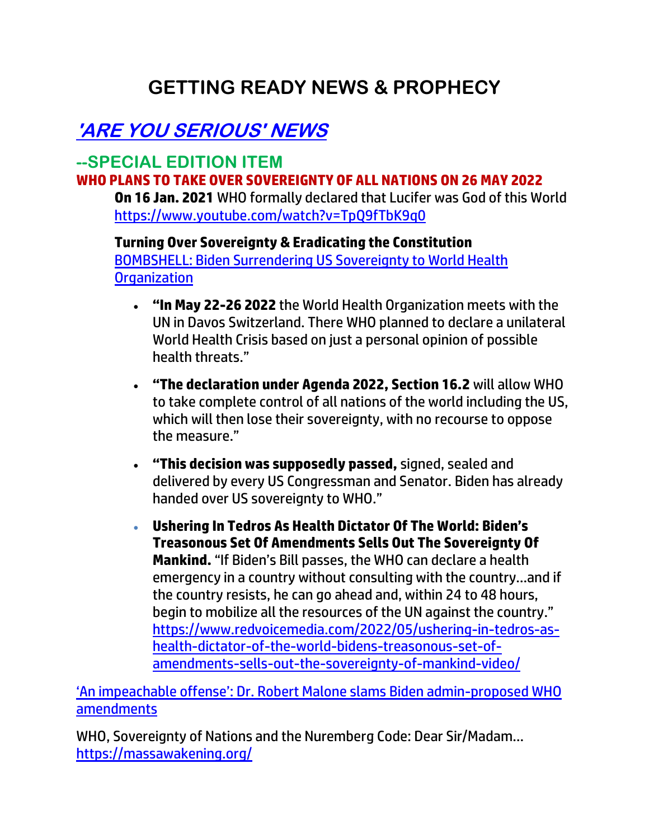## **GETTING READY NEWS & PROPHECY**

## **'ARE YOU SERIOUS' NEWS**

#### **--SPECIAL EDITION ITEM WHO PLANS TO TAKE OVER SOVEREIGNTY OF ALL NATIONS ON 26 MAY 2022**

**On 16 Jan. 2021** WHO formally declared that Lucifer was God of this World <https://www.youtube.com/watch?v=TpQ9fTbK9q0>

**Turning Over Sovereignty & Eradicating the Constitution**  [BOMBSHELL: Biden Surrendering US Sovereignty to World Health](https://www.youtube.com/watch?v=RomxKW_1qUQ)  **[Organization](https://www.youtube.com/watch?v=RomxKW_1qUQ)** 

- **"In May 22-26 2022** the World Health Organization meets with the UN in Davos Switzerland. There WHO planned to declare a unilateral World Health Crisis based on just a personal opinion of possible health threats."
- **"The declaration under Agenda 2022, Section 16.2** will allow WHO to take complete control of all nations of the world including the US, which will then lose their sovereignty, with no recourse to oppose the measure."
- **"This decision was supposedly passed,** signed, sealed and delivered by every US Congressman and Senator. Biden has already handed over US sovereignty to WHO."
- **Ushering In Tedros As Health Dictator Of The World: Biden's Treasonous Set Of Amendments Sells Out The Sovereignty Of Mankind.** "If Biden's Bill passes, the WHO can declare a health emergency in a country without consulting with the country…and if the country resists, he can go ahead and, within 24 to 48 hours, begin to mobilize all the resources of the UN against the country." [https://www.redvoicemedia.com/2022/05/ushering-in-tedros-as](https://www.redvoicemedia.com/2022/05/ushering-in-tedros-as-health-dictator-of-the-world-bidens-treasonous-set-of-amendments-sells-out-the-sovereignty-of-mankind-video/)[health-dictator-of-the-world-bidens-treasonous-set-of](https://www.redvoicemedia.com/2022/05/ushering-in-tedros-as-health-dictator-of-the-world-bidens-treasonous-set-of-amendments-sells-out-the-sovereignty-of-mankind-video/)[amendments-sells-out-the-sovereignty-of-mankind-video/](https://www.redvoicemedia.com/2022/05/ushering-in-tedros-as-health-dictator-of-the-world-bidens-treasonous-set-of-amendments-sells-out-the-sovereignty-of-mankind-video/)

['An impeachable offense': Dr. Robert Malone slams Biden admin](https://www.lifesitenews.com/news/an-impeachable-offense-dr-robert-malone-slams-biden-admin-proposed-who-amendments/?utm_source=top_news&utm_campaign=usa)-proposed WHO [amendments](https://www.lifesitenews.com/news/an-impeachable-offense-dr-robert-malone-slams-biden-admin-proposed-who-amendments/?utm_source=top_news&utm_campaign=usa)

WHO, Sovereignty of Nations and the Nuremberg Code: Dear Sir/Madam… <https://massawakening.org/>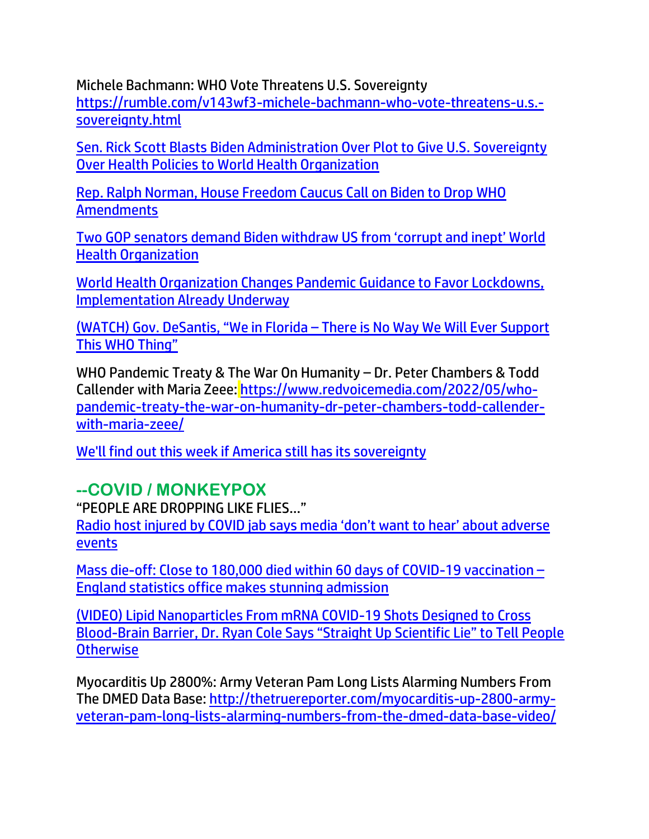Michele Bachmann: WHO Vote Threatens U.S. Sovereignty [https://rumble.com/v143wf3-michele-bachmann-who-vote-threatens-u.s.](https://rumble.com/v143wf3-michele-bachmann-who-vote-threatens-u.s.-sovereignty.html) [sovereignty.html](https://rumble.com/v143wf3-michele-bachmann-who-vote-threatens-u.s.-sovereignty.html)

[Sen. Rick Scott Blasts Biden Administration Over Plot to Give U.S. Sovereignty](https://welovetrump.com/2022/05/15/sen-rick-scott-blasts-biden-administration-over-plot-to-give-u-s-sovereignty-over-health-policies-to-world-health-organization/)  [Over Health Policies to World Health Organization](https://welovetrump.com/2022/05/15/sen-rick-scott-blasts-biden-administration-over-plot-to-give-u-s-sovereignty-over-health-policies-to-world-health-organization/)

[Rep. Ralph Norman, House Freedom Caucus Call on Biden to Drop WHO](https://lists.youmaker.com/links/tbboItG9Ux/Jlid8tcrj/7xAbPNiP2/z0UfJyb15xd)  **[Amendments](https://lists.youmaker.com/links/tbboItG9Ux/Jlid8tcrj/7xAbPNiP2/z0UfJyb15xd)** 

[Two GOP senators demand Biden withdraw US from 'corrupt and inept' World](https://www.lifesitenews.com/news/republicans-cotton-daines-call-on-biden-to-leave-corrupt-and-inept-world-health-organization/?utm_source=featured&utm_campaign=usa)  [Health Organization](https://www.lifesitenews.com/news/republicans-cotton-daines-call-on-biden-to-leave-corrupt-and-inept-world-health-organization/?utm_source=featured&utm_campaign=usa)

[World Health Organization Changes Pandemic Guidance to Favor Lockdowns,](https://welovetrump.com/2022/05/23/world-health-organization-changes-pandemic-guidance-to-favor-lockdowns-implementation-already-underway/)  [Implementation Already Underway](https://welovetrump.com/2022/05/23/world-health-organization-changes-pandemic-guidance-to-favor-lockdowns-implementation-already-underway/)

[\(WATCH\) Gov. DeSantis, "We in Florida –](https://welovetrump.com/2022/05/23/watch-gov-desantis-we-in-florida-there-is-no-way-we-will-ever-support-this-who-thing/) There is No Way We Will Ever Support [This WHO Thing"](https://welovetrump.com/2022/05/23/watch-gov-desantis-we-in-florida-there-is-no-way-we-will-ever-support-this-who-thing/)

WHO Pandemic Treaty & The War On Humanity – Dr. Peter Chambers & Todd Callender with Maria Zeee: [https://www.redvoicemedia.com/2022/05/who](https://www.redvoicemedia.com/2022/05/who-pandemic-treaty-the-war-on-humanity-dr-peter-chambers-todd-callender-with-maria-zeee/)[pandemic-treaty-the-war-on-humanity-dr-peter-chambers-todd-callender](https://www.redvoicemedia.com/2022/05/who-pandemic-treaty-the-war-on-humanity-dr-peter-chambers-todd-callender-with-maria-zeee/)[with-maria-zeee/](https://www.redvoicemedia.com/2022/05/who-pandemic-treaty-the-war-on-humanity-dr-peter-chambers-todd-callender-with-maria-zeee/)

[We'll find out this week if America still has its sovereignty](https://www.wnd.com/2022/05/find-week-america-still-sovereignty/)

#### **--COVID / MONKEYPOX**

"PEOPLE ARE DROPPING LIKE FLIES…"

[Radio host injured by COVID jab says media 'don't want to hear' about adverse](https://www.lifesitenews.com/news/bbc-radio-presenter-injured-by-covid-jab-says-media-dont-want-to-hear-about-adverse-events/?utm_source=top_news&utm_campaign=usa)  [events](https://www.lifesitenews.com/news/bbc-radio-presenter-injured-by-covid-jab-says-media-dont-want-to-hear-about-adverse-events/?utm_source=top_news&utm_campaign=usa)

[Mass die-off: Close to 180,000 died within 60 days of COVID-19 vaccination](https://www.naturalnews.com/2022-05-22-70k-died-within-28-days-of-covid-vaccination.html) – [England statistics office makes stunning admission](https://www.naturalnews.com/2022-05-22-70k-died-within-28-days-of-covid-vaccination.html)

[\(VIDEO\) Lipid Nanoparticles From mRNA COVID-19 Shots Designed to Cross](https://welovetrump.com/2022/05/15/video-lipid-nanoparticles-from-mrna-covid-19-shots-designed-to-cross-blood-brain-barrier-dr-ryan-cole-says-straight-up-scientific-lie-to-tell-people-otherwise/)  Blood-[Brain Barrier, Dr. Ryan Cole Says "Straight Up Scientific Lie" to Tell People](https://welovetrump.com/2022/05/15/video-lipid-nanoparticles-from-mrna-covid-19-shots-designed-to-cross-blood-brain-barrier-dr-ryan-cole-says-straight-up-scientific-lie-to-tell-people-otherwise/)  **[Otherwise](https://welovetrump.com/2022/05/15/video-lipid-nanoparticles-from-mrna-covid-19-shots-designed-to-cross-blood-brain-barrier-dr-ryan-cole-says-straight-up-scientific-lie-to-tell-people-otherwise/)** 

Myocarditis Up 2800%: Army Veteran Pam Long Lists Alarming Numbers From The DMED Data Base: [http://thetruereporter.com/myocarditis-up-2800-army](http://thetruereporter.com/myocarditis-up-2800-army-veteran-pam-long-lists-alarming-numbers-from-the-dmed-data-base-video/)[veteran-pam-long-lists-alarming-numbers-from-the-dmed-data-base-video/](http://thetruereporter.com/myocarditis-up-2800-army-veteran-pam-long-lists-alarming-numbers-from-the-dmed-data-base-video/)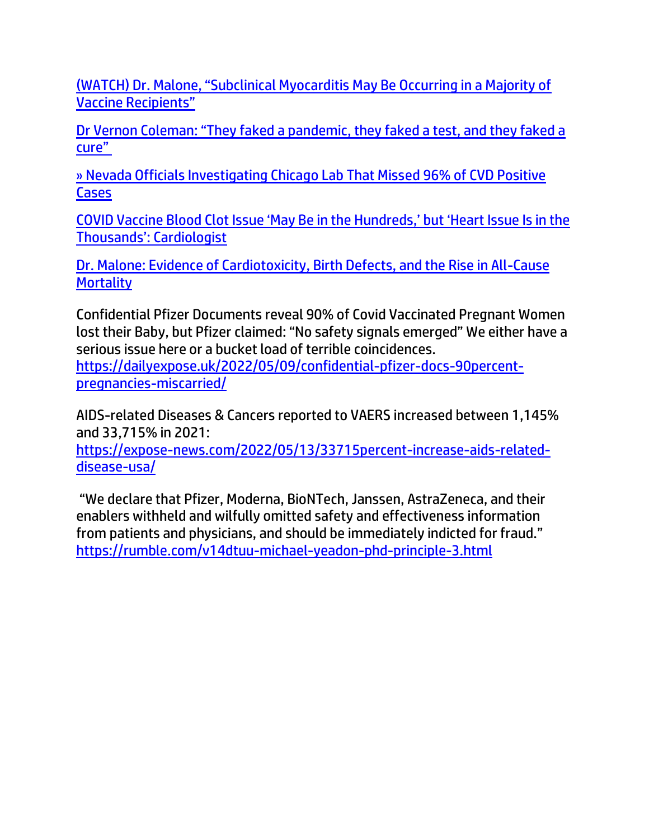(WATCH) Dr[. Malone, "Subclinical Myocarditis May Be Occurring in a Majority of](https://welovetrump.com/2022/05/17/watch-dr-malone-subclinical-myocarditis-may-be-occurring-in-a-majority-of-vaccine-recipients/)  [Vaccine Recipients"](https://welovetrump.com/2022/05/17/watch-dr-malone-subclinical-myocarditis-may-be-occurring-in-a-majority-of-vaccine-recipients/)

[Dr Vernon Coleman: "They faked a pandemic, they faked a test, and they faked a](https://expose-news.com/2022/05/21/dr-vernon-coleman-they-faked-it-all/)  [cure"](https://expose-news.com/2022/05/21/dr-vernon-coleman-they-faked-it-all/)

[» Nevada Officials Investigating Chicago Lab That Missed 96% of CVD Positive](https://trk.cp20.com/click/gak4-3n7pv4-8bmvnq-f4obzxf7/)  **[Cases](https://trk.cp20.com/click/gak4-3n7pv4-8bmvnq-f4obzxf7/)** 

[COVID Vaccine Blood Clot Issue 'May Be in the Hundreds,' but 'Heart Issue Is in the](https://lists.youmaker.com/links/NeATOjqITV/Jlid8tcrj/7xAbPNiP2/fXPAo6age)  [Thousands': Cardiologist](https://lists.youmaker.com/links/NeATOjqITV/Jlid8tcrj/7xAbPNiP2/fXPAo6age) 

[Dr. Malone: Evidence of Cardiotoxicity, Birth Defects, and the Rise in All-Cause](https://lists.youmaker.com/links/NeATOjqITV/Jlid8tcrj/7xAbPNiP2/hjVnh2W5Kq)  **[Mortality](https://lists.youmaker.com/links/NeATOjqITV/Jlid8tcrj/7xAbPNiP2/hjVnh2W5Kq)** 

Confidential Pfizer Documents reveal 90% of Covid Vaccinated Pregnant Women lost their Baby, but Pfizer claimed: "No safety signals emerged" We either have a serious issue here or a bucket load of terrible coincidences. [https://dailyexpose.uk/2022/05/09/confidential-pfizer-docs-90percent](https://dailyexpose.uk/2022/05/09/confidential-pfizer-docs-90percent-pregnancies-miscarried/)[pregnancies-miscarried/](https://dailyexpose.uk/2022/05/09/confidential-pfizer-docs-90percent-pregnancies-miscarried/)

AIDS-related Diseases & Cancers reported to VAERS increased between 1,145% and 33,715% in 2021:

[https://expose-news.com/2022/05/13/33715percent-increase-aids-related](https://expose-news.com/2022/05/13/33715percent-increase-aids-related-disease-usa/)[disease-usa/](https://expose-news.com/2022/05/13/33715percent-increase-aids-related-disease-usa/)

"We declare that Pfizer, Moderna, BioNTech, Janssen, AstraZeneca, and their enablers withheld and wilfully omitted safety and effectiveness information from patients and physicians, and should be immediately indicted for fraud." <https://rumble.com/v14dtuu-michael-yeadon-phd-principle-3.html>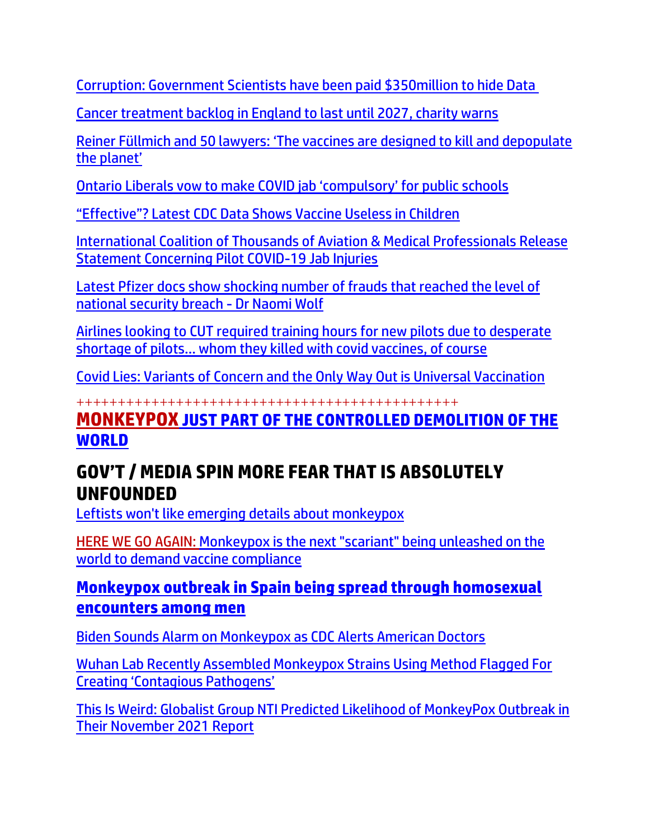[Corruption: Government Scientists have been paid \\$350million to hide Data](https://expose-news.com/2022/05/22/government-scientists-paid-to-hide-data/)

[Cancer treatment backlog in England to last until 2027, charity warns](https://www.lifesitenews.com/news/cancer-treatment-backlog-in-england-to-last-until-2027-charity-warns/?utm_source=top_news&utm_campaign=usa)

[Reiner Füllmich and 50 lawyers: 'The vaccines are designed to kill and depopulate](https://freewestmedia.com/2022/01/10/reiner-fullmich-and-50-lawyers-the-vaccines-are-designed-to-kill-and-depopulate-the-planet/)  [the planet'](https://freewestmedia.com/2022/01/10/reiner-fullmich-and-50-lawyers-the-vaccines-are-designed-to-kill-and-depopulate-the-planet/)

[Ontario Liberals vow to make COVID jab 'compulsory' for public schools](https://www.lifesitenews.com/news/ontario-liberals-vow-to-make-covid-jab-compulsory-for-public-schools/)

["Effective"? Latest CDC Data Shows Vaccine Useless in Children](https://trk.cp20.com/click/gak4-3n7j8p-8bmsvy-f4obzxf2/)

[International Coalition of Thousands of Aviation & Medical Professionals Release](https://welovetrump.com/2022/05/17/international-coalition-of-thousands-of-aviation-medical-professionals-release-statement-concerning-pilot-covid-19-jab-injuries/)  [Statement Concerning Pilot COVID-19 Jab Injuries](https://welovetrump.com/2022/05/17/international-coalition-of-thousands-of-aviation-medical-professionals-release-statement-concerning-pilot-covid-19-jab-injuries/)

[Latest Pfizer docs show shocking number of frauds that reached the level of](https://ce-publicdy.naturalnews.com/ct.asp?id=CAB9889E1E36BEB00C5FA8784D1DAE6019185535CE0FF52BD47EB8210868A4683234EC1408060B29A959E8B3BD158CC6&ct=4aeUsz4AAABCWmgzMUFZJlNZk6t%2f2AAAF5mAAAPP8Dvj3IAgAFREAAAANDGZTamg8JNMmagqUXsdpos2MUQ6NwuwUYuu45KpwrKAhJ0XT64PkMNZkROUQ58XckU4UJCTq3%2fY)  [national security breach -](https://ce-publicdy.naturalnews.com/ct.asp?id=CAB9889E1E36BEB00C5FA8784D1DAE6019185535CE0FF52BD47EB8210868A4683234EC1408060B29A959E8B3BD158CC6&ct=4aeUsz4AAABCWmgzMUFZJlNZk6t%2f2AAAF5mAAAPP8Dvj3IAgAFREAAAANDGZTamg8JNMmagqUXsdpos2MUQ6NwuwUYuu45KpwrKAhJ0XT64PkMNZkROUQ58XckU4UJCTq3%2fY) Dr Naomi Wolf

[Airlines looking to CUT required training hours for new pilots due to desperate](https://www.naturalnews.com/2022-05-23-airlines-cut-training-hours-pilots-shortage-vaccines.html)  short[age of pilots… whom they killed with covid vaccines, of course](https://www.naturalnews.com/2022-05-23-airlines-cut-training-hours-pilots-shortage-vaccines.html)

[Covid Lies: Variants of Concern and the Only Way Out is Universal Vaccination](https://expose-news.com/2022/05/23/covid-lies-variants-of-concern-and-universal-vaccination/)

++++++++++++++++++++++++++++++++++++++++++++++

#### **MONKEYPOX [JUST PART OF THE CONTROLLED DEMOLITION OF THE](https://www.naturalnews.com/2022-05-23-monkeypox-just-the-latest-engineered-distraction-controlled-demolition-human-civilization.html)  [WORLD](https://www.naturalnews.com/2022-05-23-monkeypox-just-the-latest-engineered-distraction-controlled-demolition-human-civilization.html)**

## **[GOV'T / MEDIA SPIN MORE FEAR THAT IS ABSOLUTELY](https://www.wnd.com/2022/05/adviser-monkeypox-random-event-spread-gay-sex/)  [UNFOUNDED](https://www.wnd.com/2022/05/adviser-monkeypox-random-event-spread-gay-sex/)**

[Leftists won't like emerging details about monkeypox](https://www.wnd.com/2022/05/adviser-monkeypox-random-event-spread-gay-sex/)

[HERE WE GO AGAIN: Monkeypox is the next "scariant" being unleashed on the](https://ce-publiclw.naturalnews.com/ct.asp?id=D6DF4610322700010CCE4AB0C75F41B9C90EDBEEC67078AEDCD8F3223A43A23D536C4E29693A2FA14E1A58A4CC02C5FB&ct=4aeUs2EAAABCWmgzMUFZJlNZhvIIvwAAGRmAAAPSEC7v3%2bAgAEjHpkQ8UYJtQ9TDVPU9AnqYaQD0mKJmL%2bCBOl03MNIKIevfYEqsqsVkkUAJsWxFvlSQPaAszVWxqLzPDtwiF%2bjw5NWpRepFEQeXtTyLuSKcKEhDeQRfgA%3d%3d)  [world to demand vaccine compliance](https://ce-publiclw.naturalnews.com/ct.asp?id=D6DF4610322700010CCE4AB0C75F41B9C90EDBEEC67078AEDCD8F3223A43A23D536C4E29693A2FA14E1A58A4CC02C5FB&ct=4aeUs2EAAABCWmgzMUFZJlNZhvIIvwAAGRmAAAPSEC7v3%2bAgAEjHpkQ8UYJtQ9TDVPU9AnqYaQD0mKJmL%2bCBOl03MNIKIevfYEqsqsVkkUAJsWxFvlSQPaAszVWxqLzPDtwiF%2bjw5NWpRepFEQeXtTyLuSKcKEhDeQRfgA%3d%3d)

#### **[Monkeypox outbreak in Spain being spread through homosexual](https://www.naturalnews.com/2022-05-23-monkeypox-outbreak-spain-spread-through-homosexual-encounters.html)  [encounters among men](https://www.naturalnews.com/2022-05-23-monkeypox-outbreak-spain-spread-through-homosexual-encounters.html)**

[Biden Sounds Alarm on Monkeypox as CDC Alerts American Doctors](https://lists.youmaker.com/links/yBAXrg403g/Jlid8tcrj/7xAbPNiP2/RivwXtF0Gg)

[Wuhan Lab Recently Assembled Monkeypox Strains Using Method Flagged For](https://welovetrump.com/2022/05/23/wuhan-lab-recently-assembled-monkeypox-strains-using-method-flagged-for-creating-contagious-pathogens/)  [Creating 'Contagious Pathogens'](https://welovetrump.com/2022/05/23/wuhan-lab-recently-assembled-monkeypox-strains-using-method-flagged-for-creating-contagious-pathogens/)

[This Is Weird: Globalist Group NTI Predicted Likelihood of MonkeyPox Outbreak in](https://www.thegatewaypundit.com/2022/05/weird-globalist-group-nti-predicted-likelihood-monkeypox-outbreak-november-2021-report/)  [Their November 2021 Report](https://www.thegatewaypundit.com/2022/05/weird-globalist-group-nti-predicted-likelihood-monkeypox-outbreak-november-2021-report/)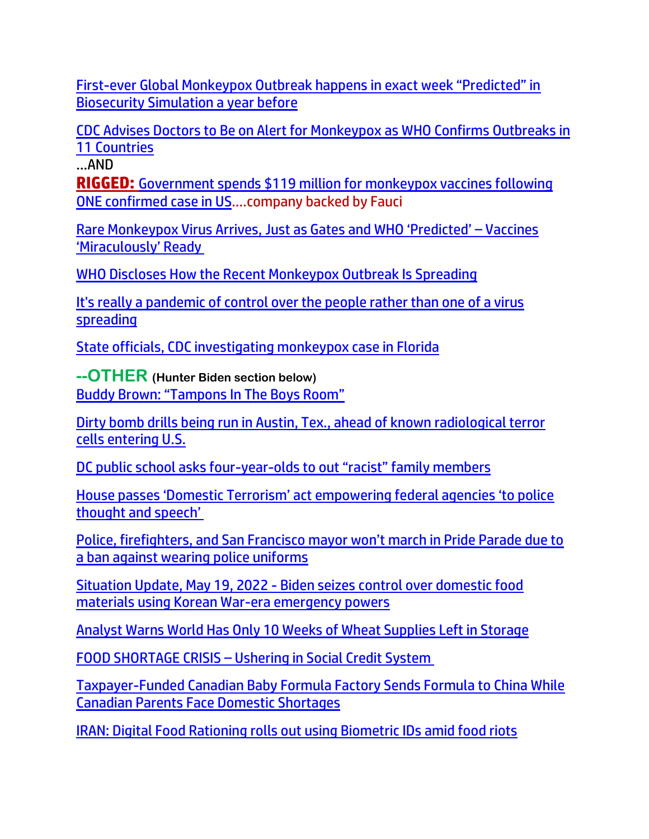First-[ever Global Monkeypox Outbreak happens in exact week "Predicted" in](https://expose-news.com/2022/05/22/monkeypox-happens-in-exact-week-as-simulation/)  [Biosecurity Simulation a year before](https://expose-news.com/2022/05/22/monkeypox-happens-in-exact-week-as-simulation/)

[CDC Advises Doctors to Be on Alert for Monkeypox as WHO Confirms Outbreaks in](https://lists.youmaker.com/links/KQWclMyzcE/Jlid8tcrj/7xAbPNiP2/jkInNQex1e)  [11 Countries](https://lists.youmaker.com/links/KQWclMyzcE/Jlid8tcrj/7xAbPNiP2/jkInNQex1e)

…AND

**RIGGED:** [Government spends \\$119 million for monkeypox vaccines following](https://www.naturalnews.com/2022-05-23-government-spending-millions-monkeypox-vaccine-after-one-case.html)  [ONE confirmed case in US](https://www.naturalnews.com/2022-05-23-government-spending-millions-monkeypox-vaccine-after-one-case.html)….company backed by Fauci

[Rare Monkeypox Virus Arrives, Just as Gates and WHO 'Predicted' –](https://rairfoundation.com/rare-monkeypox-virus-arrives-just-as-gates-and-who-predicted-vaccines-miraculously-ready/) Vaccines ['Miraculously' Ready](https://rairfoundation.com/rare-monkeypox-virus-arrives-just-as-gates-and-who-predicted-vaccines-miraculously-ready/)

[WHO Discloses How the Recent Monkeypox Outbreak Is Spreading](https://lists.youmaker.com/links/tbboItG9Ux/Jlid8tcrj/7xAbPNiP2/f9Fyzxj6Bw)

[It's really a pandemic of control over the people rather than one of a virus](https://ce-publiclw.naturalnews.com/ct.asp?id=7F015E7979B687BB69ACCB2146B1857A6BB5AB5F4F437D182F61510F92764C2DABFF9793053C14506B3DF3EFE8F82DBF&ct=4aeUs14AAABCWmgzMUFZJlNZWd85qwAAFhmAAAPSEC%2fn34AgAEimkaeJpHoTyTIYyeifpGp%2bqZDTDmaJRZs%2bYW2rKXgQlbgD7%2bR8Dlr3c9%2bjoOqFgyE0eSykxc1tgU3hSUGnxLKD9QuVm%2fqIAdbQu5IpwoSCzvnNWA%3d%3d)  [spreading](https://ce-publiclw.naturalnews.com/ct.asp?id=7F015E7979B687BB69ACCB2146B1857A6BB5AB5F4F437D182F61510F92764C2DABFF9793053C14506B3DF3EFE8F82DBF&ct=4aeUs14AAABCWmgzMUFZJlNZWd85qwAAFhmAAAPSEC%2fn34AgAEimkaeJpHoTyTIYyeifpGp%2bqZDTDmaJRZs%2bYW2rKXgQlbgD7%2bR8Dlr3c9%2bjoOqFgyE0eSykxc1tgU3hSUGnxLKD9QuVm%2fqIAdbQu5IpwoSCzvnNWA%3d%3d)

[State officials, CDC investigating monkeypox case in Florida](https://delivery.email.saraacarter.com/GUIDARZE?id=153976=eh4CVwZWCQQBTAYFBQ4BAANUBgRVVFZTUFRRAgECAgEBUgBXUlECA1MIUANUWAJQBwUeXlxdAxEKDCRUVABaVBcBXQtPVAYGBAMAA1MPBAYCBVUFDwcaChURFEADThxcXA5bEFYXSR1SXVJbChdGVUVTA1dWQxIHE0sHXFROdG1wJnM0aSAPWlNMRQE=&fl=URZGFkBfHxxDVV9XC1xBRl5XERpdVAMMBksHXFROUFRQAVk=&ext=dD1leUpoYkdjaU9pSklVekkxTmlJc0luUjVjQ0k2SWtwWFZDSjkuZXlKd0lqcGJiblZzYkN4dWRXeHNMQ0pvZEhSd2N6b3ZMM05oY21GaFkyRnlkR1Z5TG1OdmJTOXpkR0YwWlMxdlptWnBZMmxoYkhNdFkyUmpMV2x1ZG1WemRHbG5ZWFJwYm1jdGJXOXVhMlY1Y0c5NExXTmhjMlV0YVc0dFpteHZjbWxrWVM4X2RYUnRYM052ZFhKalpUMXFaV1Z1WnlacVpXMDlZelZoTXpnMU56QmpNR0ZrWTJOalpqaGhZak5rWXpsaVlqY3dNak16WmpNaUxHNTFiR3dzTVN4bVlXeHpaU3htWVd4elpTd2laR1ExTURjek1tUXRNMk5tWVMwME5XSTNMVGcxTVRFdE5tVmxNbUV3TmpCaE9EY3pJaXdpTkRZeE5XUXdObU10TmpkbU55MDBNRFUyTFRrNE1URXRabUUwT0RNeE9XRXlaRFptSWl3aU9HRm1OVGN3T0RBdE9XTXhNeTAwWW1RekxXSTRObVl0TUdJell6Vmtaamt4WmpGaUlpd2lhSFIwY0hNNkx5OXpZWEpoWVdOaGNuUmxjaTVqYjIwdmMzUmhkR1V0YjJabWFXTnBZV3h6TFdOa1l5MXBiblpsYzNScFoyRjBhVzVuTFcxdmJtdGxlWEJ2ZUMxallYTmxMV2x1TFdac2IzSnBaR0V2SWl3aVl6ZHdNMTh3SWl3aVpXMWhhV3dpTENKRVV5SmRMQ0pwWVhRaU9qRTJOVE16TXprMk56VjkuNzdrRUxOaHVwbXduTFRHMGQzQllBWWw1ei1fTnlUZnR6TGFOMExuTFVkUQ==)

**--OTHER (Hunter Biden section below)** [Buddy Brown: "Tampons In The Boys Room"](https://welovetrump.com/2022/05/16/buddy-brown-tampons-in-the-boys-room/)

[Dirty bomb drills being run in Austin, Tex., ahead of known radiological terror](https://www.naturalnews.com/2022-05-17-dirty-bomb-drills-austin-tex-known-radiological-terror-cells-entering-us.html)  [cells entering U.S.](https://www.naturalnews.com/2022-05-17-dirty-bomb-drills-austin-tex-known-radiological-terror-cells-entering-us.html)

DC public school asks four-year-[olds to out "racist" family members](https://www.naturalnews.com/2022-05-23-dc-public-school-children-racist-family-members.html)

[House passes 'Domestic Terrorism' act empowering federal agencies 'to police](https://www.lifesitenews.com/news/house-passes-domestic-terrorism-act-to-expand-govt-bureaucracy-target-alleged-white-supremacy/?utm_source=featured&utm_campaign=usa)  [thought and spe](https://www.lifesitenews.com/news/house-passes-domestic-terrorism-act-to-expand-govt-bureaucracy-target-alleged-white-supremacy/?utm_source=featured&utm_campaign=usa)ech'

[Police, firefighters, and San Francisco mayor won't march in Pride Parade due to](https://whitehousewire.com/2022/05/24/police-firefighters-and-san-francisco-mayor-wont-march-in-pride-parade-due-to-a-ban-against-wearing-police-uniforms/)  [a ban against wearing police uniforms](https://whitehousewire.com/2022/05/24/police-firefighters-and-san-francisco-mayor-wont-march-in-pride-parade-due-to-a-ban-against-wearing-police-uniforms/)

Situation Update, May 19, 2022 - [Biden seizes control over domestic food](https://ce-publicdy.naturalnews.com/ct.asp?id=3B88DF1F517455BA560CC953134A42FC3C9DDF04CCA202049B8ABAF09F995BF9E2677F93760E2773C09C7001D080097F&ct=4aeUsz4AAABCWmgzMUFZJlNZgWJEwQAAF5mAAAP%2f8Dvj3IAgAFRU0wAAADQimaRk9Q2p5R6jQ2oM1J7b2I1aFBNKwlFMVrEypIJ3z0FQ25djYPfEe4uUXwAIMBR8LuSKcKEhAsSJgg%3d%3d)  [materials using Korean War-era emergency powers](https://ce-publicdy.naturalnews.com/ct.asp?id=3B88DF1F517455BA560CC953134A42FC3C9DDF04CCA202049B8ABAF09F995BF9E2677F93760E2773C09C7001D080097F&ct=4aeUsz4AAABCWmgzMUFZJlNZgWJEwQAAF5mAAAP%2f8Dvj3IAgAFRU0wAAADQimaRk9Q2p5R6jQ2oM1J7b2I1aFBNKwlFMVrEypIJ3z0FQ25djYPfEe4uUXwAIMBR8LuSKcKEhAsSJgg%3d%3d)

[Analyst Warns World Has Only 10 Weeks of Wheat Supplies Left in Storage](https://www.thegatewaypundit.com/2022/05/analysts-warns-world-10-weeks-wheat-supplies-left-storage/)

FOOD SHORTAGE CRISIS – [Ushering in Social Credit System](https://helenaglass.net/2022/05/21/food-shortage-crisis/)

[Taxpayer-Funded Canadian Baby Formula Factory Sends Formula to China While](https://welovetrump.com/2022/05/21/taxpayer-funded-canadian-baby-formula-factory-sends-formula-to-china-while-canadian-parents-face-domestic-shortages/)  [Canadian Parents Face Domestic Shortages](https://welovetrump.com/2022/05/21/taxpayer-funded-canadian-baby-formula-factory-sends-formula-to-china-while-canadian-parents-face-domestic-shortages/)

[IRAN: Digital Food Rationing rolls out using Biometric IDs amid food riots](https://www.iceagefarmer.com/2022/05/17/iran-digital-food-rationing-rolls-out-using-biometric-ids-amid-food-riots/)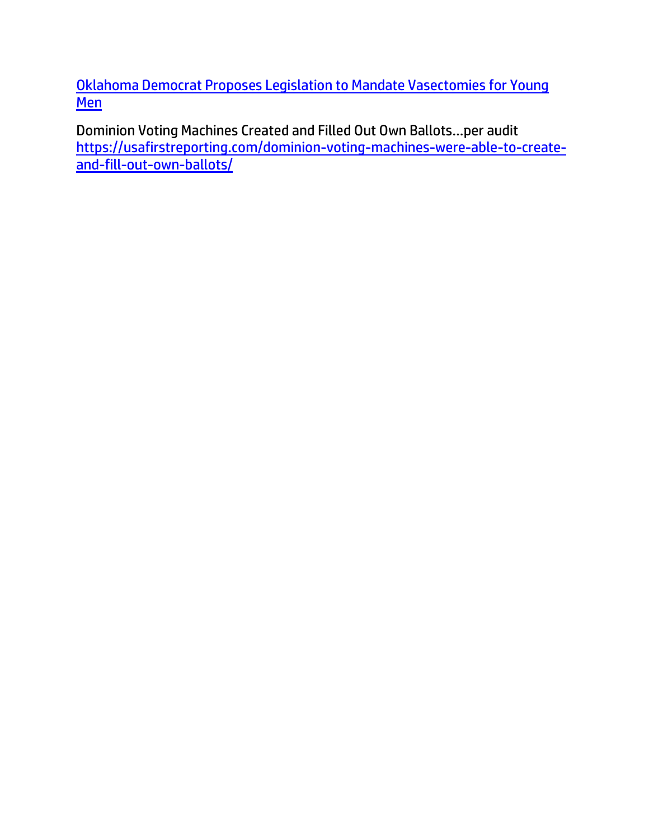[Oklahoma Democrat Proposes Legislation to Mandate Vasectomies for Young](https://welovetrump.com/2022/05/22/oklahoma-democrat-proposes-legislation-to-mandate-vasectomies-for-young-men/)  **[Men](https://welovetrump.com/2022/05/22/oklahoma-democrat-proposes-legislation-to-mandate-vasectomies-for-young-men/)** 

Dominion Voting Machines Created and Filled Out Own Ballots…per audit [https://usafirstreporting.com/dominion-voting-machines-were-able-to-create](https://usafirstreporting.com/dominion-voting-machines-were-able-to-create-and-fill-out-own-ballots/)[and-fill-out-own-ballots/](https://usafirstreporting.com/dominion-voting-machines-were-able-to-create-and-fill-out-own-ballots/)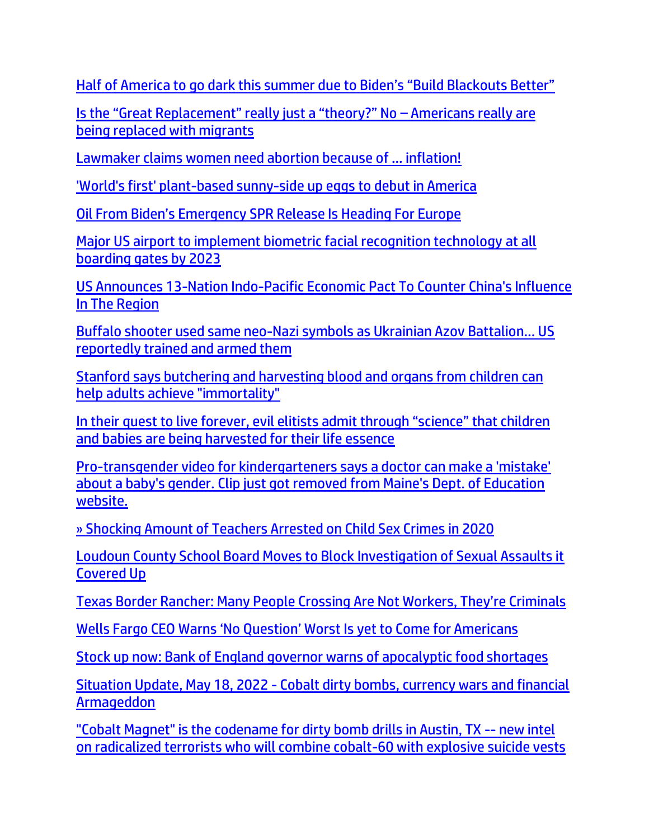[Half of America to go dark this summer due to Biden's "Build Blackouts Better"](https://www.naturalnews.com/2022-05-22-half-america-dark-summer-biden-build-blackouts-better.html)

[Is the "Great Replacement" really just a "theory?" No –](https://ratherexposethem.org/2022/05/21/is-the-great-replacement-really-just-a-theory-no-americans-really-are-being-replaced-with-migrants/) Americans really are [being replaced with migrants](https://ratherexposethem.org/2022/05/21/is-the-great-replacement-really-just-a-theory-no-americans-really-are-being-replaced-with-migrants/)

[Lawmaker claims women need abortion because of ... inflation!](https://www.wnd.com/2022/05/lawmaker-claims-women-need-abortion-inflation/)

['World's first' plant-based sunny-side up eggs to debut in America](https://www.wnd.com/2022/05/worlds-first-plant-based-sunny-side-eggs-debut-america/)

[Oil From Biden's Emergency SPR Release Is Heading For Europe](https://www.zerohedge.com/commodities/oil-bidens-emergency-spr-release-heading-europe)

[Major US airport to implement biometric facial recognition technology at all](https://www.lifesitenews.com/news/major-us-airport-to-implement-biometric-facial-recognition-technology-at-all-boarding-gates-by-2023/?utm_source=top_news&utm_campaign=usa)  [boarding gates by 2023](https://www.lifesitenews.com/news/major-us-airport-to-implement-biometric-facial-recognition-technology-at-all-boarding-gates-by-2023/?utm_source=top_news&utm_campaign=usa)

[US Announces 13-Nation Indo-Pacific Economic Pact To Counter China's Influence](https://www.zerohedge.com/geopolitical/us-announces-13-nation-indo-pacific-economic-pact-counter-chinas-influence-region)  [In The Region](https://www.zerohedge.com/geopolitical/us-announces-13-nation-indo-pacific-economic-pact-counter-chinas-influence-region)

Buffalo shooter used same neo-[Nazi symbols as Ukrainian Azov Battalion… US](https://www.naturalnews.com/2022-05-22-buffalo-shooter-used-same-neo-nazi-symbols-azov-battalion.html)  [reportedly trained and armed them](https://www.naturalnews.com/2022-05-22-buffalo-shooter-used-same-neo-nazi-symbols-azov-battalion.html)

[Stanford says butchering and harvesting blood and organs from children can](https://ce-publiclw.naturalnews.com/ct.asp?id=E580770E32D6535C02AE31CFCDD67F306A04EA2DE4D2044412A966BBB88172DB79F1EB0BDD92D9105484A308803D61B1&ct=4aeUs2sAAABCWmgzMUFZJlNZ2Y6jSgAAGZmAAAPyMD%2fn36AgAGg1Tyhp6g2UAepptQinpPTENQaaDCF8mm59W5%2bxDOukwRsNVyCl2gMtvqUOUJyBcEcYqpRMsTrbVHvvJCATaGGhE7isnO29WxhvyHw0YZ0NVGqfi7kinChIbMdRpQA%3d)  [help adults achieve "immortality"](https://ce-publiclw.naturalnews.com/ct.asp?id=E580770E32D6535C02AE31CFCDD67F306A04EA2DE4D2044412A966BBB88172DB79F1EB0BDD92D9105484A308803D61B1&ct=4aeUs2sAAABCWmgzMUFZJlNZ2Y6jSgAAGZmAAAPyMD%2fn36AgAGg1Tyhp6g2UAepptQinpPTENQaaDCF8mm59W5%2bxDOukwRsNVyCl2gMtvqUOUJyBcEcYqpRMsTrbVHvvJCATaGGhE7isnO29WxhvyHw0YZ0NVGqfi7kinChIbMdRpQA%3d)

[In their quest to live forever, evil elitists admit through "science" that children](https://www.naturalnews.com/2022-05-22-evil-elitists-admit-children-babies-being-harvested.html)  [and babies are being harvested for their life essence](https://www.naturalnews.com/2022-05-22-evil-elitists-admit-children-babies-being-harvested.html)

[Pro-transgender video for kindergarteners says a doctor can make a 'mistake'](https://link.theblaze.com/click/27786099.1160995/aHR0cHM6Ly93d3cudGhlYmxhemUuY29tL25ld3MvcHJvLXRyYW5zZ2VuZGVyLXZpZGVvLWZvci1raW5kZXJnYXJ0ZW5lcnM_dXRtX3NvdXJjZT10aGVibGF6ZS1icmVha2luZyZ1dG1fbWVkaXVtPWVtYWlsJnV0bV9jYW1wYWlnbj0yMDIyMDUyMFRyZW5kaW5nLVdhc2hpbmd0b25TdGF0ZSZ1dG1fdGVybT1BQ1RJVkUgTElTVCAtIFRoZUJsYXplIEJyZWFraW5nIE5ld3M/61f82015384ca325d2cdab60Cd056c411)  [about a baby's gender. Clip just got removed from Maine's Dept. of Education](https://link.theblaze.com/click/27786099.1160995/aHR0cHM6Ly93d3cudGhlYmxhemUuY29tL25ld3MvcHJvLXRyYW5zZ2VuZGVyLXZpZGVvLWZvci1raW5kZXJnYXJ0ZW5lcnM_dXRtX3NvdXJjZT10aGVibGF6ZS1icmVha2luZyZ1dG1fbWVkaXVtPWVtYWlsJnV0bV9jYW1wYWlnbj0yMDIyMDUyMFRyZW5kaW5nLVdhc2hpbmd0b25TdGF0ZSZ1dG1fdGVybT1BQ1RJVkUgTElTVCAtIFRoZUJsYXplIEJyZWFraW5nIE5ld3M/61f82015384ca325d2cdab60Cd056c411)  [website.](https://link.theblaze.com/click/27786099.1160995/aHR0cHM6Ly93d3cudGhlYmxhemUuY29tL25ld3MvcHJvLXRyYW5zZ2VuZGVyLXZpZGVvLWZvci1raW5kZXJnYXJ0ZW5lcnM_dXRtX3NvdXJjZT10aGVibGF6ZS1icmVha2luZyZ1dG1fbWVkaXVtPWVtYWlsJnV0bV9jYW1wYWlnbj0yMDIyMDUyMFRyZW5kaW5nLVdhc2hpbmd0b25TdGF0ZSZ1dG1fdGVybT1BQ1RJVkUgTElTVCAtIFRoZUJsYXplIEJyZWFraW5nIE5ld3M/61f82015384ca325d2cdab60Cd056c411)

[» Shocking Amount of Teachers Arrested on Child Sex Crimes in 2020](https://trk.cp20.com/click/gak4-3n8ps5-8bn5a3-f4obzxf7/)

[Loudoun County School Board Moves to Block Investigation of Sexual Assaults it](https://ratherexposethem.org/2022/05/22/loudoun-county-school-board-moves-to-block-investigation-of-sexual-assaults-it-covered-up/)  [Covered Up](https://ratherexposethem.org/2022/05/22/loudoun-county-school-board-moves-to-block-investigation-of-sexual-assaults-it-covered-up/)

[Texas Border Rancher: Many People Crossing Are Not Workers, They're Criminals](https://delivery.email.saraacarter.com/GUIDARZE?id=153976=eh4CVwZWCQQBTAcHAF0NBgAAAAwOUFJXVARcUl1UUAsOVFNUAgEDCwMBUgYDWFcBVgseXlxdAxEKDCRUVABaVBcBXQtPVAYGBAEGClEPDAYPClsBBQIaChURFEADThxcXA5bEFYXSR1SXVJbChdGVUVTA1dWQxIHE0sHXFROdG1wJnM0aSAPWlNMRQE=&fl=URZGFkBfHxxDVV9XC1xBRl5XERpdVAMMBksHXFROUFRQAVk=&ext=dD1leUpoYkdjaU9pSklVekkxTmlJc0luUjVjQ0k2SWtwWFZDSjkuZXlKd0lqcGJiblZzYkN4dWRXeHNMQ0pvZEhSd2N6b3ZMM05oY21GaFkyRnlkR1Z5TG1OdmJTOTBaWGhoY3kxaWIzSmtaWEl0Y21GdVkyaGxjaTF0WVc1NUxYQmxiM0JzWlMxamNtOXpjMmx1WnkxaGNtVXRibTkwTFhkdmNtdGxjbk10ZEdobGVYSmxMV055YVcxcGJtRnNjeThfZFhSdFgzTnZkWEpqWlQxcVpXVnVaeVpxWlcwOVl6VmhNemcxTnpCak1HRmtZMk5qWmpoaFlqTmtZemxpWWpjd01qTXpaak1pTEc1MWJHd3NNU3htWVd4elpTeG1ZV3h6WlN3aVpHUTFNRGN6TW1RdE0yTm1ZUzAwTldJM0xUZzFNVEV0Tm1WbE1tRXdOakJoT0Rjeklpd2lZakl5WVRRMk56a3RaV1ZtWkMwME1USXhMV0k1WVRNdE5URTNZbVl5WWpBMFpHUXpJaXdpT0dGbU5UY3dPREF0T1dNeE15MDBZbVF6TFdJNE5tWXRNR0l6WXpWa1pqa3haakZpSWl3aWFIUjBjSE02THk5ellYSmhZV05oY25SbGNpNWpiMjB2ZEdWNFlYTXRZbTl5WkdWeUxYSmhibU5vWlhJdGJXRnVlUzF3Wlc5d2JHVXRZM0p2YzNOcGJtY3RZWEpsTFc1dmRDMTNiM0pyWlhKekxYUm9aWGx5WlMxamNtbHRhVzVoYkhNdklpd2lZemR3TTE4d0lpd2laVzFoYVd3aUxDSkVVeUpkTENKcFlYUWlPakUyTlRNeU1qUTBPRFI5Lmd3N2JBdmhUVXVFVDZ5Vm40dllFZlJhN2JCdzZhZ2NtdnNhTVhucmJwWVE=)

Wells Fargo CEO Warns ['No Question' Worst Is yet to Come for Americans](https://lists.youmaker.com/links/gI8L68oslJ/Jlid8tcrj/7xAbPNiP2/Duh2INhkw4)

[Stock up now: Bank of England governor warns of apocalyptic food shortages](https://ce-publicdy.naturalnews.com/ct.asp?id=D75BA75A61D1D21C1A9726C570A0C7E10931E9344171112285896B0B381BD6FF4E809250A532D7DB59DA0C23B5AEA44A&ct=4aeUs1gAAABCWmgzMUFZJlNZwcAAKwAAFxmAAAPyUD%2fP3YAgAEiKY1D0j1PSPUHimGNom0zSgYE0M9NUdFk8DezIfASnYOSq3c96q8UvACIso0MjEukZTyQ02GcD1gaK4ov%2bXt7dBXJEzK34u5IpwoSGDgABWA%3d%3d)

Situation Update, May 18, 2022 - [Cobalt dirty bombs, currency wars and financial](https://ce-publiclw.naturalnews.com/ct.asp?id=5E17CF41E5CC64F85F8DDE2C8BB88DEF37BDE54F8F7096DBBB60456730A8E6017A5517B025143DE81CDDADD86A581365&ct=4aeUsz4AAABCWmgzMUFZJlNZLEaL2wAAF5mAAAO%2f8Drj3IAgAEjDyanqbU9Goek0NqEQAAAA0Kh6xdros%2bW6XdqjMKuZhLDvZaMjFYgQRaPfJRgH1WkROUQ38XckU4UJAsRovbA%3d)  [Armageddon](https://ce-publiclw.naturalnews.com/ct.asp?id=5E17CF41E5CC64F85F8DDE2C8BB88DEF37BDE54F8F7096DBBB60456730A8E6017A5517B025143DE81CDDADD86A581365&ct=4aeUsz4AAABCWmgzMUFZJlNZLEaL2wAAF5mAAAO%2f8Drj3IAgAEjDyanqbU9Goek0NqEQAAAA0Kh6xdros%2bW6XdqjMKuZhLDvZaMjFYgQRaPfJRgH1WkROUQ38XckU4UJAsRovbA%3d)

["Cobalt Magnet" is the codename for dirty bomb drills in Austin, TX --](https://ce-publiclw.naturalnews.com/ct.asp?id=AAC0FEE7290C2545A59138D34F5B40775D88EB2B1BF85A44379F9701CB5EE0D5949008836C9BCC0E6B452B172D426806&ct=4aeUs2sAAABCWmgzMUFZJlNZvs%2bo3AAAGxmAAAPykD%2fn3uAgAGCKeU2mp6T0IZR6Yp6hQAAAAA310s%2fZFfACha13jqUwEuw85fFmV2S2oRBd1kuJ0tCGXG7gly%2fhjEkMPrc42nlFWMGH97qRjXoasO9GVBsgfxdyRThQkL7PqNw%3d) new intel [on radicalized terrorists who will combine cobalt-60 with explosive suicide vests](https://ce-publiclw.naturalnews.com/ct.asp?id=AAC0FEE7290C2545A59138D34F5B40775D88EB2B1BF85A44379F9701CB5EE0D5949008836C9BCC0E6B452B172D426806&ct=4aeUs2sAAABCWmgzMUFZJlNZvs%2bo3AAAGxmAAAPykD%2fn3uAgAGCKeU2mp6T0IZR6Yp6hQAAAAA310s%2fZFfACha13jqUwEuw85fFmV2S2oRBd1kuJ0tCGXG7gly%2fhjEkMPrc42nlFWMGH97qRjXoasO9GVBsgfxdyRThQkL7PqNw%3d)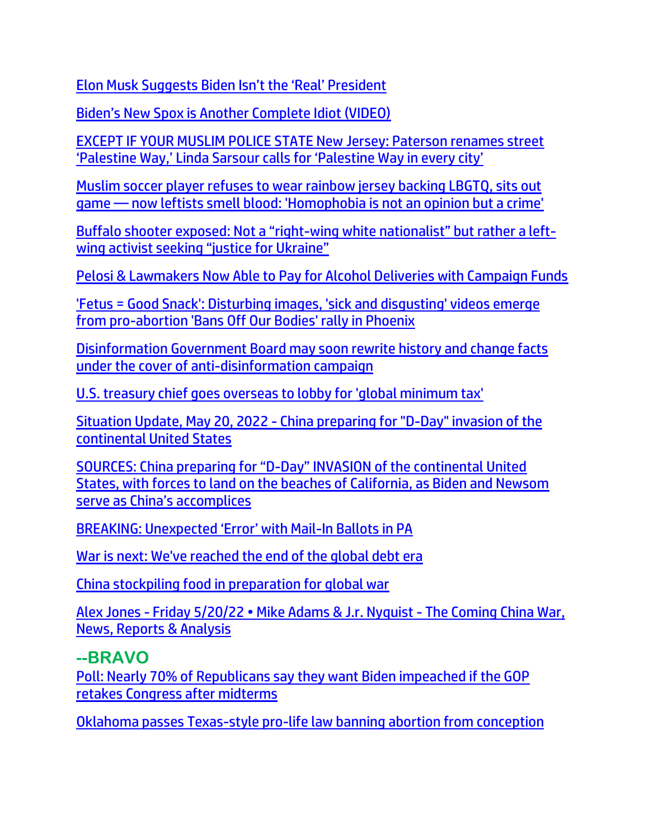[Elon Musk Suggests Biden Isn't the 'Real' President](https://lists.youmaker.com/links/gI8L68oslJ/Jlid8tcrj/7xAbPNiP2/ERiLOgDTiW) 

[Biden's New Spox is Another Complete Idiot \(VIDEO\)](https://trk.cp20.com/click/gak4-3n729u-8bmoe4-f4obzxf2/)

[EXCEPT IF YOUR MUSLIM POLICE STATE New Jersey: Paterson renames street](https://ratherexposethem.org/2022/05/18/except-if-your-muslim-police-state-new-jersey-paterson-renames-street-palestine-way-linda-sarsour-calls-for-palestine-way-in-every-city/)  ['Palestine Way,' Linda Sarsour calls for 'Palestine Way in every city'](https://ratherexposethem.org/2022/05/18/except-if-your-muslim-police-state-new-jersey-paterson-renames-street-palestine-way-linda-sarsour-calls-for-palestine-way-in-every-city/)

[Muslim soccer player refuses to wear rainbow jersey backing LBGTQ, sits out](https://link.theblaze.com/click/27746721.1156491/aHR0cHM6Ly93d3cudGhlYmxhemUuY29tL25ld3MvbXVzbGltLXNvY2Nlci1wbGF5ZXItcmFpbmJvdy1qZXJzZXk_dXRtX3NvdXJjZT10aGVibGF6ZS1icmVha2luZyZ1dG1fbWVkaXVtPWVtYWlsJnV0bV9jYW1wYWlnbj0yMDIyMDUxN1RyZW5kaW5nLUVsb25CaWRlbiZ1dG1fdGVybT1BQ1RJVkUgTElTVCAtIFRoZUJsYXplIEJyZWFraW5nIE5ld3M/61f82015384ca325d2cdab60C13ccc4d4)  game — [now leftists smell blood: 'Homophobia is not an opinion but a crime'](https://link.theblaze.com/click/27746721.1156491/aHR0cHM6Ly93d3cudGhlYmxhemUuY29tL25ld3MvbXVzbGltLXNvY2Nlci1wbGF5ZXItcmFpbmJvdy1qZXJzZXk_dXRtX3NvdXJjZT10aGVibGF6ZS1icmVha2luZyZ1dG1fbWVkaXVtPWVtYWlsJnV0bV9jYW1wYWlnbj0yMDIyMDUxN1RyZW5kaW5nLUVsb25CaWRlbiZ1dG1fdGVybT1BQ1RJVkUgTElTVCAtIFRoZUJsYXplIEJyZWFraW5nIE5ld3M/61f82015384ca325d2cdab60C13ccc4d4)

Buffalo shooter exposed: Not a "right-[wing white nationalist" but rather a left](https://ratherexposethem.org/2022/05/18/buffalo-shooter-exposed-not-a-right-wing-white-nationalist-but-rather-a-left-wing-activist-seeking-justice-for-ukraine/)[wing activist seeking "justice for Ukraine"](https://ratherexposethem.org/2022/05/18/buffalo-shooter-exposed-not-a-right-wing-white-nationalist-but-rather-a-left-wing-activist-seeking-justice-for-ukraine/)

[Pelosi & Lawmakers Now Able to Pay for Alcohol Deliveries with Campaign Funds](https://welovetrump.com/2022/05/14/pelosi-lawmakers-now-able-to-pay-for-alcohol-deliveries-with-campaign-funds/)

['Fetus = Good Snack': Disturbing images, 'sick and disgusting' videos emerge](https://link.theblaze.com/click/27731015.1082392/aHR0cHM6Ly93d3cudGhlYmxhemUuY29tL25ld3MvZmV0dXMtZ29vZC1zbmFjay1wcm8tYWJvcnRpb24_dXRtX3NvdXJjZT10aGVibGF6ZS1icmVha2luZyZ1dG1fbWVkaXVtPWVtYWlsJnV0bV9jYW1wYWlnbj0yMDIyMDUxNlRyZW5kaW5nLURpc2d1c3RpbmdQcm9BYm9ydGlvblByb3Rlc3RzJnV0bV90ZXJtPUFDVElWRSBMSVNUIC0gVGhlQmxhemUgQnJlYWtpbmcgTmV3cw/61f82015384ca325d2cdab60Cb11737f4)  [from pro-abortion 'Bans Off Our Bodies' rally in Phoenix](https://link.theblaze.com/click/27731015.1082392/aHR0cHM6Ly93d3cudGhlYmxhemUuY29tL25ld3MvZmV0dXMtZ29vZC1zbmFjay1wcm8tYWJvcnRpb24_dXRtX3NvdXJjZT10aGVibGF6ZS1icmVha2luZyZ1dG1fbWVkaXVtPWVtYWlsJnV0bV9jYW1wYWlnbj0yMDIyMDUxNlRyZW5kaW5nLURpc2d1c3RpbmdQcm9BYm9ydGlvblByb3Rlc3RzJnV0bV90ZXJtPUFDVElWRSBMSVNUIC0gVGhlQmxhemUgQnJlYWtpbmcgTmV3cw/61f82015384ca325d2cdab60Cb11737f4)

[Disinformation Government Board may soon rewrite history and change facts](https://www.naturalnews.com/2022-05-15-disinformation-board-to-rewrite-history-change-facts.html)  [under the cover of anti-disinformation campaign](https://www.naturalnews.com/2022-05-15-disinformation-board-to-rewrite-history-change-facts.html)

[U.S. treasury chief goes overseas to lobby for 'global minimum tax'](https://www.wnd.com/2022/05/u-s-treasury-chief-goes-overseas-lobby-global-minimum-tax/)

Situation Update, May 20, 2022 - [China preparing for "D-Day" invasion of the](https://ce-publiclw.naturalnews.com/ct.asp?id=D085BDDA0CFA60F5E2AA8B6F29D7DABEB004D59E5C7857F899D7B1537419F2A71B3FD47E662B2D06A73EE7D5A7ACE1CA&ct=4aeUsz4AAABCWmgzMUFZJlNZ4jTslAAAF5mAAAPfsD%2fj3IAgAFCgAGgAAIpmiNlMBMmh5Th4QXUtFatOTEG9OZPFRJCgb73sLWSzHBZU3e%2bRVApMjVRYgZ%2fF3JFOFCQ4jTslAA%3d%3d)  [continental United States](https://ce-publiclw.naturalnews.com/ct.asp?id=D085BDDA0CFA60F5E2AA8B6F29D7DABEB004D59E5C7857F899D7B1537419F2A71B3FD47E662B2D06A73EE7D5A7ACE1CA&ct=4aeUsz4AAABCWmgzMUFZJlNZ4jTslAAAF5mAAAPfsD%2fj3IAgAFCgAGgAAIpmiNlMBMmh5Th4QXUtFatOTEG9OZPFRJCgb73sLWSzHBZU3e%2bRVApMjVRYgZ%2fF3JFOFCQ4jTslAA%3d%3d)

SOURCES: China preparing for "D-[Day" INVASION of the continental United](https://ratherexposethem.org/2022/05/21/sources-china-preparing-for-d-day-invasion-of-the-continental-united-states-with-forces-to-land-on-the-beaches-of-california-as-biden-and-newsom-serve-as-chinas-accomplic/)  [States, with forces to land on the beaches of California, as Biden and Newsom](https://ratherexposethem.org/2022/05/21/sources-china-preparing-for-d-day-invasion-of-the-continental-united-states-with-forces-to-land-on-the-beaches-of-california-as-biden-and-newsom-serve-as-chinas-accomplic/)  [serve as China's accomplices](https://ratherexposethem.org/2022/05/21/sources-china-preparing-for-d-day-invasion-of-the-continental-united-states-with-forces-to-land-on-the-beaches-of-california-as-biden-and-newsom-serve-as-chinas-accomplic/)

[BREAKING: Unexpected 'Error' with Mail](https://trk.cp20.com/click/gak4-3n8e2d-8bn2fl-f4obzxf7/)-In Ballots in PA

[War is next: We've reached the end of the global debt era](https://ce-publiclw.naturalnews.com/ct.asp?id=810A387E69989057EE3DF888FDD6E2E474F09C5FF4771BA5B069C09218EC071BB63732679501342B9CC3EB026AEB8399&ct=4aeUsz4AAABCWmgzMUFZJlNZJkBiVwAAF5mAAAOf8D%2fj3IAgAFRQAAAAaFE8mUaYI2oxNqAdCW87wmSS7hJ8bA59TcA7dW0IISUPeIkxa5wa6E%2fq6gBieFT4u5IpwoSBMgMSuA%3d%3d)

[China stockpiling food in preparation for global war](https://ce-publiclw.naturalnews.com/ct.asp?id=C994761795263DE99DC44CE38E22F0E9C6A2B01956973B9F2B6E829683B3889F81F90136ED165BFD751E7BA3CF1D9314&ct=4aeUsz4AAABCWmgzMUFZJlNZdG95ogAAF5mAAAP%2b8Dvj3IAgAFRQAAAAaGHlNPakPTUHqNDagYYRVqzuyV2di4Wjmm8g6cytMsX6BHQxCj3xIsLrWRADEAXPi7kinChIOje80QA%3d)

Alex Jones - [Friday 5/20/22 • Mike Adams & J.r. Nyquist](https://ce-publiclw.naturalnews.com/ct.asp?id=ECD7339176423E4AF295A8ECBB6EBFBEF254DB8D26E5581214214BA22B64C33A676A6FEB125D04602595D33BD5AECA38&ct=4aeUsz4AAABCWmgzMUFZJlNZD%2bCS%2bwAAF5mAAAP%2f8D%2fj3IAgAFDGAAAAAIoxM1NMnpqG1GjNSWhQW1LR3lPXmhkJVrsFKthhoMSaRcju2cGav%2b9euAHoRVW54Dz8XckU4UJAP4JL7A%3d%3d) - The Coming China War, [News, Reports & Analysis](https://ce-publiclw.naturalnews.com/ct.asp?id=ECD7339176423E4AF295A8ECBB6EBFBEF254DB8D26E5581214214BA22B64C33A676A6FEB125D04602595D33BD5AECA38&ct=4aeUsz4AAABCWmgzMUFZJlNZD%2bCS%2bwAAF5mAAAP%2f8D%2fj3IAgAFDGAAAAAIoxM1NMnpqG1GjNSWhQW1LR3lPXmhkJVrsFKthhoMSaRcju2cGav%2b9euAHoRVW54Dz8XckU4UJAP4JL7A%3d%3d)

#### **--BRAVO**

[Poll: Nearly 70% of Republicans say they want Biden impeached if the GOP](https://link.theblaze.com/click/27801621.1146926/aHR0cHM6Ly93d3cudGhlYmxhemUuY29tL25ld3MvcG9sbC1uZWFybHktNzAtb2YtcmVwdWJsaWNhbnMtc2F5LXRoZXktd2FudC1iaWRlbi1pbXBlYWNoZWQtaWYtdGhlLWdvcC1yZXRha2VzLWNvbmdyZXNzLWFmdGVyLXRoZS1taWR0ZXJtLWVsZWN0aW9ucz91dG1fc291cmNlPXRoZWJsYXplLWJyZWFraW5nJnV0bV9tZWRpdW09ZW1haWwmdXRtX2NhbXBhaWduPU5ldy1UcmVuZGluZy1TdG9yeV9XRUVLRU5EIDIwMjItMDUtMjImdXRtX3Rlcm09QUNUSVZFIExJU1QgLSBUaGVCbGF6ZSBCcmVha2luZyBOZXdz/61f82015384ca325d2cdab60Ca1fd1c14)  [retakes Congress after midterms](https://link.theblaze.com/click/27801621.1146926/aHR0cHM6Ly93d3cudGhlYmxhemUuY29tL25ld3MvcG9sbC1uZWFybHktNzAtb2YtcmVwdWJsaWNhbnMtc2F5LXRoZXktd2FudC1iaWRlbi1pbXBlYWNoZWQtaWYtdGhlLWdvcC1yZXRha2VzLWNvbmdyZXNzLWFmdGVyLXRoZS1taWR0ZXJtLWVsZWN0aW9ucz91dG1fc291cmNlPXRoZWJsYXplLWJyZWFraW5nJnV0bV9tZWRpdW09ZW1haWwmdXRtX2NhbXBhaWduPU5ldy1UcmVuZGluZy1TdG9yeV9XRUVLRU5EIDIwMjItMDUtMjImdXRtX3Rlcm09QUNUSVZFIExJU1QgLSBUaGVCbGF6ZSBCcmVha2luZyBOZXdz/61f82015384ca325d2cdab60Ca1fd1c14)

[Oklahoma passes Texas-style pro-life law banning abortion from conception](https://www.lifesitenews.com/news/oklahoma-lawmakers-pass-texas-style-pro-life-law-banning-abortion-from-moment-of-conception/?utm_source=top_news&utm_campaign=usa)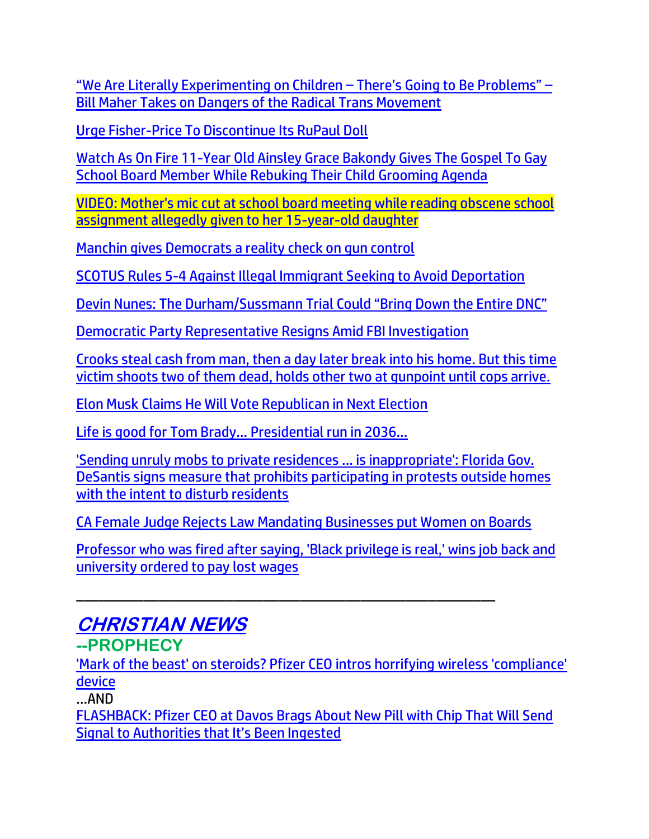["We Are Literally Experimenting on Children –](https://www.thegatewaypundit.com/2022/05/literally-experimenting-children-going-problems-bill-maher-takes-dangers-radical-trans-movement-video/) There's Going to Be Problems" – [Bill Maher Takes on Dangers of the Radical Trans Movement](https://www.thegatewaypundit.com/2022/05/literally-experimenting-children-going-problems-bill-maher-takes-dangers-radical-trans-movement-video/)

[Urge Fisher-Price To Discontinue Its RuPaul Doll](https://www.afa.net/the-stand/culture/2022/05/urge-fisher-price-to-discontinue-its-rupaul-doll)

[Watch As On Fire 11-Year Old Ainsley Grace Bakondy Gives The Gospel To Gay](https://www.nowtheendbegins.com/watch-11-year-old-christian-girl-rebuke-gay-child-grooming-school-board-preaching-jesus/)  [School Board Member While Rebuking Their Child Grooming Agenda](https://www.nowtheendbegins.com/watch-11-year-old-christian-girl-rebuke-gay-child-grooming-school-board-preaching-jesus/)

[VIDEO: Mother's mic cut at school board meeting while reading obscene school](https://link.theblaze.com/click/27757576.955843/aHR0cHM6Ly93d3cudGhlYmxhemUuY29tL25ld3MvbW90aGVyLW1pYy1jdXQtYXQtc2Nob29sLWJvYXJkLW1lZXRpbmc_dXRtX3NvdXJjZT10aGVibGF6ZS03RGF5VHJlbmRpbmdUZXN0JnV0bV9tZWRpdW09ZW1haWwmdXRtX2NhbXBhaWduPUFmdGVybm9vbiBBdXRvIFRyZW5kaW5nIDcgRGF5IEVuZ2FnZWQgMjAyMi0wNS0xOCZ1dG1fdGVybT1BQ1RJVkUgTElTVCAtIDcgRGF5IEVuZ2FnZW1lbnQ/61f82015384ca325d2cdab60Cdeb03c06)  [assignment allegedly given to her 15-year-old daughter](https://link.theblaze.com/click/27757576.955843/aHR0cHM6Ly93d3cudGhlYmxhemUuY29tL25ld3MvbW90aGVyLW1pYy1jdXQtYXQtc2Nob29sLWJvYXJkLW1lZXRpbmc_dXRtX3NvdXJjZT10aGVibGF6ZS03RGF5VHJlbmRpbmdUZXN0JnV0bV9tZWRpdW09ZW1haWwmdXRtX2NhbXBhaWduPUFmdGVybm9vbiBBdXRvIFRyZW5kaW5nIDcgRGF5IEVuZ2FnZWQgMjAyMi0wNS0xOCZ1dG1fdGVybT1BQ1RJVkUgTElTVCAtIDcgRGF5IEVuZ2FnZW1lbnQ/61f82015384ca325d2cdab60Cdeb03c06)

[Manchin gives Democrats a reality check on gun control](https://link.theblaze.com/click/27761845.939919/aHR0cHM6Ly93d3cudGhlYmxhemUuY29tL25ld3MvbWFuY2hpbi1naXZlcy1kZW1vY3JhdHMtYS1yZWFsaXR5LWNoZWNrLW9uLWd1bi1jb250cm9sP3V0bV9zb3VyY2U9dGhlYmxhemUtN0RheVRyZW5kaW5nVGVzdCZ1dG1fbWVkaXVtPWVtYWlsJnV0bV9jYW1wYWlnbj1UaGUgQmxhemUgUE0gVHJlbmRpbmcgMjAyMi0wNS0xOCZ1dG1fdGVybT1BQ1RJVkUgTElTVCAtIDcgRGF5IEVuZ2FnZW1lbnQ/61f82015384ca325d2cdab60C127ae267)

[SCOTUS Rules 5-4 Against Illegal Immigrant Seeking to Avoid Deportation](https://resistthemainstream.org/scotus-rules-on-illegal-immigrant-seeking-to-avoid-deportation/)

[Devin Nunes: The Durham/Sussmann Trial Could "Bring Down the Entire DNC"](https://welovetrump.com/2022/05/17/devin-nunes-the-durham-sussmann-trial-could-bring-down-the-entire-dnc/)

[Democratic Party Representative Resigns Amid FBI Investigation](https://lists.youmaker.com/links/tbboItG9Ux/Jlid8tcrj/7xAbPNiP2/1bsZIDSnbBT)

[Crooks steal cash from man, then a day later break into his home. But this time](https://link.theblaze.com/click/27752026.1042598/aHR0cHM6Ly93d3cudGhlYmxhemUuY29tL25ld3MvaG9tZW93bmVyLWZhdGFsbHktc2hvb3RzLXR3by1pbnRydWRlcnM_dXRtX3NvdXJjZT10aGVibGF6ZS1kYWlseUFNJnV0bV9tZWRpdW09ZW1haWwmdXRtX2NhbXBhaWduPURhaWx5LU5ld3NsZXR0ZXJfX0FNIDIwMjItMDUtMTgmdXRtX3Rlcm09QUNUSVZFIExJU1QgLSBUaGVCbGF6ZSBEYWlseSBBTQ/61f82015384ca325d2cdab60C0b37df50)  [victim shoots two of them dead, holds other two at gunpoint until cops arrive.](https://link.theblaze.com/click/27752026.1042598/aHR0cHM6Ly93d3cudGhlYmxhemUuY29tL25ld3MvaG9tZW93bmVyLWZhdGFsbHktc2hvb3RzLXR3by1pbnRydWRlcnM_dXRtX3NvdXJjZT10aGVibGF6ZS1kYWlseUFNJnV0bV9tZWRpdW09ZW1haWwmdXRtX2NhbXBhaWduPURhaWx5LU5ld3NsZXR0ZXJfX0FNIDIwMjItMDUtMTgmdXRtX3Rlcm09QUNUSVZFIExJU1QgLSBUaGVCbGF6ZSBEYWlseSBBTQ/61f82015384ca325d2cdab60C0b37df50)

[Elon Musk Claims He Will Vote Republican in Next Election](https://www.breitbart.com/tech/2022/05/17/elon-musk-claims-he-will-vote-republican-in-next-election/)

[Life is good for Tom Brady… Presidential run in 2036…](https://citizenfreepress.com/breaking/life-is-good-for-tom-brady-presidential-run-in-2036/)

['Sending unruly mobs to private residences ... is inappropriate': Florida Gov.](https://link.theblaze.com/click/27736005.1149626/aHR0cHM6Ly93d3cudGhlYmxhemUuY29tL25ld3MvZGVzYW50aXMtbGF3LXByb3Rlc3Qtb3V0c2lkZS1ob21lcz91dG1fc291cmNlPXRoZWJsYXplLWJyZWFraW5nJnV0bV9tZWRpdW09ZW1haWwmdXRtX2NhbXBhaWduPTIwMjIwNTE3U3BvbnNvcmVkVHJlbmRpbmctUmV2ZWxhdGlvbk1lZGlhJnV0bV90ZXJtPUFDVElWRSBMSVNUIC0gVGhlQmxhemUgQnJlYWtpbmcgTmV3cw/61f82015384ca325d2cdab60C53cce250)  [DeSantis signs measure that prohibits participating in protests outside homes](https://link.theblaze.com/click/27736005.1149626/aHR0cHM6Ly93d3cudGhlYmxhemUuY29tL25ld3MvZGVzYW50aXMtbGF3LXByb3Rlc3Qtb3V0c2lkZS1ob21lcz91dG1fc291cmNlPXRoZWJsYXplLWJyZWFraW5nJnV0bV9tZWRpdW09ZW1haWwmdXRtX2NhbXBhaWduPTIwMjIwNTE3U3BvbnNvcmVkVHJlbmRpbmctUmV2ZWxhdGlvbk1lZGlhJnV0bV90ZXJtPUFDVElWRSBMSVNUIC0gVGhlQmxhemUgQnJlYWtpbmcgTmV3cw/61f82015384ca325d2cdab60C53cce250)  [with the intent to disturb residents](https://link.theblaze.com/click/27736005.1149626/aHR0cHM6Ly93d3cudGhlYmxhemUuY29tL25ld3MvZGVzYW50aXMtbGF3LXByb3Rlc3Qtb3V0c2lkZS1ob21lcz91dG1fc291cmNlPXRoZWJsYXplLWJyZWFraW5nJnV0bV9tZWRpdW09ZW1haWwmdXRtX2NhbXBhaWduPTIwMjIwNTE3U3BvbnNvcmVkVHJlbmRpbmctUmV2ZWxhdGlvbk1lZGlhJnV0bV90ZXJtPUFDVElWRSBMSVNUIC0gVGhlQmxhemUgQnJlYWtpbmcgTmV3cw/61f82015384ca325d2cdab60C53cce250)

CA Female Judge Rejects Law Mandating Businesses put Women on Boards

\_\_\_\_\_\_\_\_\_\_\_\_\_\_\_\_\_\_\_\_\_\_\_\_\_\_\_\_\_\_\_\_\_\_\_\_\_\_\_\_\_\_\_\_\_\_\_\_\_\_\_\_\_\_\_\_

[Professor who was fired after saying, 'Black privilege is real,' wins job back and](https://link.theblaze.com/click/27796344.1162225/aHR0cHM6Ly93d3cudGhlYmxhemUuY29tL25ld3MvZmlyZWQtcHJvZmVzc29yLXVjZi1yZWluc3RhdGVkLXR3aXR0ZXI_dXRtX3NvdXJjZT10aGVibGF6ZS1icmVha2luZyZ1dG1fbWVkaXVtPWVtYWlsJnV0bV9jYW1wYWlnbj1OZXctVHJlbmRpbmctU3RvcnlfV0VFS0VORCAyMDIyLTA1LTIxJnV0bV90ZXJtPUFDVElWRSBMSVNUIC0gVGhlQmxhemUgQnJlYWtpbmcgTmV3cw/61f82015384ca325d2cdab60C6137e2a6)  [university ordered to pay lost wages](https://link.theblaze.com/click/27796344.1162225/aHR0cHM6Ly93d3cudGhlYmxhemUuY29tL25ld3MvZmlyZWQtcHJvZmVzc29yLXVjZi1yZWluc3RhdGVkLXR3aXR0ZXI_dXRtX3NvdXJjZT10aGVibGF6ZS1icmVha2luZyZ1dG1fbWVkaXVtPWVtYWlsJnV0bV9jYW1wYWlnbj1OZXctVHJlbmRpbmctU3RvcnlfV0VFS0VORCAyMDIyLTA1LTIxJnV0bV90ZXJtPUFDVElWRSBMSVNUIC0gVGhlQmxhemUgQnJlYWtpbmcgTmV3cw/61f82015384ca325d2cdab60C6137e2a6)

# **CHRISTIAN NEWS**

**--PROPHECY**

['Mark of the beast' on steroids? Pfizer CEO intros horrifying wireless 'compliance'](https://www.wnd.com/2022/05/pfizer-ceo-intros-ingestible-chips-can-report-authorities-comply-orders/)  [device](https://www.wnd.com/2022/05/pfizer-ceo-intros-ingestible-chips-can-report-authorities-comply-orders/)

…AND

[FLASHBACK: Pfizer CEO at Davos Brags About New Pill with Chip That Will Send](https://www.thegatewaypundit.com/2022/05/pfizer-ceo-davos-brags-new-pill-chip-will-send-signal-authorities-ingested/?utm_source=Gab&utm_campaign=websitesharingbuttons)  [Signal to Authorities that It's Been Ingested](https://www.thegatewaypundit.com/2022/05/pfizer-ceo-davos-brags-new-pill-chip-will-send-signal-authorities-ingested/?utm_source=Gab&utm_campaign=websitesharingbuttons)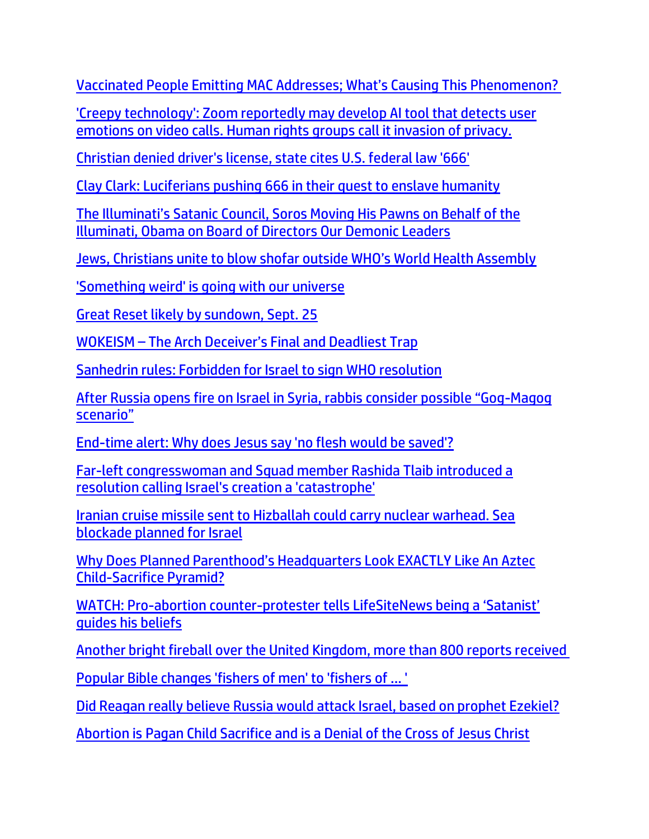[Vaccinated People Emitting MAC Addresses; What's Causing This Phenomenon?](https://expose-news.com/2022/05/15/vaccinated-people-emitting-mac-addresses/)

['Creepy technology': Zoom reportedly may develop AI tool that detects user](https://link.theblaze.com/click/27758214.1161419/aHR0cHM6Ly93d3cudGhlYmxhemUuY29tL25ld3Mvem9vbS1haS1lbW90aW9uLWRldGVjdGlvbi10b29sP3V0bV9zb3VyY2U9dGhlYmxhemUtYnJlYWtpbmcmdXRtX21lZGl1bT1lbWFpbCZ1dG1fY2FtcGFpZ249MjAyMjA1MThUcmVuZGluZy1XaGl0bG9jayZ1dG1fdGVybT1BQ1RJVkUgTElTVCAtIFRoZUJsYXplIEJyZWFraW5nIE5ld3M/61f82015384ca325d2cdab60Cf24c2e58)  [emotions on video calls. Human rights groups call it invasion of privacy.](https://link.theblaze.com/click/27758214.1161419/aHR0cHM6Ly93d3cudGhlYmxhemUuY29tL25ld3Mvem9vbS1haS1lbW90aW9uLWRldGVjdGlvbi10b29sP3V0bV9zb3VyY2U9dGhlYmxhemUtYnJlYWtpbmcmdXRtX21lZGl1bT1lbWFpbCZ1dG1fY2FtcGFpZ249MjAyMjA1MThUcmVuZGluZy1XaGl0bG9jayZ1dG1fdGVybT1BQ1RJVkUgTElTVCAtIFRoZUJsYXplIEJyZWFraW5nIE5ld3M/61f82015384ca325d2cdab60Cf24c2e58)

[Christian denied driver's license, state cites U.S. federal law '666'](https://www.wnd.com/2022/05/christian-denied-drivers-license-state-cites-u-s-federal-law-666/)

[Clay Clark: Luciferians pushing 666 in their quest to enslave humanity](https://www.naturalnews.com/2022-05-20-clay-clark-luciferians-pushing-666-enslave-humanity.html)

The Illumin[ati's Satanic Council, Soros Moving His Pawns on Behalf of the](https://ussanews.com/2022/05/17/update-the-illuminatis-satanic-council-soros-moving-his-pawns-on-behalf-of-the-illuminati-obama-on-board-of-directors-our-demonic-leaders/)  [Illuminati, Obama on Board of Directors Our Demonic Leaders](https://ussanews.com/2022/05/17/update-the-illuminatis-satanic-council-soros-moving-his-pawns-on-behalf-of-the-illuminati-obama-on-board-of-directors-our-demonic-leaders/)

[Jews, Christians unite to blow shofar outside WHO's World Health Assembly](https://www.israel365news.com/269669/jews-christians-unite-to-blow-shofar-outside-whos-world-health-assembly/)

['Something weird' is going with our universe](https://www.wnd.com/2022/05/something-weird-going-universe/)

[Great Reset likely by sundown, Sept. 25](https://www.wnd.com/2022/05/great-reset-likely-sundown-sept-25/)

WOKEISM – [The Arch Deceiver's Final and Deadliest Trap](https://canadafreepress.com/article/wokeism-the-arch-deceivers-final-and-deadliest-trap)

[Sanhedrin rules: Forbidden for Israel to sign WHO resolution](https://www.israel365news.com/269577/sanhedrin-rules-forbidden-for-israel-to-sign-who-resolution/)

[After Russia opens fire on Israel in Syria, rabbis consider possible "Gog](https://www.israel365news.com/269505/after-russia-opens-fire-on-israel-in-syria-rabbis-consider-possible-gog-magog-scenario/)-Magog [scenario"](https://www.israel365news.com/269505/after-russia-opens-fire-on-israel-in-syria-rabbis-consider-possible-gog-magog-scenario/)

[End-time alert: Why does Jesus say 'no flesh would be saved'?](https://www.wnd.com/2022/05/end-time-alert-jesus-say-no-flesh-saved/)

[Far-left congresswoman and Squad member Rashida Tlaib introduced a](https://link.theblaze.com/click/27745740.959041/aHR0cHM6Ly93d3cudGhlYmxhemUuY29tL25ld3MvZmFyLWxlZnQtY29uZ3Jlc3N3b21hbi1hbmQtc3F1YWQtbWVtYmVyLXJhc2hpZGEtdGxhaWItaW50cm9kdWNlZC1hLXJlc29sdXRpb24tY2FsbGluZy1pc3JhZWwtcy1jcmVhdGlvbi1hLWNhdGFzdHJvcGhlP3V0bV9zb3VyY2U9dGhlYmxhemUtN0RheVRyZW5kaW5nVGVzdCZ1dG1fbWVkaXVtPWVtYWlsJnV0bV9jYW1wYWlnbj1BZnRlcm5vb24gQXV0byBUcmVuZGluZyA3IERheSBFbmdhZ2VkIDIwMjItMDUtMTcmdXRtX3Rlcm09QUNUSVZFIExJU1QgLSA3IERheSBFbmdhZ2VtZW50/61f82015384ca325d2cdab60C1ab2aefe)  [resolution calling Israel's creation a 'catastrophe'](https://link.theblaze.com/click/27745740.959041/aHR0cHM6Ly93d3cudGhlYmxhemUuY29tL25ld3MvZmFyLWxlZnQtY29uZ3Jlc3N3b21hbi1hbmQtc3F1YWQtbWVtYmVyLXJhc2hpZGEtdGxhaWItaW50cm9kdWNlZC1hLXJlc29sdXRpb24tY2FsbGluZy1pc3JhZWwtcy1jcmVhdGlvbi1hLWNhdGFzdHJvcGhlP3V0bV9zb3VyY2U9dGhlYmxhemUtN0RheVRyZW5kaW5nVGVzdCZ1dG1fbWVkaXVtPWVtYWlsJnV0bV9jYW1wYWlnbj1BZnRlcm5vb24gQXV0byBUcmVuZGluZyA3IERheSBFbmdhZ2VkIDIwMjItMDUtMTcmdXRtX3Rlcm09QUNUSVZFIExJU1QgLSA3IERheSBFbmdhZ2VtZW50/61f82015384ca325d2cdab60C1ab2aefe)

[Iranian cruise missile sent to Hizballah could carry nuclear warhead. Sea](https://www.debka.com/iranian-cruise-missiles-sent-to-hizballah-could-carry-nuclear-warhead-sea-blockade-planned-for-israel/)  [blockade planned for Israel](https://www.debka.com/iranian-cruise-missiles-sent-to-hizballah-could-carry-nuclear-warhead-sea-blockade-planned-for-israel/)

[Why Does Planned Parenthood's Headquarters Look EXACTLY Like An Aztec](https://welovetrump.com/2022/05/16/why-does-planned-parenthoods-headquarters-look-exactly-like-an-aztec-child-sacrifice-pyramid/)  [Child-Sacrifice Pyramid?](https://welovetrump.com/2022/05/16/why-does-planned-parenthoods-headquarters-look-exactly-like-an-aztec-child-sacrifice-pyramid/)

WATCH: Pro-abortion counter-[protester tells LifeSiteNews being a 'Satanist'](https://www.lifesitenews.com/news/satanist-abortion-supporters-say-that-their-battle-for-life-is-spiritual/?utm_source=top_news&utm_campaign=usa)  [guides his beliefs](https://www.lifesitenews.com/news/satanist-abortion-supporters-say-that-their-battle-for-life-is-spiritual/?utm_source=top_news&utm_campaign=usa)

[Another bright fireball over the United Kingdom, more than 800 reports received](https://watchers.news/2022/05/17/another-bright-fireball-over-the-united-kingdom-more-than-800-reports-received/)

[Popular Bible changes 'fishers of men' to 'fishers of ... '](https://www.wnd.com/2022/05/publisher-changes-fishers-men-fishers-persons-popular-bible/)

[Did Reagan really believe Russia would attack Israel, based on prophet Ezekiel?](https://www.wnd.com/2022/05/reagan-really-believe-russia-attack-israel-based-prophet-ezekiel/)

[Abortion is Pagan Child Sacrifice and is a Denial of the Cross of Jesus Christ](https://disntr.com/2022/05/18/abortion-is-pagan-child-sacrifice/)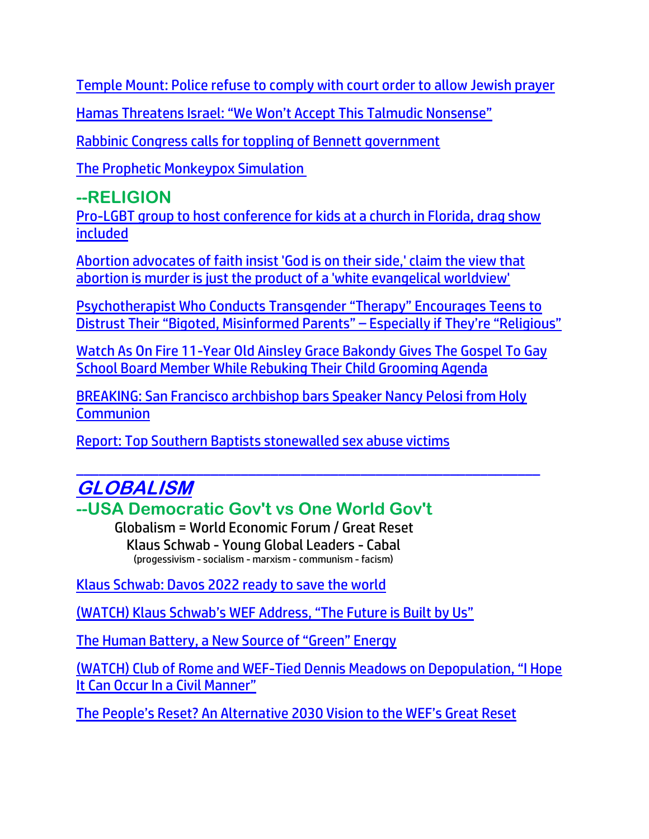[Temple Mount: Police refuse to comply with court order to allow Jewish prayer](https://www.israel365news.com/269651/temple-mount-police-refuse-to-comply-with-court-order-to-allow-jewish-prayer/)

[Hamas Threatens Israel: "We Won't Accept This Talmudic Nonsense"](https://www.theyeshivaworld.com/news/headlines-breaking-stories/2089371/hamas-threatens-israel-we-wont-accept-this-talmudic-nonsense.html)

[Rabbinic Congress calls for toppling of Bennett government](https://www.israelnationalnews.com/news/327992)

[The Prophetic Monkeypox Simulation](https://michaelpsenger.substack.com/p/the-prophetic-monkeypox-simulation?s=r)

## **--RELIGION**

[Pro-LGBT group to host conference for kids at a church in Florida, drag show](https://link.theblaze.com/click/27796344.1162225/aHR0cHM6Ly93d3cudGhlYmxhemUuY29tL25ld3MvZ2xzZW4tbGdidHEtcHJpZGUtY29uZmVyZW5jZS1raWRzP3V0bV9zb3VyY2U9dGhlYmxhemUtYnJlYWtpbmcmdXRtX21lZGl1bT1lbWFpbCZ1dG1fY2FtcGFpZ249TmV3LVRyZW5kaW5nLVN0b3J5X1dFRUtFTkQgMjAyMi0wNS0yMSZ1dG1fdGVybT1BQ1RJVkUgTElTVCAtIFRoZUJsYXplIEJyZWFraW5nIE5ld3M/61f82015384ca325d2cdab60C0c05599c)  [included](https://link.theblaze.com/click/27796344.1162225/aHR0cHM6Ly93d3cudGhlYmxhemUuY29tL25ld3MvZ2xzZW4tbGdidHEtcHJpZGUtY29uZmVyZW5jZS1raWRzP3V0bV9zb3VyY2U9dGhlYmxhemUtYnJlYWtpbmcmdXRtX21lZGl1bT1lbWFpbCZ1dG1fY2FtcGFpZ249TmV3LVRyZW5kaW5nLVN0b3J5X1dFRUtFTkQgMjAyMi0wNS0yMSZ1dG1fdGVybT1BQ1RJVkUgTElTVCAtIFRoZUJsYXplIEJyZWFraW5nIE5ld3M/61f82015384ca325d2cdab60C0c05599c)

[Abortion advocates of faith insist 'God is on their side,' claim the view that](https://link.theblaze.com/click/27784311.937603/aHR0cHM6Ly93d3cudGhlYmxhemUuY29tL25ld3MvY2hyaXN0aWFuLWFib3J0aW9uLWFkdm9jYXRlcy1pbnNpc3QtZ29kLWlzLW9uLXRoZWlyLXNpZGU_dXRtX3NvdXJjZT10aGVibGF6ZS03RGF5VHJlbmRpbmdUZXN0JnV0bV9tZWRpdW09ZW1haWwmdXRtX2NhbXBhaWduPUFmdGVybm9vbiBBdXRvIFRyZW5kaW5nIDcgRGF5IEVuZ2FnZWQgMjAyMi0wNS0yMCZ1dG1fdGVybT1BQ1RJVkUgTElTVCAtIDcgRGF5IEVuZ2FnZW1lbnQ/61f82015384ca325d2cdab60C9ca94e87)  [abortion is murder is just the product of a 'white evangelical worldview'](https://link.theblaze.com/click/27784311.937603/aHR0cHM6Ly93d3cudGhlYmxhemUuY29tL25ld3MvY2hyaXN0aWFuLWFib3J0aW9uLWFkdm9jYXRlcy1pbnNpc3QtZ29kLWlzLW9uLXRoZWlyLXNpZGU_dXRtX3NvdXJjZT10aGVibGF6ZS03RGF5VHJlbmRpbmdUZXN0JnV0bV9tZWRpdW09ZW1haWwmdXRtX2NhbXBhaWduPUFmdGVybm9vbiBBdXRvIFRyZW5kaW5nIDcgRGF5IEVuZ2FnZWQgMjAyMi0wNS0yMCZ1dG1fdGVybT1BQ1RJVkUgTElTVCAtIDcgRGF5IEVuZ2FnZW1lbnQ/61f82015384ca325d2cdab60C9ca94e87)

Psychotherapist Who Conducts [Transgender "Therapy" Encourages Teens to](https://www.thegatewaypundit.com/2022/05/psychotherapist-conducts-transgender-therapy-encourages-teens-distrust-bigoted-misinformed-parents-especially-religious-video/)  [Distrust Their "Bigoted, Misinformed Parents" –](https://www.thegatewaypundit.com/2022/05/psychotherapist-conducts-transgender-therapy-encourages-teens-distrust-bigoted-misinformed-parents-especially-religious-video/) Especially if They're "Religious"

[Watch As On Fire 11-Year Old Ainsley Grace Bakondy Gives The Gospel To Gay](https://www.nowtheendbegins.com/watch-11-year-old-christian-girl-rebuke-gay-child-grooming-school-board-preaching-jesus/)  School Board Member [While Rebuking Their Child Grooming Agenda](https://www.nowtheendbegins.com/watch-11-year-old-christian-girl-rebuke-gay-child-grooming-school-board-preaching-jesus/)

BREAKING: San Francisco [archbishop bars Speaker Nancy Pelosi from Holy](https://link.theblaze.com/click/27788634.1149460/aHR0cHM6Ly93d3cudGhlYmxhemUuY29tL25ld3MvYnJlYWtpbmctc2FuLWZyYW5jaXNjby1hcmNoYmlzaG9wLWJhcnMtc3BlYWtlci1uYW5jeS1wZWxvc2ktZnJvbS1ob2x5LWNvbW11bmlvbj91dG1fc291cmNlPXRoZWJsYXplLWJyZWFraW5nJnV0bV9tZWRpdW09ZW1haWwmdXRtX2NhbXBhaWduPTIwMjIwNTIwQlJFQUtJTkctUGVsb3NpTm9Db21tdW5pb24mdXRtX3Rlcm09QUNUSVZFIExJU1QgLSBUaGVCbGF6ZSBCcmVha2luZyBOZXdz/61f82015384ca325d2cdab60C021c5e31)  **[Communion](https://link.theblaze.com/click/27788634.1149460/aHR0cHM6Ly93d3cudGhlYmxhemUuY29tL25ld3MvYnJlYWtpbmctc2FuLWZyYW5jaXNjby1hcmNoYmlzaG9wLWJhcnMtc3BlYWtlci1uYW5jeS1wZWxvc2ktZnJvbS1ob2x5LWNvbW11bmlvbj91dG1fc291cmNlPXRoZWJsYXplLWJyZWFraW5nJnV0bV9tZWRpdW09ZW1haWwmdXRtX2NhbXBhaWduPTIwMjIwNTIwQlJFQUtJTkctUGVsb3NpTm9Db21tdW5pb24mdXRtX3Rlcm09QUNUSVZFIExJU1QgLSBUaGVCbGF6ZSBCcmVha2luZyBOZXdz/61f82015384ca325d2cdab60C021c5e31)** 

[Report: Top Southern Baptists stonewalled sex abuse victims](https://inform.afa.net/optiext/optiextension.dll?ID=TpoTlzWa_hdr45gmEZFsObs_9vcqm9Z24V%2B5JlRB5ipZITq9fJYJV0wix0jtyr6HFhk4rE0MFPgGa41MRhnxP1Wq_gd79Vs6x0x6Dbn0)

#### \_\_\_\_\_\_\_\_\_\_\_\_\_\_\_\_\_\_\_\_\_\_\_\_\_\_\_\_\_\_\_\_\_\_\_\_\_\_\_\_\_\_\_\_\_\_\_\_\_\_\_\_\_\_\_\_\_\_\_\_\_\_ **GLOBALISM**

**--USA Democratic Gov't vs One World Gov't**

Globalism = World Economic Forum / Great Reset Klaus Schwab - Young Global Leaders - Cabal (progessivism - socialism - marxism - communism - facism)

[Klaus Schwab: Davos 2022 ready to save the world](https://www.wnd.com/2022/05/klaus-schwab-davos-2022-ready-save-world/)

(WATCH) Klaus Schwab's WEF [Address, "The Future is Built by Us"](https://welovetrump.com/2022/05/23/watch-klaus-schwabs-wef-address-the-future-is-built-by-us/)

[The Human Battery, a New Source of "Green" Energy](https://expose-news.com/2022/05/23/human-battery-a-new-source-of-green-energy/)

(WATCH) Club of Rome and WEF-[Tied Dennis Meadows on Depopulation, "I Hope](https://welovetrump.com/2022/05/15/watch-club-of-rome-and-wef-tied-dennis-meadows-on-depopulation-i-hope-it-can-occur-in-a-civil-manner/)  [It Can Occur In a Civil Manner"](https://welovetrump.com/2022/05/15/watch-club-of-rome-and-wef-tied-dennis-meadows-on-depopulation-i-hope-it-can-occur-in-a-civil-manner/)

[The People's Reset? An Alternative 2030 Vision to the WEF's Great Reset](https://welovetrump.com/2022/05/22/the-peoples-reset-an-alternative-2030-vision-to-the-wefs-great-reset/)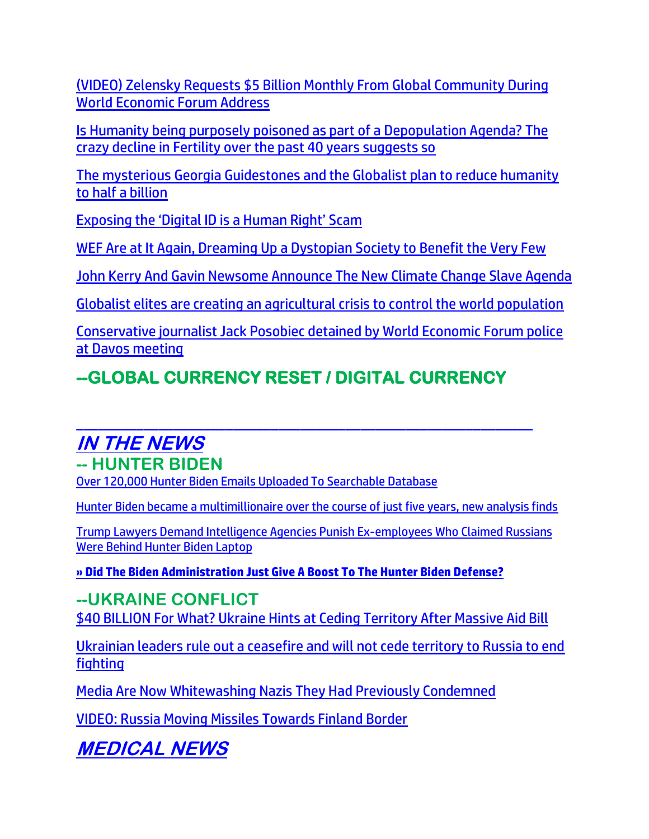[\(VIDEO\) Zelensky Requests \\$5 Billion Monthly From Global Community During](https://welovetrump.com/2022/05/23/video-zelensky-requests-5-billion-monthly-from-global-community-during-world-economic-forum-address/)  [World Economic Forum Address](https://welovetrump.com/2022/05/23/video-zelensky-requests-5-billion-monthly-from-global-community-during-world-economic-forum-address/)

[Is Humanity being purposely poisoned as part of a Depopulation Agenda? The](https://expose-news.com/2022/05/16/crazy-decline-fertility-past-40-years/)  [crazy decline in Fertility over the past 40 years suggests so](https://expose-news.com/2022/05/16/crazy-decline-fertility-past-40-years/)

[The mysterious Georgia Guidestones and the Globalist plan to reduce humanity](https://strangesounds.org/2021/09/georgia-guidestones-post-apocalyptic-plan-reduce-humanity-to-half-a-billion.html)  [to half a billion](https://strangesounds.org/2021/09/georgia-guidestones-post-apocalyptic-plan-reduce-humanity-to-half-a-billion.html)

[Exposing the 'Digital ID is a Human Right' Scam](https://humansbefree.com/2022/05/exposing-the-digital-id-is-a-human-right-scam.html)

[WEF Are at It Again, Dreaming Up a Dystopian Society to Benefit the Very Few](https://expose-news.com/2022/05/16/wef-are-at-it-again-dreaming-up-dystopia/)

[John Kerry And Gavin Newsome Announce The New Climate Change Slave Agenda](https://ce-publicdy.naturalnews.com/ct.asp?id=B0C6FAC7006355FCE9F7588096D5FD82CC122BAA336FBABA08B2796772557345AF2F548731FA5E30481D3EF267894FF4&ct=4aeUsz4AAABCWmgzMUFZJlNZhaRWggAAF5mAAAP%2f8Drj3IAgAEjGmAanpMnkEbQoAAAANPGdvTFMSCJGTR4oppqJxmuOuvRELBaU3PZNafZqmhPqpYAYnRa%2bLuSKcKEhC0itBA%3d%3d)

[Globalist elites are creating an agricultural crisis to control the world population](https://www.lifesitenews.com/opinion/globalist-elites-are-creating-an-agricultural-crisis-to-control-the-world-population/?utm_source=top_news&utm_campaign=usa)

[Conservative journalist Jack Posobiec detained by World Economic Forum police](https://www.lifesitenews.com/news/breaking-jack-posobiec-detained-by-world-economic-forum-police-at-davos-meeting/?utm_source=top_news&utm_campaign=usa)  [at Davos meeting](https://www.lifesitenews.com/news/breaking-jack-posobiec-detained-by-world-economic-forum-police-at-davos-meeting/?utm_source=top_news&utm_campaign=usa)

## **--GLOBAL CURRENCY RESET / DIGITAL CURRENCY**

#### \_\_\_\_\_\_\_\_\_\_\_\_\_\_\_\_\_\_\_\_\_\_\_\_\_\_\_\_\_\_\_\_\_\_\_\_\_\_\_\_\_\_\_\_\_\_\_\_\_\_\_\_\_\_\_\_\_\_\_\_\_ **IN THE NEWS -- HUNTER BIDEN**

[Over 120,000 Hunter Biden Emails Uploaded To Searchable Database](https://www.zerohedge.com/political/over-120000-hunter-biden-emails-uploaded-searchable-database)

[Hunter Biden became a multimillionaire over the course of just five years, new analysis finds](https://www.naturalnews.com/2022-05-23-hunter-biden-became-multimillionaire-just-five-years.html)

[Trump Lawyers Demand Intelligence Agencies Punish Ex-employees Who Claimed Russians](https://lists.youmaker.com/links/KQWclMyzcE/Jlid8tcrj/7xAbPNiP2/Av8OiwQPhQ)  [Were Behind Hunter Biden Laptop](https://lists.youmaker.com/links/KQWclMyzcE/Jlid8tcrj/7xAbPNiP2/Av8OiwQPhQ)

**[» Did The Biden Administration Just Give A Boost To The Hunter Biden Defense?](https://trk.cp20.com/click/gak4-3n8ulz-8bn60z-f4obzxf7/)**

**--UKRAINE CONFLICT**

[\\$40 BILLION For What? Ukraine Hints at Ceding Territory After Massive Aid Bill](https://100percentfedup.com/40-billion-for-what-ukraine-hints-at-ceding-territory-after-massive-aid-bill/)

[Ukrainian leaders rule out a ceasefire and will not cede territory to Russia to end](https://link.theblaze.com/click/27803735.905719/aHR0cHM6Ly93d3cudGhlYmxhemUuY29tL25ld3MvdWtyYWluaWFuLWxlYWRlcnMtcnVsZS1vdXQtYS1jZWFzZWZpcmUtYW5kLXdpbGwtbm90LWNlZGUtdGVycml0b3J5LXRvLXJ1c3NpYS10by1lbmQtZmlnaHRpbmc_dXRtX3NvdXJjZT10aGVibGF6ZS03RGF5VHJlbmRpbmdUZXN0JnV0bV9tZWRpdW09ZW1haWwmdXRtX2NhbXBhaWduPVRoZSBCbGF6ZSBQTSBUcmVuZGluZyAyMDIyLTA1LTIyJnV0bV90ZXJtPUFDVElWRSBMSVNUIC0gNyBEYXkgRW5nYWdlbWVudA/61f82015384ca325d2cdab60Cb1077d4d)  [fighting](https://link.theblaze.com/click/27803735.905719/aHR0cHM6Ly93d3cudGhlYmxhemUuY29tL25ld3MvdWtyYWluaWFuLWxlYWRlcnMtcnVsZS1vdXQtYS1jZWFzZWZpcmUtYW5kLXdpbGwtbm90LWNlZGUtdGVycml0b3J5LXRvLXJ1c3NpYS10by1lbmQtZmlnaHRpbmc_dXRtX3NvdXJjZT10aGVibGF6ZS03RGF5VHJlbmRpbmdUZXN0JnV0bV9tZWRpdW09ZW1haWwmdXRtX2NhbXBhaWduPVRoZSBCbGF6ZSBQTSBUcmVuZGluZyAyMDIyLTA1LTIyJnV0bV90ZXJtPUFDVElWRSBMSVNUIC0gNyBEYXkgRW5nYWdlbWVudA/61f82015384ca325d2cdab60Cb1077d4d)

[Media Are Now Whitewashing Nazis They Had Previously Condemned](https://www.moonofalabama.org/2022/04/azovreplist.html)

[VIDEO: Russia Moving Missiles Towards Finland Border](https://delivery.email.saraacarter.com/GUIDARZE?id=153976=eh4CVwZWCQQBTAZTVgBRUQIKAVYBA1ADV1ZQAA0EBAtcVFcDClZTBAZWAAtUWFdRBgYeXlxdAxEKDCRUVABaVBcBXQtPVAYGBQgCAVcPBAABClMMBQAaChURFEADThxcXA5bEFYXSR1SXVJbChdGVUVTA1dWQxIHE0sHXFROdG1wJnM0aSAPWlNMRQE=&fl=URZGFkBfHxxDVV9XC1xBRl5XERpdVAMMBksHXFROUFRQAVk=&ext=dD1leUpoYkdjaU9pSklVekkxTmlJc0luUjVjQ0k2SWtwWFZDSjkuZXlKd0lqcGJiblZzYkN4dWRXeHNMQ0pvZEhSd2N6b3ZMM05oY21GaFkyRnlkR1Z5TG1OdmJTOTJhV1JsYnkxeWRYTnphV0V0Ylc5MmFXNW5MVzFwYzNOcGJHVnpMWFJ2ZDJGeVpITXRabWx1YkdGdVpDMWliM0prWlhJdlAzVjBiVjl6YjNWeVkyVTlhbVZsYm1jbWFtVnRQV00xWVRNNE5UY3dZekJoWkdOalkyWTRZV0l6WkdNNVltSTNNREl6TTJZeklpeHVkV3hzTERFc1ptRnNjMlVzWm1Gc2MyVXNJbVJrTlRBM016SmtMVE5qWm1FdE5EVmlOeTA0TlRFeExUWmxaVEpoTURZd1lUZzNNeUlzSWpZeVpHTTRaRGRsTFdGbFpqUXROR1EyTVMwNU1EUTVMVE01TldZeVptTTRZMkpoWWlJc0lqaGhaalUzTURnd0xUbGpNVE10TkdKa015MWlPRFptTFRCaU0yTTFaR1k1TVdZeFlpSXNJbWgwZEhCek9pOHZjMkZ5WVdGallYSjBaWEl1WTI5dEwzWnBaR1Z2TFhKMWMzTnBZUzF0YjNacGJtY3RiV2x6YzJsc1pYTXRkRzkzWVhKa2N5MW1hVzVzWVc1a0xXSnZjbVJsY2k4aUxDSmpOM0F6WHpBaUxDSmxiV0ZwYkNJc0lrUlRJbDBzSW1saGRDSTZNVFkxTWpneU1UTXpNWDAud25aVHNRcEhMbU40ZEt0dW9VZ1Z0YlMwQ2hZT3E2QkdHcURRS2pKWjRCbw==)

**MEDICAL NEWS**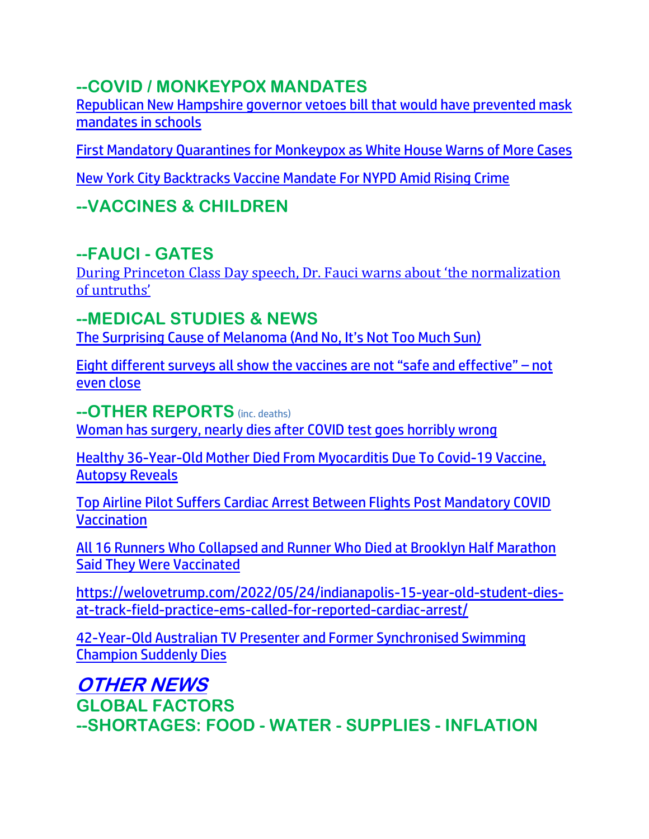## **--COVID / MONKEYPOX MANDATES**

[Republican New Hampshire governor vetoes bill that would have prevented mask](https://link.theblaze.com/click/27801621.1146926/aHR0cHM6Ly93d3cudGhlYmxhemUuY29tL25ld3MvcmVwdWJsaWNhbi1uZXctaGFtcHNoaXJlLWdvdmVybm9yLXZldG9lcy1iaWxsLXRoYXQtd291bGQtaGF2ZS1wcmV2ZW50ZWQtbWFzay1tYW5kYXRlcy1pbi1zY2hvb2xzP3V0bV9zb3VyY2U9dGhlYmxhemUtYnJlYWtpbmcmdXRtX21lZGl1bT1lbWFpbCZ1dG1fY2FtcGFpZ249TmV3LVRyZW5kaW5nLVN0b3J5X1dFRUtFTkQgMjAyMi0wNS0yMiZ1dG1fdGVybT1BQ1RJVkUgTElTVCAtIFRoZUJsYXplIEJyZWFraW5nIE5ld3M/61f82015384ca325d2cdab60C8ce3f4c0)  [mandates in schools](https://link.theblaze.com/click/27801621.1146926/aHR0cHM6Ly93d3cudGhlYmxhemUuY29tL25ld3MvcmVwdWJsaWNhbi1uZXctaGFtcHNoaXJlLWdvdmVybm9yLXZldG9lcy1iaWxsLXRoYXQtd291bGQtaGF2ZS1wcmV2ZW50ZWQtbWFzay1tYW5kYXRlcy1pbi1zY2hvb2xzP3V0bV9zb3VyY2U9dGhlYmxhemUtYnJlYWtpbmcmdXRtX21lZGl1bT1lbWFpbCZ1dG1fY2FtcGFpZ249TmV3LVRyZW5kaW5nLVN0b3J5X1dFRUtFTkQgMjAyMi0wNS0yMiZ1dG1fdGVybT1BQ1RJVkUgTElTVCAtIFRoZUJsYXplIEJyZWFraW5nIE5ld3M/61f82015384ca325d2cdab60C8ce3f4c0)

[First Mandatory Quarantines for Monkeypox as White House Warns of More Cases](https://lists.youmaker.com/links/yBAXrg403g/Jlid8tcrj/7xAbPNiP2/PZUXFog9vI)

[New York City Backtracks Vaccine Mandate For NYPD Amid Rising Crime](https://welovetrump.com/2022/05/23/new-york-city-backtracks-vaccine-mandate-for-nypd-amid-rising-crime/)

## **--VACCINES & CHILDREN**

### **--FAUCI - GATES**

During P[rinceton Class Day speech, Dr. Fauci warns about 'the normalization](https://whitehousewire.com/2022/05/23/during-princeton-class-day-speech-dr-fauci-warns-about-the-normalization-of-untruths/)  [of untruths'](https://whitehousewire.com/2022/05/23/during-princeton-class-day-speech-dr-fauci-warns-about-the-normalization-of-untruths/)

#### **--MEDICAL STUDIES & NEWS**

[The Surprising Cause of Melanoma \(And No, It](https://lists.youmaker.com/links/yBAXrg403g/Jlid8tcrj/7xAbPNiP2/jUAtVeh45C)'s Not Too Much Sun)

[Eight different surveys all show the vaccines are not "safe and effective" –](https://www.naturalnews.com/2022-05-23-eight-surveys-show-vaccines-not-safe-effective.html) not [even close](https://www.naturalnews.com/2022-05-23-eight-surveys-show-vaccines-not-safe-effective.html)

**--OTHER REPORTS** (inc. deaths)

[Woman has surgery, nearly dies after COVID test goes horribly wrong](https://www.wnd.com/2022/05/woman-surgery-nearly-dies-covid-test-goes-horribly-wrong/)

[Healthy 36-Year-Old Mother Died From Myocarditis Due To Covid-19 Vaccine,](https://100percentfedup.com/healthy-36-year-old-mother-died-from-myocarditis-due-to-covid-19-vaccine-autopsy-reveals/)  [Autopsy Reveals](https://100percentfedup.com/healthy-36-year-old-mother-died-from-myocarditis-due-to-covid-19-vaccine-autopsy-reveals/)

Top Airline Pilot Suffers Cardiac Arrest Between Flights Post Mandatory COVID **Vaccination** 

[All 16 Runners Who Collapsed and Runner Who Died at Brooklyn Half Marathon](https://beckernews.com/2-all-16-runners-who-collapsed-and-runner-who-died-at-brooklyn-half-marathon-said-they-were-vaccinated-45083/)  [Said They Were Vaccinated](https://beckernews.com/2-all-16-runners-who-collapsed-and-runner-who-died-at-brooklyn-half-marathon-said-they-were-vaccinated-45083/)

[https://welovetrump.com/2022/05/24/indianapolis-15-year-old-student-dies](https://welovetrump.com/2022/05/24/indianapolis-15-year-old-student-dies-at-track-field-practice-ems-called-for-reported-cardiac-arrest/)[at-track-field-practice-ems-called-for-reported-cardiac-arrest/](https://welovetrump.com/2022/05/24/indianapolis-15-year-old-student-dies-at-track-field-practice-ems-called-for-reported-cardiac-arrest/)

[42-Year-Old Australian TV Presenter and Former Synchronised Swimming](https://welovetrump.com/2022/05/23/42-year-old-australian-tv-presenter-and-former-synchronised-swimming-champion-suddenly-dies/)  [Champion Suddenly Dies](https://welovetrump.com/2022/05/23/42-year-old-australian-tv-presenter-and-former-synchronised-swimming-champion-suddenly-dies/)

**OTHER NEWS GLOBAL FACTORS --SHORTAGES: FOOD - WATER - SUPPLIES - INFLATION**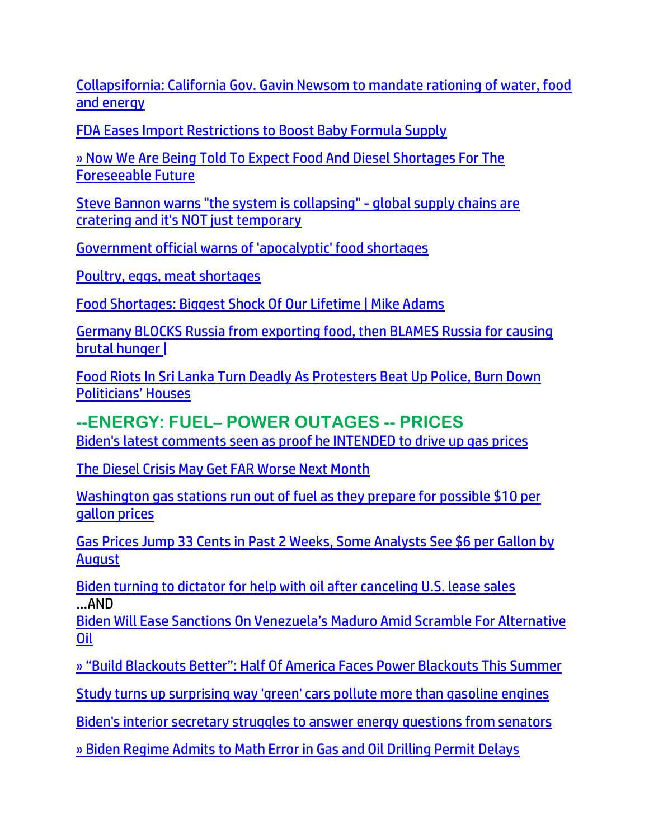[Collapsifornia: California Gov. Gavin Newsom to mandate rationing of water, food](https://www.naturalnews.com/2022-05-23-california-to-mandate-water-food-energy-rationing.html)  [and energy](https://www.naturalnews.com/2022-05-23-california-to-mandate-water-food-energy-rationing.html)

[FDA Eases Import Restrictions to Boost Baby Formula Supply](https://lists.youmaker.com/links/gI8L68oslJ/Jlid8tcrj/7xAbPNiP2/ymov0QKsKQ)

» Now We Are Being [Told To Expect Food And Diesel Shortages For The](https://trk.cp20.com/click/gak4-3n6wae-8bmlfw-f4obzxf9/)  [Foreseeable Future](https://trk.cp20.com/click/gak4-3n6wae-8bmlfw-f4obzxf9/)

[Steve Bannon warns "the system is collapsing" -](https://ce-publiclw.naturalnews.com/ct.asp?id=E164626317CE15B52547357E0CCDEEBE166C3BD26B0F62ECEB2571EB10ADB49AAE6AE1C7B516CCE387FF2882183637A8&ct=4aeUs2EAAABCWmgzMUFZJlNZXzX8egAAFpmAAAPyMDrn36AgAEiJpNMhtDSPUepmhFP0pmmggGCeo3iTdrM0%2fexyqVAF9gMk8%2bpjpyC0AMbuisuJwXa%2bGycxFiWh0I1%2bVHiKIWW70fyUBWQN0AMdO%2fF3JFOFCQXzX8eg) global supply chains are [cratering and it's NOT just temporary](https://ce-publiclw.naturalnews.com/ct.asp?id=E164626317CE15B52547357E0CCDEEBE166C3BD26B0F62ECEB2571EB10ADB49AAE6AE1C7B516CCE387FF2882183637A8&ct=4aeUs2EAAABCWmgzMUFZJlNZXzX8egAAFpmAAAPyMDrn36AgAEiJpNMhtDSPUepmhFP0pmmggGCeo3iTdrM0%2fexyqVAF9gMk8%2bpjpyC0AMbuisuJwXa%2bGycxFiWh0I1%2bVHiKIWW70fyUBWQN0AMdO%2fF3JFOFCQXzX8eg)

[Government official warns of 'apocalyptic' food shortages](https://www.wnd.com/2022/05/u-k-official-warns-apocalyptic-food-shortages/)

Poultry, eggs, [meat shortages](https://ratherexposethem.org/2022/05/18/poultry-eggs-meat-shortages/)

[Food Shortages: Biggest Shock Of Our Lifetime | Mike Adams](https://ce-publicdy.naturalnews.com/ct.asp?id=78E97F14BE4B54EB927A9C2525F86F01218120FF2490E7E68D703A1BA9DFE7B762FFC60C1DA856B71CD5863E11C8D9C7&ct=4aeUsz4AAABCWmgzMUFZJlNZF6bm2wAAF5mAAAPN8D%2fj3IAgAEiIMoyNoaBDahEAAAANBKrV0eolWDjlQUSfJBaAIN%2bNtCPWMSGj3zU%2ffLLsH0YkROXwT%2bLuSKcKEgL03Ntg)

[Germany BLOCKS Russia from exporting food, then BLAMES Russia for causing](https://www.naturalnews.com/2022-05-17-germany-blocks-russia-from-exporting-food.html)  [brutal hunger](https://www.naturalnews.com/2022-05-17-germany-blocks-russia-from-exporting-food.html) |

[Food Riots In Sri Lanka Turn Deadly As Protesters Beat Up Police, Burn Down](https://www.zerohedge.com/markets/food-riots-sri-lanka-turn-deadly-protesters-beat-police-burn-down-politicians-houses)  [Politicians' Houses](https://www.zerohedge.com/markets/food-riots-sri-lanka-turn-deadly-protesters-beat-police-burn-down-politicians-houses)

#### **--ENERGY: FUEL– POWER OUTAGES -- PRICES**

[Biden's latest comments seen as proof he INTENDED to drive up gas prices](https://www.wnd.com/2022/05/bidens-warning-seen-confirmation-trying-gas-prices-surge/)

[The Diesel Crisis May Get](https://welovetrump.com/2022/05/23/the-diesel-crisis-may-get-far-worse-next-month/) FAR Worse Next Month

[Washington gas stations run out of fuel as they prepare for possible \\$10 per](https://link.theblaze.com/click/27786099.1160995/aHR0cHM6Ly93d3cudGhlYmxhemUuY29tL25ld3MvZ2FzLXByaWNlcy13YXNoaW5ndG9uP3V0bV9zb3VyY2U9dGhlYmxhemUtYnJlYWtpbmcmdXRtX21lZGl1bT1lbWFpbCZ1dG1fY2FtcGFpZ249MjAyMjA1MjBUcmVuZGluZy1XYXNoaW5ndG9uU3RhdGUmdXRtX3Rlcm09QUNUSVZFIExJU1QgLSBUaGVCbGF6ZSBCcmVha2luZyBOZXdz/61f82015384ca325d2cdab60C3ca1cbb8)  [gallon prices](https://link.theblaze.com/click/27786099.1160995/aHR0cHM6Ly93d3cudGhlYmxhemUuY29tL25ld3MvZ2FzLXByaWNlcy13YXNoaW5ndG9uP3V0bV9zb3VyY2U9dGhlYmxhemUtYnJlYWtpbmcmdXRtX21lZGl1bT1lbWFpbCZ1dG1fY2FtcGFpZ249MjAyMjA1MjBUcmVuZGluZy1XYXNoaW5ndG9uU3RhdGUmdXRtX3Rlcm09QUNUSVZFIExJU1QgLSBUaGVCbGF6ZSBCcmVha2luZyBOZXdz/61f82015384ca325d2cdab60C3ca1cbb8)

[Gas Prices Jump 33 Cents in Past 2 Weeks, Some Analysts See \\$6 per Gallon by](https://lists.youmaker.com/links/tbboItG9Ux/Jlid8tcrj/7xAbPNiP2/l9kogaWowJ)  [August](https://lists.youmaker.com/links/tbboItG9Ux/Jlid8tcrj/7xAbPNiP2/l9kogaWowJ)

[Biden turning to dictator for help with oil after canceling U.S. lease sales](https://www.wnd.com/2022/05/biden-turning-dictator-help-oil-canceling-u-s-lease-sales/) …AND

[Biden Will Ease Sanctions On Venezuela's Maduro Amid Scramble For Alternative](https://www.zerohedge.com/energy/biden-ease-sanctions-venezuelas-maduro-amid-scramble-alternative-oil)  [Oil](https://www.zerohedge.com/energy/biden-ease-sanctions-venezuelas-maduro-amid-scramble-alternative-oil)

[» "Build Blackouts Better": Half Of Americ](https://trk.cp20.com/click/gak4-3n824m-8bmzq4-f4obzxf3/)a Faces Power Blackouts This Summer

[Study turns up surprising way 'green' cars pollute more than gasoline engines](https://www.wnd.com/2022/05/study-turns-surprising-way-green-cars-pollute-gas-powered-engines/)

[Biden's interior secretary struggles to answer energy questions from senators](https://www.wnd.com/2022/05/bidens-interior-secretary-struggles-answer-energy-questions-senators/)

[» Biden Regime Admits to Math Error in Gas and Oil Drilling Permit Delays](https://trk.cp20.com/click/gak4-3n91fa-8bn8nw-f4obzxf0/)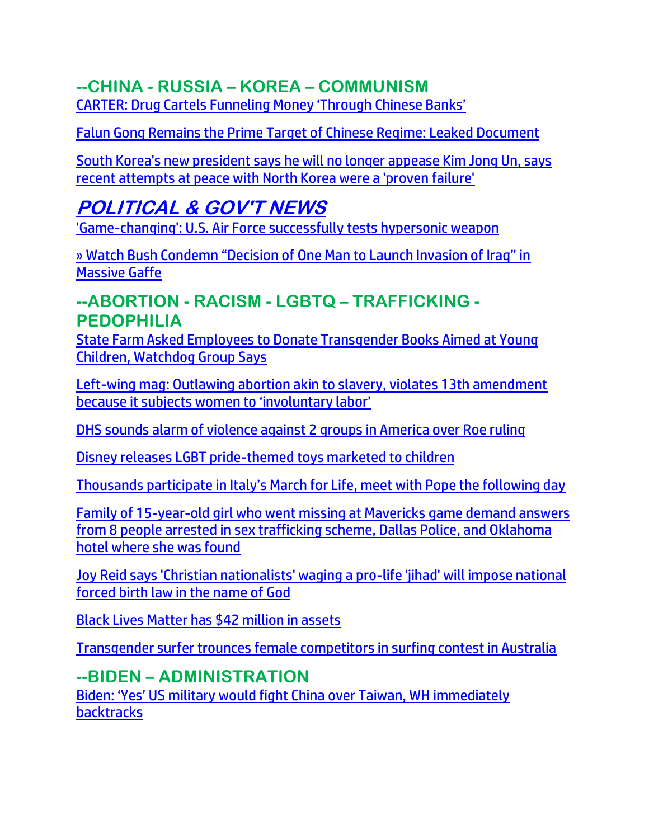## **--CHINA - RUSSIA – KOREA – COMMUNISM**

[CARTER: Drug Cartels Funneling Money 'Through Chinese Banks'](https://delivery.email.saraacarter.com/GUIDARZE?id=153976=eh4CVwZWCQQBTFIBVgADA1MHU1VUBF4AUwBSAVgFA10PWwEHBlIFVVRWBgcECwEHBVEeXlxdAxEKDCRUVABaVBcBXQtPVAYGBQcBBFEPAw0AAlcBAQAaChURFEADThxcXA5bEFYXSR1SXVJbChdGVUVTA1dWQxIHE0sHXFROdG1wJnM0aSAPWlNMRQE=&fl=URZGFkBfHxxDVV9XC1xBRl5XERpdVAMMBksHXFROUFRQAVk=&ext=dD1leUpoYkdjaU9pSklVekkxTmlJc0luUjVjQ0k2SWtwWFZDSjkuZXlKd0lqcGJiblZzYkN4dWRXeHNMQ0pvZEhSd2N6b3ZMM05oY21GaFkyRnlkR1Z5TG1OdmJTOWpZWEowWlhJdFpISjFaeTFqWVhKMFpXeHpMV1oxYm01bGJHbHVaeTF0YjI1bGVTMTBhSEp2ZFdkb0xXTm9hVzVsYzJVdFltRnVhM012UDNWMGJWOXpiM1Z5WTJVOWFtVmxibWNtYW1WdFBXTTFZVE00TlRjd1l6QmhaR05qWTJZNFlXSXpaR001WW1JM01ESXpNMll6SWl4dWRXeHNMREVzWm1Gc2MyVXNabUZzYzJVc0ltUmtOVEEzTXpKa0xUTmpabUV0TkRWaU55MDROVEV4TFRabFpUSmhNRFl3WVRnM015SXNJakl5Tm1NNE9URTVMVGM1WkdJdE5EaGtOUzA1TURRMUxUWmpaRFF4TVRWak5UUmxOaUlzSWpoaFpqVTNNRGd3TFRsak1UTXROR0prTXkxaU9EWm1MVEJpTTJNMVpHWTVNV1l4WWlJc0ltaDBkSEJ6T2k4dmMyRnlZV0ZqWVhKMFpYSXVZMjl0TDJOaGNuUmxjaTFrY25WbkxXTmhjblJsYkhNdFpuVnVibVZzYVc1bkxXMXZibVY1TFhSb2NtOTFaMmd0WTJocGJtVnpaUzFpWVc1cmN5OGlMQ0pqTjNBelh6QWlMQ0psYldGcGJDSXNJa1JUSWwwc0ltbGhkQ0k2TVRZMU1qYzVNalV4T1gwLktQME5kR1h0UDMydEtLd0lYemZPaEZtZmtDNU5sY05uNGtYZHViZUpVZDg=)

Falun Gong [Remains the Prime Target of Chinese Regime: Leaked Document](https://lists.youmaker.com/links/yBAXrg403g/Jlid8tcrj/7xAbPNiP2/kwTqR8BG06)

[South Korea's new president says he will no longer appease Kim Jong Un, says](https://link.theblaze.com/click/27810683.936943/aHR0cHM6Ly93d3cudGhlYmxhemUuY29tL25ld3Mvc291dGgta29yZWEtcy1uZXctcHJlc2lkZW50LXNheXMtaGUtd2lsbC1uby1sb25nZXItYXBwZWFzZS1raW0tam9uZy11bi1zYXlzLXJlY2VudC1hdHRlbXB0cy1hdC1wZWFjZS13aXRoLW5vcnRoLWtvcmVhLXdlcmUtYS1wcm92ZW4tZmFpbHVyZT91dG1fc291cmNlPXRoZWJsYXplLTdEYXlUcmVuZGluZ1Rlc3QmdXRtX21lZGl1bT1lbWFpbCZ1dG1fY2FtcGFpZ249QWZ0ZXJub29uIEF1dG8gVHJlbmRpbmcgNyBEYXkgRW5nYWdlZCAyMDIyLTA1LTIzJnV0bV90ZXJtPUFDVElWRSBMSVNUIC0gNyBEYXkgRW5nYWdlbWVudA/61f82015384ca325d2cdab60C2ed36d13)  [recent attempts at peace with North Korea were a 'proven failure'](https://link.theblaze.com/click/27810683.936943/aHR0cHM6Ly93d3cudGhlYmxhemUuY29tL25ld3Mvc291dGgta29yZWEtcy1uZXctcHJlc2lkZW50LXNheXMtaGUtd2lsbC1uby1sb25nZXItYXBwZWFzZS1raW0tam9uZy11bi1zYXlzLXJlY2VudC1hdHRlbXB0cy1hdC1wZWFjZS13aXRoLW5vcnRoLWtvcmVhLXdlcmUtYS1wcm92ZW4tZmFpbHVyZT91dG1fc291cmNlPXRoZWJsYXplLTdEYXlUcmVuZGluZ1Rlc3QmdXRtX21lZGl1bT1lbWFpbCZ1dG1fY2FtcGFpZ249QWZ0ZXJub29uIEF1dG8gVHJlbmRpbmcgNyBEYXkgRW5nYWdlZCAyMDIyLTA1LTIzJnV0bV90ZXJtPUFDVElWRSBMSVNUIC0gNyBEYXkgRW5nYWdlbWVudA/61f82015384ca325d2cdab60C2ed36d13)

## **POLITICAL & GOV'T NEWS**

['Game-changing': U.S. Air Force successfully tests hypersonic weapon](https://www.wnd.com/2022/05/game-changing-u-s-air-force-successfully-tests-hypersonic-weapon/)

[» Watch Bush Condemn "Decision of One Man to Launch Invasion of Iraq" in](https://trk.cp20.com/click/gak4-3n7j8p-8bmsw0-f4obzxf0/)  [Massive Gaffe](https://trk.cp20.com/click/gak4-3n7j8p-8bmsw0-f4obzxf0/)

### **--ABORTION - RACISM - LGBTQ – TRAFFICKING - PEDOPHILIA**

[State Farm Asked Employees to Donate Transgender Books Aimed at Young](https://lists.youmaker.com/links/tbboItG9Ux/Jlid8tcrj/7xAbPNiP2/GytgqjxO4i)  [Children, Watchdog Group Says](https://lists.youmaker.com/links/tbboItG9Ux/Jlid8tcrj/7xAbPNiP2/GytgqjxO4i)

[Left-wing mag: Outlawing abortion akin to slavery, violates 13th amendment](https://whitehousewire.com/2022/05/23/left-wing-mag-outlawing-abortion-akin-to-slavery-violates-13th-amendment-because-it-subjects-women-to-involuntary-labor/)  [because it subjects women to 'involuntary labor'](https://whitehousewire.com/2022/05/23/left-wing-mag-outlawing-abortion-akin-to-slavery-violates-13th-amendment-because-it-subjects-women-to-involuntary-labor/)

[DHS sounds alarm of violence against 2 groups in America over Roe ruling](https://www.wnd.com/2022/05/dhs-sounds-alarm-violence-2-groups-america-roe-ruling/)

[Disney releases LGBT pride-themed toys marketed to children](https://www.wnd.com/2022/05/disney-releases-lgbt-pride-themed-toys-marketed-children/)

[Thousands participate in Italy's March for Life, meet with Pope the following day](https://www.lifesitenews.com/news/italians-participate-in-march-for-life-in-rome-meet-with-pope-the-next-day/?utm_source=top_news&utm_campaign=usa)

[Family of 15-year-old girl who went missing at Mavericks game demand answers](https://link.theblaze.com/click/27803373.1041056/aHR0cHM6Ly93d3cudGhlYmxhemUuY29tL25ld3MvbWlzc2luZy1naXJsLW1hdmVyaWNrcy10cmFmZmlja2luZy1wb2xpY2U_dXRtX3NvdXJjZT10aGVibGF6ZS1kYWlseVBNJnV0bV9tZWRpdW09ZW1haWwmdXRtX2NhbXBhaWduPURhaWx5LU5ld3NsZXR0ZXJfX1BNIDIwMjItMDUtMjImdXRtX3Rlcm09QUNUSVZFIExJU1QgLSBUaGVCbGF6ZSBEYWlseSBQTQ/61f82015384ca325d2cdab60C9d30e068)  [from 8 people arrested in sex trafficking scheme, Dallas Police, and Oklahoma](https://link.theblaze.com/click/27803373.1041056/aHR0cHM6Ly93d3cudGhlYmxhemUuY29tL25ld3MvbWlzc2luZy1naXJsLW1hdmVyaWNrcy10cmFmZmlja2luZy1wb2xpY2U_dXRtX3NvdXJjZT10aGVibGF6ZS1kYWlseVBNJnV0bV9tZWRpdW09ZW1haWwmdXRtX2NhbXBhaWduPURhaWx5LU5ld3NsZXR0ZXJfX1BNIDIwMjItMDUtMjImdXRtX3Rlcm09QUNUSVZFIExJU1QgLSBUaGVCbGF6ZSBEYWlseSBQTQ/61f82015384ca325d2cdab60C9d30e068)  [hotel where she was found](https://link.theblaze.com/click/27803373.1041056/aHR0cHM6Ly93d3cudGhlYmxhemUuY29tL25ld3MvbWlzc2luZy1naXJsLW1hdmVyaWNrcy10cmFmZmlja2luZy1wb2xpY2U_dXRtX3NvdXJjZT10aGVibGF6ZS1kYWlseVBNJnV0bV9tZWRpdW09ZW1haWwmdXRtX2NhbXBhaWduPURhaWx5LU5ld3NsZXR0ZXJfX1BNIDIwMjItMDUtMjImdXRtX3Rlcm09QUNUSVZFIExJU1QgLSBUaGVCbGF6ZSBEYWlseSBQTQ/61f82015384ca325d2cdab60C9d30e068)

[Joy Reid says 'Christian nationalists' waging a pro-life 'jihad' will impose national](https://link.theblaze.com/click/27784311.937603/aHR0cHM6Ly93d3cudGhlYmxhemUuY29tL25ld3Mvam95LXJlaWQtYWJvcnRpb24tY2hyaXN0aWFucy1qaWhhZD91dG1fc291cmNlPXRoZWJsYXplLTdEYXlUcmVuZGluZ1Rlc3QmdXRtX21lZGl1bT1lbWFpbCZ1dG1fY2FtcGFpZ249QWZ0ZXJub29uIEF1dG8gVHJlbmRpbmcgNyBEYXkgRW5nYWdlZCAyMDIyLTA1LTIwJnV0bV90ZXJtPUFDVElWRSBMSVNUIC0gNyBEYXkgRW5nYWdlbWVudA/61f82015384ca325d2cdab60Cacf5f7a9)  [forced birth law in the name of God](https://link.theblaze.com/click/27784311.937603/aHR0cHM6Ly93d3cudGhlYmxhemUuY29tL25ld3Mvam95LXJlaWQtYWJvcnRpb24tY2hyaXN0aWFucy1qaWhhZD91dG1fc291cmNlPXRoZWJsYXplLTdEYXlUcmVuZGluZ1Rlc3QmdXRtX21lZGl1bT1lbWFpbCZ1dG1fY2FtcGFpZ249QWZ0ZXJub29uIEF1dG8gVHJlbmRpbmcgNyBEYXkgRW5nYWdlZCAyMDIyLTA1LTIwJnV0bV90ZXJtPUFDVElWRSBMSVNUIC0gNyBEYXkgRW5nYWdlbWVudA/61f82015384ca325d2cdab60Cacf5f7a9)

[Black Lives Matter has \\$42 million in assets](https://inform.afa.net/optiext/optiextension.dll?ID=tXWtWk0EeWjV5b6X%2BOG2B%2B80pZB5rqTEhFoeZ2QDCZUQ2sId7BXu6Iz%2BUsoQ%2B%2BWgOp9NdtVs7bjavr6RejoPVXBkuoAGYxiwH4WkVStX)

[Transgender surfer trounces female competitors in surfing contest in Australia](https://link.theblaze.com/click/27796344.1162225/aHR0cHM6Ly93d3cudGhlYmxhemUuY29tL25ld3Mvc2FzaGEtamFuZS1sb3dlcnNvbi1zdXJmLXRyYW5zZ2VuZGVyP3V0bV9zb3VyY2U9dGhlYmxhemUtYnJlYWtpbmcmdXRtX21lZGl1bT1lbWFpbCZ1dG1fY2FtcGFpZ249TmV3LVRyZW5kaW5nLVN0b3J5X1dFRUtFTkQgMjAyMi0wNS0yMSZ1dG1fdGVybT1BQ1RJVkUgTElTVCAtIFRoZUJsYXplIEJyZWFraW5nIE5ld3M/61f82015384ca325d2cdab60C8a4fe082)

## **--BIDEN – ADMINISTRATION**

[Biden: 'Yes' US military would fight Chin](https://americanmilitarynews.com/2022/05/biden-yes-us-military-would-fight-china-over-taiwan-wh-immediately-backtracks/?utm_source=breaking_email&utm_campaign=breaking_mailchimp&utm_medium=email&utm_source=Master_List&utm_campaign=b6927d163c-EMAIL_CAMPAIGN_2022_05_23_02_22&utm_medium=email&utm_term=0_9c4ef113e0-b6927d163c-61619259&mc_cid=b6927d163c&mc_eid=d4a810d349)a over Taiwan, WH immediately **[backtracks](https://americanmilitarynews.com/2022/05/biden-yes-us-military-would-fight-china-over-taiwan-wh-immediately-backtracks/?utm_source=breaking_email&utm_campaign=breaking_mailchimp&utm_medium=email&utm_source=Master_List&utm_campaign=b6927d163c-EMAIL_CAMPAIGN_2022_05_23_02_22&utm_medium=email&utm_term=0_9c4ef113e0-b6927d163c-61619259&mc_cid=b6927d163c&mc_eid=d4a810d349)**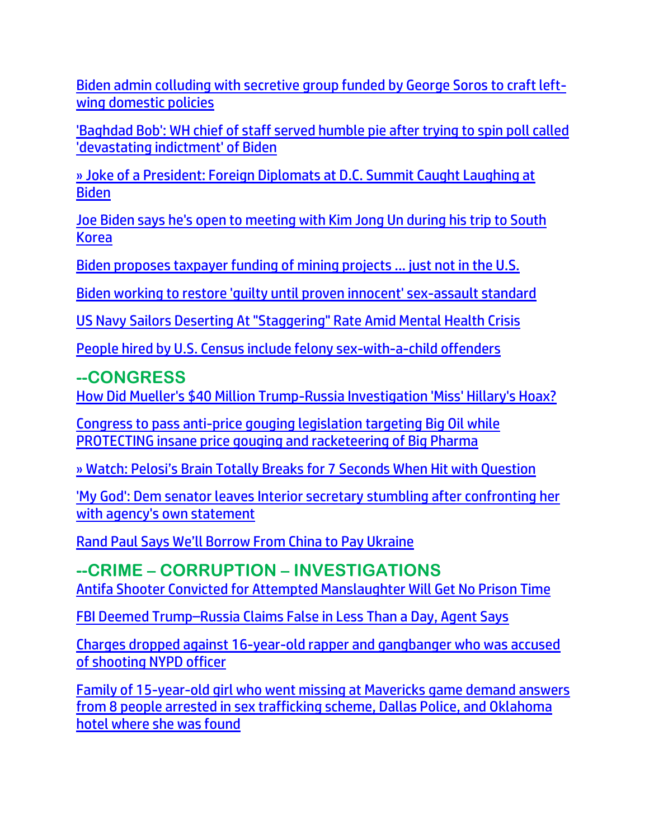[Biden admin colluding with secretive group funded by George Soros to craft left](https://www.naturalnews.com/2022-05-23-biden-admin-colluding-group-funded-by-soros.html)[wing domestic policies](https://www.naturalnews.com/2022-05-23-biden-admin-colluding-group-funded-by-soros.html)

['Baghdad Bob': WH chief of staff served humble pie after trying to spin poll called](https://link.theblaze.com/click/27811886.1137367/aHR0cHM6Ly93d3cudGhlYmxhemUuY29tL25ld3Mvcm9uLWtsYWluLXNwaW5zLXBvbGwtYmFkLWZvci1iaWRlbj91dG1fc291cmNlPXRoZWJsYXplLWJyZWFraW5nJnV0bV9tZWRpdW09ZW1haWwmdXRtX2NhbXBhaWduPTIwMjIwNTIzVFJlbmRpbmctV2hvb3BwaWVQZWxvc2kmdXRtX3Rlcm09QUNUSVZFIExJU1QgLSBUaGVCbGF6ZSBCcmVha2luZyBOZXdz/61f82015384ca325d2cdab60C47b0d049)  ['devastating indictment' of Biden](https://link.theblaze.com/click/27811886.1137367/aHR0cHM6Ly93d3cudGhlYmxhemUuY29tL25ld3Mvcm9uLWtsYWluLXNwaW5zLXBvbGwtYmFkLWZvci1iaWRlbj91dG1fc291cmNlPXRoZWJsYXplLWJyZWFraW5nJnV0bV9tZWRpdW09ZW1haWwmdXRtX2NhbXBhaWduPTIwMjIwNTIzVFJlbmRpbmctV2hvb3BwaWVQZWxvc2kmdXRtX3Rlcm09QUNUSVZFIExJU1QgLSBUaGVCbGF6ZSBCcmVha2luZyBOZXdz/61f82015384ca325d2cdab60C47b0d049)

[» Joke of a President: Foreign Diplomats at D.C. Summit Caught Laughing at](https://trk.cp20.com/click/gak4-3n8e2d-8bn2fm-f4obzxf8/)  [Biden](https://trk.cp20.com/click/gak4-3n8e2d-8bn2fm-f4obzxf8/)

[Joe Biden says he's open to meeting with Kim Jong Un during his trip to South](https://link.theblaze.com/click/27798479.918983/aHR0cHM6Ly93d3cudGhlYmxhemUuY29tL25ld3Mvam9lLWJpZGVuLXNheXMtaGUtcy1vcGVuLXRvLW1lZXRpbmctd2l0aC1raW0tam9uZy11bi1kdXJpbmctdHJpcC10by1zb3V0aC1rb3JlYT91dG1fc291cmNlPXRoZWJsYXplLTdEYXlUcmVuZGluZ1Rlc3QmdXRtX21lZGl1bT1lbWFpbCZ1dG1fY2FtcGFpZ249VGhlIEJsYXplIFBNIFRyZW5kaW5nIDIwMjItMDUtMjEmdXRtX3Rlcm09QUNUSVZFIExJU1QgLSA3IERheSBFbmdhZ2VtZW50/61f82015384ca325d2cdab60Ce25b5cec)  [Korea](https://link.theblaze.com/click/27798479.918983/aHR0cHM6Ly93d3cudGhlYmxhemUuY29tL25ld3Mvam9lLWJpZGVuLXNheXMtaGUtcy1vcGVuLXRvLW1lZXRpbmctd2l0aC1raW0tam9uZy11bi1kdXJpbmctdHJpcC10by1zb3V0aC1rb3JlYT91dG1fc291cmNlPXRoZWJsYXplLTdEYXlUcmVuZGluZ1Rlc3QmdXRtX21lZGl1bT1lbWFpbCZ1dG1fY2FtcGFpZ249VGhlIEJsYXplIFBNIFRyZW5kaW5nIDIwMjItMDUtMjEmdXRtX3Rlcm09QUNUSVZFIExJU1QgLSA3IERheSBFbmdhZ2VtZW50/61f82015384ca325d2cdab60Ce25b5cec)

[Biden proposes taxpayer funding of mining projects ... just not in the U.S.](https://www.wnd.com/2022/05/biden-proposes-taxpayer-funding-mining-projects-just-not-u-s/)

[Biden working to restore 'guilty until proven innocent' sex-assault standard](https://www.wnd.com/2022/05/biden-working-restore-guilty-proven-innocent-sex-assault-standard/)

[US Navy Sailors Deserting At "Staggering" Rate Amid Mental Health Crisis](https://www.zerohedge.com/markets/us-navy-sailors-deserting-staggering-rate-amid-mental-health-crisis)

[People hired by U.S. Census include felony sex-with-a-child offenders](https://www.wnd.com/2022/05/people-hired-u-s-census-include-felony-sex-child-offenders/)

## **--CONGRESS**

[How Did Mueller's \\$40 Million Trump-Russia Investigation 'Miss' Hillary's Hoax?](https://www.zerohedge.com/political/how-did-muellers-40-million-trump-russia-investigation-miss-hillarys-hoax) 

[Congress to pass anti-price gouging legislation targeting Big Oil while](https://www.naturalnews.com/2022-05-21-congress-anti-price-gouging-legislation-big-oil.html)  [PROTECTING insane price gouging and racketeering of Big Pharma](https://www.naturalnews.com/2022-05-21-congress-anti-price-gouging-legislation-big-oil.html)

» Watch: [Pelosi's Brain Totally Breaks for 7 Seconds When Hit with Question](https://trk.cp20.com/click/gak4-3n8e2d-8bn2fo-f4obzxf0/)

['My God': Dem senator leaves Interior secretary stumbling after confronting her](https://link.theblaze.com/click/27781948.1161769/aHR0cHM6Ly93d3cudGhlYmxhemUuY29tL25ld3Mvam9lLW1hbmNoaW4tY29uZnJvbnRzLWRlYi1oYWFsYW5kLW9pbC1sZWFzZXM_dXRtX3NvdXJjZT10aGVibGF6ZS1icmVha2luZyZ1dG1fbWVkaXVtPWVtYWlsJnV0bV9jYW1wYWlnbj0yMDIyMDUyMFRyZW5kaW5nLU1hbmNoaW5JbnRlcmlvciZ1dG1fdGVybT1BQ1RJVkUgTElTVCAtIFRoZUJsYXplIEJyZWFraW5nIE5ld3M/61f82015384ca325d2cdab60Cdfa97719)  [with agency's own statement](https://link.theblaze.com/click/27781948.1161769/aHR0cHM6Ly93d3cudGhlYmxhemUuY29tL25ld3Mvam9lLW1hbmNoaW4tY29uZnJvbnRzLWRlYi1oYWFsYW5kLW9pbC1sZWFzZXM_dXRtX3NvdXJjZT10aGVibGF6ZS1icmVha2luZyZ1dG1fbWVkaXVtPWVtYWlsJnV0bV9jYW1wYWlnbj0yMDIyMDUyMFRyZW5kaW5nLU1hbmNoaW5JbnRlcmlvciZ1dG1fdGVybT1BQ1RJVkUgTElTVCAtIFRoZUJsYXplIEJyZWFraW5nIE5ld3M/61f82015384ca325d2cdab60Cdfa97719)

[Rand Paul Says We'll Borrow From China to Pay Ukraine](https://ratherexposethem.org/2022/05/22/rand-paul-says-well-borrow-from-china-to-pay-ukraine/)

**--CRIME – CORRUPTION – INVESTIGATIONS** [Antifa Shooter Convicted for Attempted Manslaughter Will Get No Prison Time](https://welovetrump.com/2022/05/23/antifa-shooter-convicted-for-attempted-manslaughter-will-get-no-prison-time/)

FBI Deemed Trump–[Russia Claims False in Less Than a Day, Agent Says](https://lists.youmaker.com/links/gI8L68oslJ/Jlid8tcrj/7xAbPNiP2/tqhGGBcSOu)

[Charges dropped against 16-year-old rapper and gangbanger who was accused](https://link.theblaze.com/click/27797870.1037310/aHR0cHM6Ly93d3cudGhlYmxhemUuY29tL25ld3MvY2hhcmdlcy1kcm9wcGVkLWFnYWluc3QtMTYteWVhci1vbGQtcmFwcGVyLWFuZC1nYW5nYmFuZ2VyLXdoby13YXMtYWNjdXNlZC1vZi1zaG9vdGluZy1ueXBkLW9mZmljZXI_dXRtX3NvdXJjZT10aGVibGF6ZS1kYWlseVBNJnV0bV9tZWRpdW09ZW1haWwmdXRtX2NhbXBhaWduPURhaWx5LU5ld3NsZXR0ZXJfX1BNIDIwMjItMDUtMjEmdXRtX3Rlcm09QUNUSVZFIExJU1QgLSBUaGVCbGF6ZSBEYWlseSBQTQ/61f82015384ca325d2cdab60Cad69a040)  [of shooting NYPD officer](https://link.theblaze.com/click/27797870.1037310/aHR0cHM6Ly93d3cudGhlYmxhemUuY29tL25ld3MvY2hhcmdlcy1kcm9wcGVkLWFnYWluc3QtMTYteWVhci1vbGQtcmFwcGVyLWFuZC1nYW5nYmFuZ2VyLXdoby13YXMtYWNjdXNlZC1vZi1zaG9vdGluZy1ueXBkLW9mZmljZXI_dXRtX3NvdXJjZT10aGVibGF6ZS1kYWlseVBNJnV0bV9tZWRpdW09ZW1haWwmdXRtX2NhbXBhaWduPURhaWx5LU5ld3NsZXR0ZXJfX1BNIDIwMjItMDUtMjEmdXRtX3Rlcm09QUNUSVZFIExJU1QgLSBUaGVCbGF6ZSBEYWlseSBQTQ/61f82015384ca325d2cdab60Cad69a040)

[Family of 15-year-old girl who went missing at Mavericks game demand answers](https://link.theblaze.com/click/27798479.918983/aHR0cHM6Ly93d3cudGhlYmxhemUuY29tL25ld3MvbWlzc2luZy1naXJsLW1hdmVyaWNrcy10cmFmZmlja2luZy1wb2xpY2U_dXRtX3NvdXJjZT10aGVibGF6ZS03RGF5VHJlbmRpbmdUZXN0JnV0bV9tZWRpdW09ZW1haWwmdXRtX2NhbXBhaWduPVRoZSBCbGF6ZSBQTSBUcmVuZGluZyAyMDIyLTA1LTIxJnV0bV90ZXJtPUFDVElWRSBMSVNUIC0gNyBEYXkgRW5nYWdlbWVudA/61f82015384ca325d2cdab60Cb23301c8)  [from 8 people arrested in sex trafficking scheme, Dallas Police, and Oklahoma](https://link.theblaze.com/click/27798479.918983/aHR0cHM6Ly93d3cudGhlYmxhemUuY29tL25ld3MvbWlzc2luZy1naXJsLW1hdmVyaWNrcy10cmFmZmlja2luZy1wb2xpY2U_dXRtX3NvdXJjZT10aGVibGF6ZS03RGF5VHJlbmRpbmdUZXN0JnV0bV9tZWRpdW09ZW1haWwmdXRtX2NhbXBhaWduPVRoZSBCbGF6ZSBQTSBUcmVuZGluZyAyMDIyLTA1LTIxJnV0bV90ZXJtPUFDVElWRSBMSVNUIC0gNyBEYXkgRW5nYWdlbWVudA/61f82015384ca325d2cdab60Cb23301c8)  [hotel where she was found](https://link.theblaze.com/click/27798479.918983/aHR0cHM6Ly93d3cudGhlYmxhemUuY29tL25ld3MvbWlzc2luZy1naXJsLW1hdmVyaWNrcy10cmFmZmlja2luZy1wb2xpY2U_dXRtX3NvdXJjZT10aGVibGF6ZS03RGF5VHJlbmRpbmdUZXN0JnV0bV9tZWRpdW09ZW1haWwmdXRtX2NhbXBhaWduPVRoZSBCbGF6ZSBQTSBUcmVuZGluZyAyMDIyLTA1LTIxJnV0bV90ZXJtPUFDVElWRSBMSVNUIC0gNyBEYXkgRW5nYWdlbWVudA/61f82015384ca325d2cdab60Cb23301c8)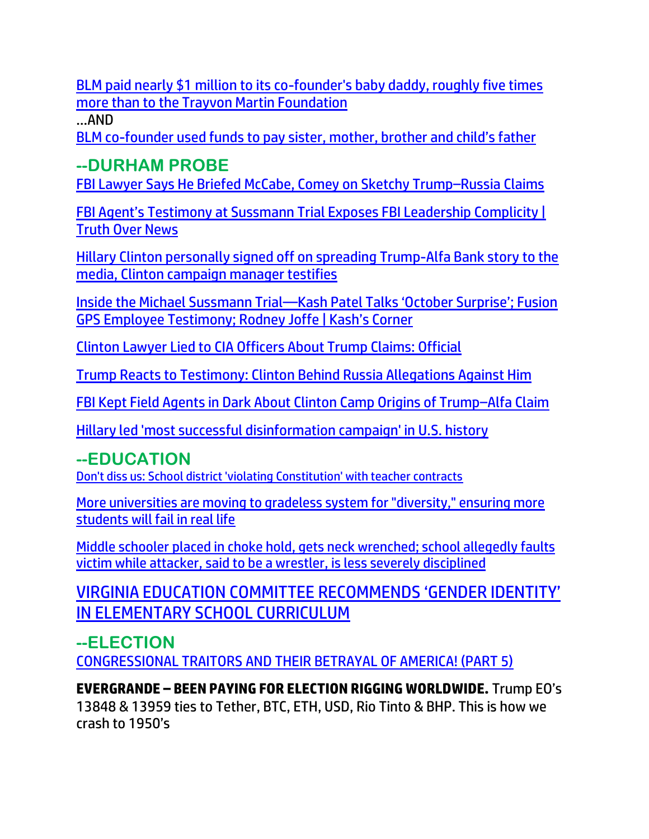[BLM paid nearly \\$1 million to its co-founder's baby daddy, roughly five times](https://link.theblaze.com/click/27757576.955843/aHR0cHM6Ly93d3cudGhlYmxhemUuY29tL25ld3MvYmxtLXBhaWQtbmVhcmx5LTEtbWlsbGlvbi10by1pdHMtY28tZm91bmRlci1zLWJhYnktZGF5LXJvdWdobHktZml2ZS10aW1lcy1tb3JlLXRoYW4tdGhlLXRyYXl2b24tbWFydGluLWZvdW5kYXRpb24_dXRtX3NvdXJjZT10aGVibGF6ZS03RGF5VHJlbmRpbmdUZXN0JnV0bV9tZWRpdW09ZW1haWwmdXRtX2NhbXBhaWduPUFmdGVybm9vbiBBdXRvIFRyZW5kaW5nIDcgRGF5IEVuZ2FnZWQgMjAyMi0wNS0xOCZ1dG1fdGVybT1BQ1RJVkUgTElTVCAtIDcgRGF5IEVuZ2FnZW1lbnQ/61f82015384ca325d2cdab60C4b79d699)  [more than to the Trayvon Martin Foundation](https://link.theblaze.com/click/27757576.955843/aHR0cHM6Ly93d3cudGhlYmxhemUuY29tL25ld3MvYmxtLXBhaWQtbmVhcmx5LTEtbWlsbGlvbi10by1pdHMtY28tZm91bmRlci1zLWJhYnktZGF5LXJvdWdobHktZml2ZS10aW1lcy1tb3JlLXRoYW4tdGhlLXRyYXl2b24tbWFydGluLWZvdW5kYXRpb24_dXRtX3NvdXJjZT10aGVibGF6ZS03RGF5VHJlbmRpbmdUZXN0JnV0bV9tZWRpdW09ZW1haWwmdXRtX2NhbXBhaWduPUFmdGVybm9vbiBBdXRvIFRyZW5kaW5nIDcgRGF5IEVuZ2FnZWQgMjAyMi0wNS0xOCZ1dG1fdGVybT1BQ1RJVkUgTElTVCAtIDcgRGF5IEVuZ2FnZW1lbnQ/61f82015384ca325d2cdab60C4b79d699)

…AND

BLM co-[founder used funds to pay sister, mother, brother and child's father](https://delivery.email.saraacarter.com/GUIDARZE?id=153976=eh4CVwZWCQQBTABQUwsEBQIABlUAAlZXAlJSAl1WUA4BBlQHAgBUUAAEV1YHDQNXA1EeXlxdAxEKDCRUVABaVBcBXQtPVAYGBQkLB18PBAEEAFENDwcaChURFEADThxcXA5bEFYXSR1SXVJbChdGVUVTA1dWQxIHE0sHXFROdG1wJnM0aSAPWlNMRQE=&fl=URZGFkBfHxxDVV9XC1xBRl5XERpdVAMMBksHXFROUFRQAVk=&ext=dD1leUpoYkdjaU9pSklVekkxTmlJc0luUjVjQ0k2SWtwWFZDSjkuZXlKd0lqcGJiblZzYkN4dWRXeHNMQ0pvZEhSd2N6b3ZMM05oY21GaFkyRnlkR1Z5TG1OdmJTOWliRzB0WTI4dFptOTFibVJsY2kxMWMyVmtMV1oxYm1SekxYUnZMWEJoZVMxemFYTjBaWEl0Ylc5MGFHVnlMV0p5YjNSb1pYSXRZVzVrTFdOb2FXeGtjeTFtWVhSb1pYSXZQM1YwYlY5emIzVnlZMlU5YW1WbGJtY21hbVZ0UFdNMVlUTTROVGN3WXpCaFpHTmpZMlk0WVdJelpHTTVZbUkzTURJek0yWXpJaXh1ZFd4c0xERXNabUZzYzJVc1ptRnNjMlVzSW1Sa05UQTNNekprTFROalptRXRORFZpTnkwNE5URXhMVFpsWlRKaE1EWXdZVGczTXlJc0lqZGpNREJpTnpRMkxUTmhNakV0TkdWbE5DMDVZalJqTFdObVlXTTVPRFl3TkRjM1pDSXNJamhoWmpVM01EZ3dMVGxqTVRNdE5HSmtNeTFpT0RabUxUQmlNMk0xWkdZNU1XWXhZaUlzSW1oMGRIQnpPaTh2YzJGeVlXRmpZWEowWlhJdVkyOXRMMkpzYlMxamJ5MW1iM1Z1WkdWeUxYVnpaV1F0Wm5WdVpITXRkRzh0Y0dGNUxYTnBjM1JsY2kxdGIzUm9aWEl0WW5KdmRHaGxjaTFoYm1RdFkyaHBiR1J6TFdaaGRHaGxjaThpTENKak4zQXpYekFpTENKbGJXRnBiQ0lzSWtSVElsMHNJbWxoZENJNk1UWTFNams1TkRBM00zMC5FY2tqb1VzME04NklIMUEwaEh3M1JQZWdsLUVRU0dqbUF5Q29rV0c1ckRv)

## **--DURHAM PROBE**

[FBI Lawyer Says He Briefed McCabe, Comey on Sketchy Trump](https://lists.youmaker.com/links/NeATOjqITV/Jlid8tcrj/7xAbPNiP2/qPr6BQVlTm)–Russia Claims

FBI Agent's Testimony [at Sussmann Trial Exposes FBI Leadership Complicity |](https://lists.youmaker.com/links/NeATOjqITV/Jlid8tcrj/7xAbPNiP2/juTKYzU0g7e)  [Truth Over News](https://lists.youmaker.com/links/NeATOjqITV/Jlid8tcrj/7xAbPNiP2/juTKYzU0g7e)

[Hillary Clinton personally signed off on spreading Trump-Alfa Bank story to the](https://link.theblaze.com/click/27796344.1162225/aHR0cHM6Ly93d3cudGhlYmxhemUuY29tL25ld3MvY2xpbnRvbi1tb29rLWFsZmEtYmFuay10ZXN0aW1vbnk_dXRtX3NvdXJjZT10aGVibGF6ZS1icmVha2luZyZ1dG1fbWVkaXVtPWVtYWlsJnV0bV9jYW1wYWlnbj1OZXctVHJlbmRpbmctU3RvcnlfV0VFS0VORCAyMDIyLTA1LTIxJnV0bV90ZXJtPUFDVElWRSBMSVNUIC0gVGhlQmxhemUgQnJlYWtpbmcgTmV3cw/61f82015384ca325d2cdab60Ccd36ede7)  [media, Clinton campaign manager testifies](https://link.theblaze.com/click/27796344.1162225/aHR0cHM6Ly93d3cudGhlYmxhemUuY29tL25ld3MvY2xpbnRvbi1tb29rLWFsZmEtYmFuay10ZXN0aW1vbnk_dXRtX3NvdXJjZT10aGVibGF6ZS1icmVha2luZyZ1dG1fbWVkaXVtPWVtYWlsJnV0bV9jYW1wYWlnbj1OZXctVHJlbmRpbmctU3RvcnlfV0VFS0VORCAyMDIyLTA1LTIxJnV0bV90ZXJtPUFDVElWRSBMSVNUIC0gVGhlQmxhemUgQnJlYWtpbmcgTmV3cw/61f82015384ca325d2cdab60Ccd36ede7)

Inside the Michael Sussmann Trial[—Kash Patel Talks 'October Surprise'; Fusion](https://lists.youmaker.com/links/x7xrOZtSiE/Jlid8tcrj/7xAbPNiP2/fUc1wDq2bE)  GPS Empl[oyee Testimony; Rodney Joffe | Kash's Corner](https://lists.youmaker.com/links/x7xrOZtSiE/Jlid8tcrj/7xAbPNiP2/fUc1wDq2bE)

[Clinton Lawyer Lied to CIA Officers About Trump Claims: Official](https://lists.youmaker.com/links/KQWclMyzcE/Jlid8tcrj/7xAbPNiP2/zxsvlj57AA)

[Trump Reacts to Testimony: Clinton Behind Russia Allegations Against Him](https://lists.youmaker.com/links/KQWclMyzcE/Jlid8tcrj/7xAbPNiP2/FsUuE6VUHg)

[FBI Kept Field Agents in Dark About Clinton Camp Origins of Trump](https://lists.youmaker.com/links/tbboItG9Ux/Jlid8tcrj/7xAbPNiP2/oOMQvcGJOIu)–Alfa Claim

[Hillary led 'most successful disinformation campaign' in U.S. history](https://www.wnd.com/2022/05/hillary-led-successful-disinformation-campaign-u-s-history/)

## **--EDUCATION**

[Don't diss us: School district 'violating Constitution' with teacher contracts](https://www.wnd.com/2022/05/dont-diss-us-school-district-violating-constitution-teacher-contracts/)

[More universities are moving to gradeless system for "diversity," ensuring more](https://ce-publiclw.naturalnews.com/ct.asp?id=4CC0B30DB724BC31851D2CFEF911418237C85779C67FF28604CEFC472C6E51548A5753B671BBEE43D46B394CA79BE394&ct=4aeUs2UAAABCWmgzMUFZJlNZQu43UgAAFhmAAAPykC%2fn36AgAGoagnpPQmJ6IND1CKep%2bpHk0gyAybUKHWOZdi6ZVUjalQ124Ta00vHTglGfMem03SIzmNW6ofiMTavC30SCzOksNn4IVtMZlu8NMQDKSodUX8XckU4UJBC7jdSA)  [students will fail in real life](https://ce-publiclw.naturalnews.com/ct.asp?id=4CC0B30DB724BC31851D2CFEF911418237C85779C67FF28604CEFC472C6E51548A5753B671BBEE43D46B394CA79BE394&ct=4aeUs2UAAABCWmgzMUFZJlNZQu43UgAAFhmAAAPykC%2fn36AgAGoagnpPQmJ6IND1CKep%2bpHk0gyAybUKHWOZdi6ZVUjalQ124Ta00vHTglGfMem03SIzmNW6ofiMTavC30SCzOksNn4IVtMZlu8NMQDKSodUX8XckU4UJBC7jdSA)

[Middle schooler placed in choke hold, gets neck wrenched; school allegedly faults](https://link.theblaze.com/click/27769867.961611/aHR0cHM6Ly93d3cudGhlYmxhemUuY29tL25ld3MvbWlkZGxlLXNjaG9vbGVyLWNob2tlaG9sZC12aWN0aW0tcHVuaXNoZWQ_dXRtX3NvdXJjZT10aGVibGF6ZS03RGF5VHJlbmRpbmdUZXN0JnV0bV9tZWRpdW09ZW1haWwmdXRtX2NhbXBhaWduPUFmdGVybm9vbiBBdXRvIFRyZW5kaW5nIDcgRGF5IEVuZ2FnZWQgMjAyMi0wNS0xOSZ1dG1fdGVybT1BQ1RJVkUgTElTVCAtIDcgRGF5IEVuZ2FnZW1lbnQ/61f82015384ca325d2cdab60Cac03cf61)  [victim while attacker, said to be a wrestler, is less severely disciplined](https://link.theblaze.com/click/27769867.961611/aHR0cHM6Ly93d3cudGhlYmxhemUuY29tL25ld3MvbWlkZGxlLXNjaG9vbGVyLWNob2tlaG9sZC12aWN0aW0tcHVuaXNoZWQ_dXRtX3NvdXJjZT10aGVibGF6ZS03RGF5VHJlbmRpbmdUZXN0JnV0bV9tZWRpdW09ZW1haWwmdXRtX2NhbXBhaWduPUFmdGVybm9vbiBBdXRvIFRyZW5kaW5nIDcgRGF5IEVuZ2FnZWQgMjAyMi0wNS0xOSZ1dG1fdGVybT1BQ1RJVkUgTElTVCAtIDcgRGF5IEVuZ2FnZW1lbnQ/61f82015384ca325d2cdab60Cac03cf61)

[VIRGINIA EDUCATION COMMITTEE RECOMMENDS 'GENDER IDENTITY'](https://delivery.email.saraacarter.com/GUIDARZE?id=153976=eh4CVwZWCQQBTAUBXgsDDFEABAwPVFJQVFVRUAsFA1pYAQADBAAFB1IBVwNUDVYGA1QeXlxdAxEKDCRUVABaVBcBXQtPVAYGBAAEAFUPDAEGBFQEAQEaChURFEADThxcXA5bEFYXSR1SXVJbChdGVUVTA1dWQxIHE0sHXFROdG1wJnM0aSAPWlNMRQE=&fl=URZGFkBfHxxDVV9XC1xBRl5XERpdVAMMBksHXFROUFRQAVk=&ext=dD1leUpoYkdjaU9pSklVekkxTmlJc0luUjVjQ0k2SWtwWFZDSjkuZXlKd0lqcGJiblZzYkN4dWRXeHNMQ0pvZEhSd2N6b3ZMM05oY21GaFkyRnlkR1Z5TG1OdmJTOTJhWEpuYVc1cFlTMWxaSFZqWVhScGIyNHRZMjl0YldsMGRHVmxMWEpsWTI5dGJXVnVaSE10WjJWdVpHVnlMV2xrWlc1MGFYUjVMV2x1TFdWc1pXMWxiblJoY25rdGMyTm9iMjlzTFdOMWNuSnBZM1ZzZFcwdlAzVjBiVjl6YjNWeVkyVTlhbVZsYm1jbWFtVnRQV00xWVRNNE5UY3dZekJoWkdOalkyWTRZV0l6WkdNNVltSTNNREl6TTJZeklpeHVkV3hzTERFc1ptRnNjMlVzWm1Gc2MyVXNJbVJrTlRBM016SmtMVE5qWm1FdE5EVmlOeTA0TlRFeExUWmxaVEpoTURZd1lUZzNNeUlzSWpjME1qRmpaV0l5TFRBd1l6UXROR0V3TmkwNE5qVXhMV1l3TW1JeFl6RmpOelZqT0NJc0lqaGhaalUzTURnd0xUbGpNVE10TkdKa015MWlPRFptTFRCaU0yTTFaR1k1TVdZeFlpSXNJbWgwZEhCek9pOHZjMkZ5WVdGallYSjBaWEl1WTI5dEwzWnBjbWRwYm1saExXVmtkV05oZEdsdmJpMWpiMjF0YVhSMFpXVXRjbVZqYjIxdFpXNWtjeTFuWlc1a1pYSXRhV1JsYm5ScGRIa3RhVzR0Wld4bGJXVnVkR0Z5ZVMxelkyaHZiMnd0WTNWeWNtbGpkV3gxYlM4aUxDSmpOM0F6WHpBaUxDSmxiV0ZwYkNJc0lrUlRJbDBzSW1saGRDSTZNVFkxTXpFek9ERTNPSDAuSE81cENKZFNzME5taUVlX0JVV1Bub05PTDRmRU11TUZ0WFhwRjVpUWZibw==)  [IN ELEMENTARY SCHOOL CURRICULUM](https://delivery.email.saraacarter.com/GUIDARZE?id=153976=eh4CVwZWCQQBTAUBXgsDDFEABAwPVFJQVFVRUAsFA1pYAQADBAAFB1IBVwNUDVYGA1QeXlxdAxEKDCRUVABaVBcBXQtPVAYGBAAEAFUPDAEGBFQEAQEaChURFEADThxcXA5bEFYXSR1SXVJbChdGVUVTA1dWQxIHE0sHXFROdG1wJnM0aSAPWlNMRQE=&fl=URZGFkBfHxxDVV9XC1xBRl5XERpdVAMMBksHXFROUFRQAVk=&ext=dD1leUpoYkdjaU9pSklVekkxTmlJc0luUjVjQ0k2SWtwWFZDSjkuZXlKd0lqcGJiblZzYkN4dWRXeHNMQ0pvZEhSd2N6b3ZMM05oY21GaFkyRnlkR1Z5TG1OdmJTOTJhWEpuYVc1cFlTMWxaSFZqWVhScGIyNHRZMjl0YldsMGRHVmxMWEpsWTI5dGJXVnVaSE10WjJWdVpHVnlMV2xrWlc1MGFYUjVMV2x1TFdWc1pXMWxiblJoY25rdGMyTm9iMjlzTFdOMWNuSnBZM1ZzZFcwdlAzVjBiVjl6YjNWeVkyVTlhbVZsYm1jbWFtVnRQV00xWVRNNE5UY3dZekJoWkdOalkyWTRZV0l6WkdNNVltSTNNREl6TTJZeklpeHVkV3hzTERFc1ptRnNjMlVzWm1Gc2MyVXNJbVJrTlRBM016SmtMVE5qWm1FdE5EVmlOeTA0TlRFeExUWmxaVEpoTURZd1lUZzNNeUlzSWpjME1qRmpaV0l5TFRBd1l6UXROR0V3TmkwNE5qVXhMV1l3TW1JeFl6RmpOelZqT0NJc0lqaGhaalUzTURnd0xUbGpNVE10TkdKa015MWlPRFptTFRCaU0yTTFaR1k1TVdZeFlpSXNJbWgwZEhCek9pOHZjMkZ5WVdGallYSjBaWEl1WTI5dEwzWnBjbWRwYm1saExXVmtkV05oZEdsdmJpMWpiMjF0YVhSMFpXVXRjbVZqYjIxdFpXNWtjeTFuWlc1a1pYSXRhV1JsYm5ScGRIa3RhVzR0Wld4bGJXVnVkR0Z5ZVMxelkyaHZiMnd0WTNWeWNtbGpkV3gxYlM4aUxDSmpOM0F6WHpBaUxDSmxiV0ZwYkNJc0lrUlRJbDBzSW1saGRDSTZNVFkxTXpFek9ERTNPSDAuSE81cENKZFNzME5taUVlX0JVV1Bub05PTDRmRU11TUZ0WFhwRjVpUWZibw==)

## **--ELECTION**

[CONGRESSIONAL TRAITORS AND THEIR BETRAYAL OF AMERICA! \(PART 5\)](https://thecommonsenseshow.com/activism-agenda-21-conspiracy/congressional-traitors-and-their-betrayal-america-part-5)

**EVERGRANDE – BEEN PAYING FOR ELECTION RIGGING WORLDWIDE.** Trump EO's 13848 & 13959 ties to Tether, BTC, ETH, USD, Rio Tinto & BHP. This is how we crash to 1950's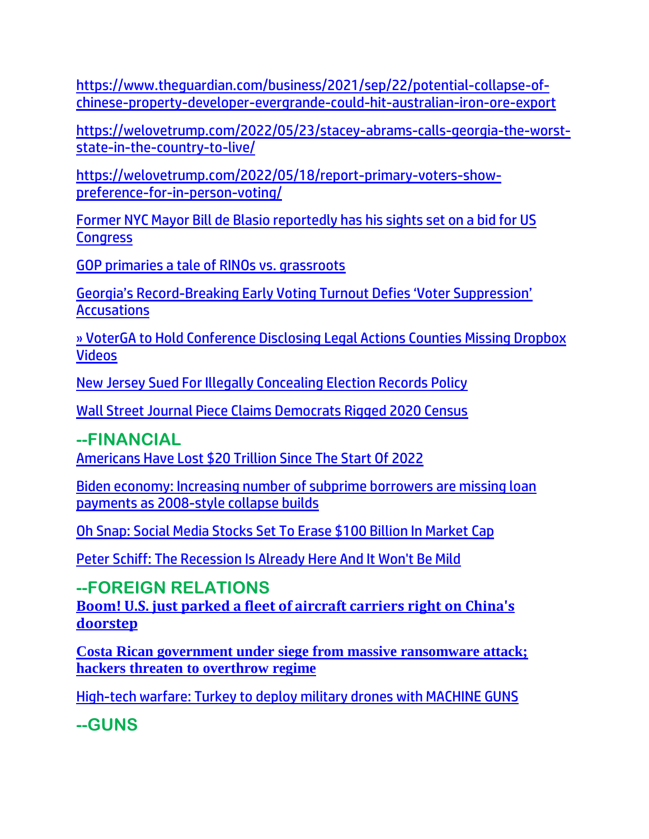[https://www.theguardian.com/business/2021/sep/22/potential-collapse-of](https://www.theguardian.com/business/2021/sep/22/potential-collapse-of-chinese-property-developer-evergrande-could-hit-australian-iron-ore-export)[chinese-property-developer-evergrande-could-hit-australian-iron-ore-export](https://www.theguardian.com/business/2021/sep/22/potential-collapse-of-chinese-property-developer-evergrande-could-hit-australian-iron-ore-export)

[https://welovetrump.com/2022/05/23/stacey-abrams-calls-georgia-the-worst](https://welovetrump.com/2022/05/23/stacey-abrams-calls-georgia-the-worst-state-in-the-country-to-live/)[state-in-the-country-to-live/](https://welovetrump.com/2022/05/23/stacey-abrams-calls-georgia-the-worst-state-in-the-country-to-live/)

[https://welovetrump.com/2022/05/18/report-primary-voters-show](https://welovetrump.com/2022/05/18/report-primary-voters-show-preference-for-in-person-voting/)[preference-for-in-person-voting/](https://welovetrump.com/2022/05/18/report-primary-voters-show-preference-for-in-person-voting/)

[Former NYC Mayor Bill de Blasio reportedly has his sights set on a bid for US](https://link.theblaze.com/click/27744080.1152738/aHR0cHM6Ly93d3cudGhlYmxhemUuY29tL25ld3MvZGUtYmxhc2lvLXJ1bi1mb3ItY29uZ3Jlc3M_dXRtX3NvdXJjZT10aGVibGF6ZS1icmVha2luZyZ1dG1fbWVkaXVtPWVtYWlsJnV0bV9jYW1wYWlnbj0yMDIyMDUxOFNwb25zb3JlZFRyZW5kaW5nLVJldmVsYXRpb25NZWRpYSZ1dG1fdGVybT1BQ1RJVkUgTElTVCAtIFRoZUJsYXplIEJyZWFraW5nIE5ld3M/61f82015384ca325d2cdab60Cf96de7c5)  **[Congress](https://link.theblaze.com/click/27744080.1152738/aHR0cHM6Ly93d3cudGhlYmxhemUuY29tL25ld3MvZGUtYmxhc2lvLXJ1bi1mb3ItY29uZ3Jlc3M_dXRtX3NvdXJjZT10aGVibGF6ZS1icmVha2luZyZ1dG1fbWVkaXVtPWVtYWlsJnV0bV9jYW1wYWlnbj0yMDIyMDUxOFNwb25zb3JlZFRyZW5kaW5nLVJldmVsYXRpb25NZWRpYSZ1dG1fdGVybT1BQ1RJVkUgTElTVCAtIFRoZUJsYXplIEJyZWFraW5nIE5ld3M/61f82015384ca325d2cdab60Cf96de7c5)** 

[GOP primaries a tale of RINOs vs. grassroots](https://inform.afa.net/optiext/optiextension.dll?ID=C_%2BC5l9BvqNCohaXLpCwVHIeOl_KSQ3dibZElngsQREFFbEm0codXAAFWw76ZZVQq%2B_NjP4WZVP7gazsSIr0AFG%2B6gHYcyyWukGDCN8c)

Georgia's Record-Breaking Early [Voting Turnout Defies 'Voter Suppression'](https://lists.youmaker.com/links/KQWclMyzcE/Jlid8tcrj/7xAbPNiP2/rep07b35lk)  **[Accusations](https://lists.youmaker.com/links/KQWclMyzcE/Jlid8tcrj/7xAbPNiP2/rep07b35lk)** 

[» VoterGA to Hold Conference Disclosing Legal Actions Counties Missing Dropbox](https://trk.cp20.com/click/gak4-3n8ulz-8bn611-f4obzxf5/)  [Videos](https://trk.cp20.com/click/gak4-3n8ulz-8bn611-f4obzxf5/)

[New Jersey Sued For Illegally Concealing Election Records Policy](https://www.zerohedge.com/political/new-jersey-sued-illegally-concealing-election-records-policy)

[Wall Street Journal Piece Claims Democrats Rigged 2020 Census](https://welovetrump.com/2022/05/21/wall-street-journal-piece-claims-democrats-rigged-2020-census/)

**--FINANCIAL**

[Americans Have Lost \\$20 Trillion Since The Start Of 2022](https://www.zerohedge.com/markets/americans-have-lost-20-trillion-start-2022)

[Biden economy: Increasing number of subprime borrowers are missing loan](https://www.naturalnews.com/2022-05-22-biden-economy-increasing-number-subprime-borrowers-missing-loan-payments.html)  [payments as 2008-style collapse builds](https://www.naturalnews.com/2022-05-22-biden-economy-increasing-number-subprime-borrowers-missing-loan-payments.html)

[Oh Snap: Social Media Stocks Set To Erase \\$100 Billion In Market](https://www.zerohedge.com/markets/oh-snap-social-media-stocks-set-erase-100-billion-market) Cap

Peter [Schiff: The Recession Is Already Here And It Won't Be Mild](https://www.zerohedge.com/economics/peter-schiff-recession-already-here-and-it-wont-be-mild)

#### **--FOREIGN RELATIONS**

**[Boom! U.S. just parked a fleet of aircraft carriers right on China's](https://www.wnd.com/2022/05/boom-u-s-just-parked-fleet-aircraft-carriers-right-un-chinas-doorstep/)  [doorstep](https://www.wnd.com/2022/05/boom-u-s-just-parked-fleet-aircraft-carriers-right-un-chinas-doorstep/)**

**[Costa Rican government under siege from massive ransomware attack;](https://ce-publiclw.naturalnews.com/ct.asp?id=6F3B452AAAD423FCE6C3F7C59D70B109D3E6D8C9027065F9617039CD18B547179A5E215071FF11F2ED440C0C476BDE2D&ct=4aeUs2cAAABCWmgzMUFZJlNZxURBYQAAGZmAAAPyEC7v34AgAGoijyjYgQ9R%2bqDQqeKaenqZR6gA9TWVFgymPCjFxetsyM9i9cuKTR1FoTdusKwTSXKsPEikN6ohIlro92LMYtlQjk1er7otbFJqduANXMfi7kinChIYqIgsIA%3d%3d)  [hackers threaten to overthrow regime](https://ce-publiclw.naturalnews.com/ct.asp?id=6F3B452AAAD423FCE6C3F7C59D70B109D3E6D8C9027065F9617039CD18B547179A5E215071FF11F2ED440C0C476BDE2D&ct=4aeUs2cAAABCWmgzMUFZJlNZxURBYQAAGZmAAAPyEC7v34AgAGoijyjYgQ9R%2bqDQqeKaenqZR6gA9TWVFgymPCjFxetsyM9i9cuKTR1FoTdusKwTSXKsPEikN6ohIlro92LMYtlQjk1er7otbFJqduANXMfi7kinChIYqIgsIA%3d%3d)**

[High-tech warfare: Turkey to deploy military drones with MACHINE GUNS](https://www.naturalnews.com/2022-05-23-high-tech-warfare-turkey-military-drones-with-machine-guns.html)

**--GUNS**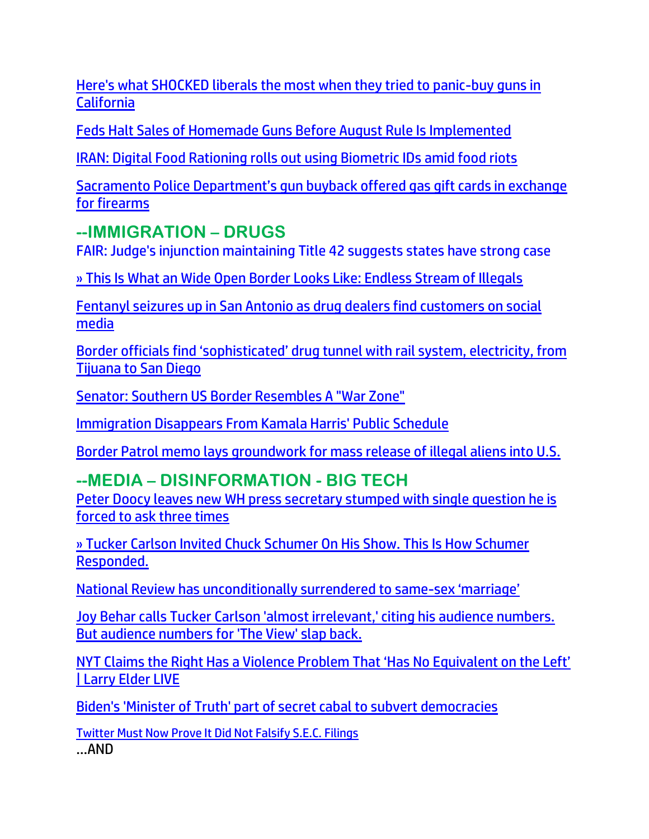[Here's what SHOCKED liberals the most when they tried to panic-buy guns in](https://link.theblaze.com/click/27794243.1055253/aHR0cHM6Ly93d3cudGhlYmxhemUuY29tL3Nob3dzL3RoZS1ydWJpbi1yZXBvcnQvY2FsaWZvcm5pYS1ndW4tY29udHJvbD91dG1fc291cmNlPXRoZWJsYXplLWRhaWx5QU0mdXRtX21lZGl1bT1lbWFpbCZ1dG1fY2FtcGFpZ249RGFpbHktTmV3c2xldHRlcl9fQU0gMjAyMi0wNS0yMSZ1dG1fdGVybT1BQ1RJVkUgTElTVCAtIFRoZUJsYXplIERhaWx5IEFN/61f82015384ca325d2cdab60C59e4d22a)  **[California](https://link.theblaze.com/click/27794243.1055253/aHR0cHM6Ly93d3cudGhlYmxhemUuY29tL3Nob3dzL3RoZS1ydWJpbi1yZXBvcnQvY2FsaWZvcm5pYS1ndW4tY29udHJvbD91dG1fc291cmNlPXRoZWJsYXplLWRhaWx5QU0mdXRtX21lZGl1bT1lbWFpbCZ1dG1fY2FtcGFpZ249RGFpbHktTmV3c2xldHRlcl9fQU0gMjAyMi0wNS0yMSZ1dG1fdGVybT1BQ1RJVkUgTElTVCAtIFRoZUJsYXplIERhaWx5IEFN/61f82015384ca325d2cdab60C59e4d22a)** 

[Feds Halt Sales of Homemade Guns Before August Rule Is Implemented](https://lists.youmaker.com/links/KQWclMyzcE/Jlid8tcrj/7xAbPNiP2/7w6cbFmqaO)

[IRAN: Digital Food Rationing rolls out using Biometric IDs amid food riots](https://www.iceagefarmer.com/2022/05/17/iran-digital-food-rationing-rolls-out-using-biometric-ids-amid-food-riots/)

[Sacramento Police Department's gun buyback offered gas gift cards in exchange](https://whitehousewire.com/2022/05/24/sacramento-police-departments-gun-buyback-offered-gas-gift-cards-in-exchange-for-firearms/)  [for firearms](https://whitehousewire.com/2022/05/24/sacramento-police-departments-gun-buyback-offered-gas-gift-cards-in-exchange-for-firearms/)

### **--IMMIGRATION – DRUGS**

[FAIR: Judge's injunction maintaining Title 42 suggests states have strong case](https://inform.afa.net/optiext/optiextension.dll?ID=TpoTknQeQI%2Be2zc9Q7UEx6QQUda9f8DPCzioeQ0sfDIgeoG9fNXENi4lSKoCpMqFGhdMh9TTHyQkmDXpm2NGAX_alB5jj9OMh9D8OHTc)

[» This Is What an Wide Open Border Looks Like: Endless Stream of Illegals](https://trk.cp20.com/click/gak4-3n6wae-8bmlfx-f4obzxf0/)

[Fentanyl seizures up in San Antonio as drug dealers find customers on social](https://www.ksat.com/news/local/2022/05/16/fentanyl-seizures-up-in-san-antonio-as-drug-dealers-find-customers-on-social-media/)  [media](https://www.ksat.com/news/local/2022/05/16/fentanyl-seizures-up-in-san-antonio-as-drug-dealers-find-customers-on-social-media/)

Border officials find 'sophisticated' drug tunnel with rail system, electricity, from Tijuana to San Diego

[Senator: Southern US Border Resembles A "War Zone"](https://www.zerohedge.com/political/senator-southern-us-border-resembles-war-zone)

[Immigration Disappears From Kamala Harris' Public Schedule](https://www.zerohedge.com/political/immigration-disappears-kamala-harris-public-schedule)

[Border Patrol memo lays groundwork for mass release of illegal aliens into U.S.](https://www.wnd.com/2022/05/border-patrol-memo-lays-groundwork-mass-release-illegal-aliens-u-s/)

## **--MEDIA – DISINFORMATION - BIG TECH**

[Peter Doocy leaves new WH press secretary stumped with single question he is](https://link.theblaze.com/click/27745740.959041/aHR0cHM6Ly93d3cudGhlYmxhemUuY29tL25ld3MvcGV0ZXItZG9vY3ktc3R1bXBzLWplYW4tcGllcnJlLWluZmxhdGlvbj91dG1fc291cmNlPXRoZWJsYXplLTdEYXlUcmVuZGluZ1Rlc3QmdXRtX21lZGl1bT1lbWFpbCZ1dG1fY2FtcGFpZ249QWZ0ZXJub29uIEF1dG8gVHJlbmRpbmcgNyBEYXkgRW5nYWdlZCAyMDIyLTA1LTE3JnV0bV90ZXJtPUFDVElWRSBMSVNUIC0gNyBEYXkgRW5nYWdlbWVudA/61f82015384ca325d2cdab60C0e4033dd)  [forced to ask three times](https://link.theblaze.com/click/27745740.959041/aHR0cHM6Ly93d3cudGhlYmxhemUuY29tL25ld3MvcGV0ZXItZG9vY3ktc3R1bXBzLWplYW4tcGllcnJlLWluZmxhdGlvbj91dG1fc291cmNlPXRoZWJsYXplLTdEYXlUcmVuZGluZ1Rlc3QmdXRtX21lZGl1bT1lbWFpbCZ1dG1fY2FtcGFpZ249QWZ0ZXJub29uIEF1dG8gVHJlbmRpbmcgNyBEYXkgRW5nYWdlZCAyMDIyLTA1LTE3JnV0bV90ZXJtPUFDVElWRSBMSVNUIC0gNyBEYXkgRW5nYWdlbWVudA/61f82015384ca325d2cdab60C0e4033dd)

[» Tucker Carlson Invited Chuck Schumer On His Show. This Is How Schumer](https://trk.cp20.com/click/gak4-3n77pk-8bmp98-f4obzxf3/)  [Responded.](https://trk.cp20.com/click/gak4-3n77pk-8bmp98-f4obzxf3/)

[National Review has unconditionally surrendered to same-](https://www.lifesitenews.com/blogs/national-review-has-unconditionally-surrendered-to-same-sex-marriage/?utm_source=top_news&utm_campaign=usa)sex 'marriage'

[Joy Behar calls Tucker Carlson 'almost irrelevant,' citing his audience numbers.](https://link.theblaze.com/click/27757576.955843/aHR0cHM6Ly93d3cudGhlYmxhemUuY29tL25ld3Mvam95LWJlaGFyLXR1Y2tlci1jYXJsc29uLWFsbW9zdC1pcnJlbGV2YW50P3V0bV9zb3VyY2U9dGhlYmxhemUtN0RheVRyZW5kaW5nVGVzdCZ1dG1fbWVkaXVtPWVtYWlsJnV0bV9jYW1wYWlnbj1BZnRlcm5vb24gQXV0byBUcmVuZGluZyA3IERheSBFbmdhZ2VkIDIwMjItMDUtMTgmdXRtX3Rlcm09QUNUSVZFIExJU1QgLSA3IERheSBFbmdhZ2VtZW50/61f82015384ca325d2cdab60C5aa62494)  [But audience numbers for 'The View' slap back.](https://link.theblaze.com/click/27757576.955843/aHR0cHM6Ly93d3cudGhlYmxhemUuY29tL25ld3Mvam95LWJlaGFyLXR1Y2tlci1jYXJsc29uLWFsbW9zdC1pcnJlbGV2YW50P3V0bV9zb3VyY2U9dGhlYmxhemUtN0RheVRyZW5kaW5nVGVzdCZ1dG1fbWVkaXVtPWVtYWlsJnV0bV9jYW1wYWlnbj1BZnRlcm5vb24gQXV0byBUcmVuZGluZyA3IERheSBFbmdhZ2VkIDIwMjItMDUtMTgmdXRtX3Rlcm09QUNUSVZFIExJU1QgLSA3IERheSBFbmdhZ2VtZW50/61f82015384ca325d2cdab60C5aa62494)

[NYT Claims the Right Has a Violence Problem That 'Has No Equivalent on the Left'](https://lists.youmaker.com/links/gI8L68oslJ/Jlid8tcrj/7xAbPNiP2/HmRa8pTHQt)  [| Larry Elder LIVE](https://lists.youmaker.com/links/gI8L68oslJ/Jlid8tcrj/7xAbPNiP2/HmRa8pTHQt)

[Biden's 'Minister of Truth' part of secret cabal to subvert democracies](https://www.wnd.com/2022/05/bidens-minister-truth-part-secret-cabal-subvert-democracies/)

[Twitter Must Now Prove It Did Not Falsify S.E.C. Filings](https://welovetrump.com/2022/05/18/twitter-must-now-prove-it-did-not-falsify-s-e-c-filings/) …AND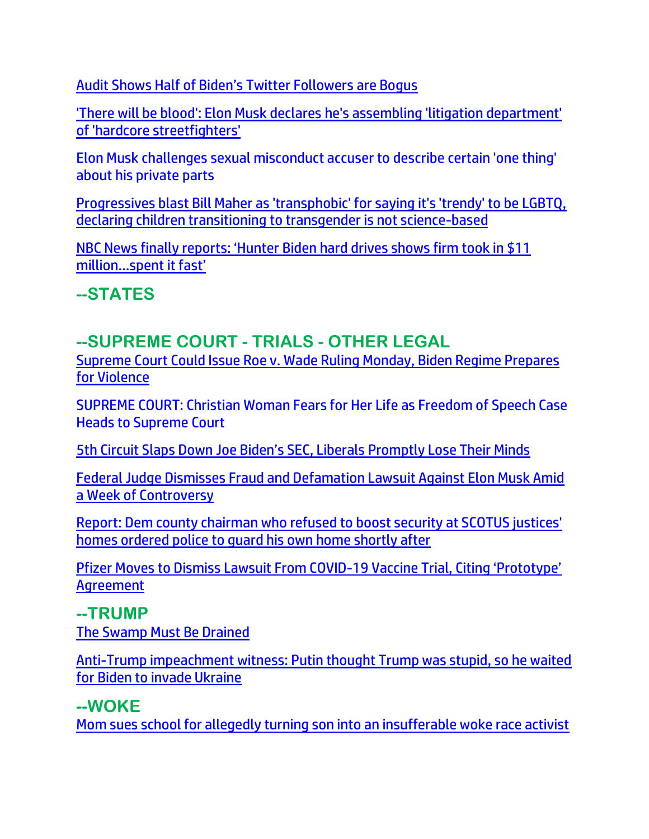[Audit Shows Half of Biden's Twitter Followers are Bogus](https://welovetrump.com/2022/05/17/audit-shows-half-of-bidens-twitter-followers-are-bogus/)

'There will be blood': Elon Musk declares he's assembling 'litigation department' of 'hardcore streetfighters'

Elon Musk challenges sexual misconduct accuser to describe certain 'one thing' about his private parts

[Progressives blast Bill Maher as 'transphobic' for saying it's 'trendy' to be LGBTQ,](https://link.theblaze.com/click/27798479.918983/aHR0cHM6Ly93d3cudGhlYmxhemUuY29tL25ld3MvYmlsbC1tYWhlci10cmFucy1sZ2J0cS10d2l0dGVyLXJlYWN0aW9ucz91dG1fc291cmNlPXRoZWJsYXplLTdEYXlUcmVuZGluZ1Rlc3QmdXRtX21lZGl1bT1lbWFpbCZ1dG1fY2FtcGFpZ249VGhlIEJsYXplIFBNIFRyZW5kaW5nIDIwMjItMDUtMjEmdXRtX3Rlcm09QUNUSVZFIExJU1QgLSA3IERheSBFbmdhZ2VtZW50/61f82015384ca325d2cdab60Cd6b3a0ac)  [declaring children transitioning to transgender is not science-based](https://link.theblaze.com/click/27798479.918983/aHR0cHM6Ly93d3cudGhlYmxhemUuY29tL25ld3MvYmlsbC1tYWhlci10cmFucy1sZ2J0cS10d2l0dGVyLXJlYWN0aW9ucz91dG1fc291cmNlPXRoZWJsYXplLTdEYXlUcmVuZGluZ1Rlc3QmdXRtX21lZGl1bT1lbWFpbCZ1dG1fY2FtcGFpZ249VGhlIEJsYXplIFBNIFRyZW5kaW5nIDIwMjItMDUtMjEmdXRtX3Rlcm09QUNUSVZFIExJU1QgLSA3IERheSBFbmdhZ2VtZW50/61f82015384ca325d2cdab60Cd6b3a0ac)

NBC News finally re[ports: 'Hunter Biden hard drives shows firm took in \\$11](https://delivery.email.saraacarter.com/GUIDARZE?id=153976=eh4CVwZWCQQBTFAGVlsMVgFWBAEDBVZUAlBRAA9VUg0LWwYHVgFUAAdUAQtfAA0CAFYeXlxdAxEKDCRUVABaVBcBXQtPVAYGBAIHB1cPAQwEClIHAQAaChURFEADThxcXA5bEFYXSR1SXVJbChdGVUVTA1dWQxIHE0sHXFROdG1wJnM0aSAPWlNMRQE=&fl=URZGFkBfHxxDVV9XC1xBRl5XERpdVAMMBksHXFROUFRQAVk=&ext=dD1leUpoYkdjaU9pSklVekkxTmlJc0luUjVjQ0k2SWtwWFZDSjkuZXlKd0lqcGJiblZzYkN4dWRXeHNMQ0pvZEhSd2N6b3ZMM05oY21GaFkyRnlkR1Z5TG1OdmJTOXVZbU10Ym1WM2N5MW1hVzVoYkd4NUxYSmxjRzl5ZEhNdGFIVnVkR1Z5TFdKcFpHVnVMV2hoY21RdFpISnBkbVZ6TFhOb2IzZHpMV1pwY20wdGRHOXZheTFwYmkweE1TMXRhV3hzYVc5dUxYTndaVzUwTFdsMExXWmhjM1F2UDNWMGJWOXpiM1Z5WTJVOWFtVmxibWNtYW1WdFBXTTFZVE00TlRjd1l6QmhaR05qWTJZNFlXSXpaR001WW1JM01ESXpNMll6SWl4dWRXeHNMREVzWm1Gc2MyVXNabUZzYzJVc0ltUmtOVEEzTXpKa0xUTmpabUV0TkRWaU55MDROVEV4TFRabFpUSmhNRFl3WVRnM015SXNJakUxTURrMVlUSXpMVGhpTVRBdE5HTXlZaTFoT1dVeExURTVNMlZtTldFeFpXUTROeUlzSWpoaFpqVTNNRGd3TFRsak1UTXROR0prTXkxaU9EWm1MVEJpTTJNMVpHWTVNV1l4WWlJc0ltaDBkSEJ6T2k4dmMyRnlZV0ZqWVhKMFpYSXVZMjl0TDI1aVl5MXVaWGR6TFdacGJtRnNiSGt0Y21Wd2IzSjBjeTFvZFc1MFpYSXRZbWxrWlc0dGFHRnlaQzFrY21sMlpYTXRjMmh2ZDNNdFptbHliUzEwYjI5ckxXbHVMVEV4TFcxcGJHeHBiMjR0YzNCbGJuUXRhWFF0Wm1GemRDOGlMQ0pqTjNBelh6QWlMQ0psYldGcGJDSXNJa1JUSWwwc0ltbGhkQ0k2TVRZMU16TXhNRGczTm4wLi1UZDhvYnJWWGpHUTVXVVFGd2FUcVA5Mkg1Y29EQWFsd2UxU3FRYXZvNzA=)  [million…spent it fast'](https://delivery.email.saraacarter.com/GUIDARZE?id=153976=eh4CVwZWCQQBTFAGVlsMVgFWBAEDBVZUAlBRAA9VUg0LWwYHVgFUAAdUAQtfAA0CAFYeXlxdAxEKDCRUVABaVBcBXQtPVAYGBAIHB1cPAQwEClIHAQAaChURFEADThxcXA5bEFYXSR1SXVJbChdGVUVTA1dWQxIHE0sHXFROdG1wJnM0aSAPWlNMRQE=&fl=URZGFkBfHxxDVV9XC1xBRl5XERpdVAMMBksHXFROUFRQAVk=&ext=dD1leUpoYkdjaU9pSklVekkxTmlJc0luUjVjQ0k2SWtwWFZDSjkuZXlKd0lqcGJiblZzYkN4dWRXeHNMQ0pvZEhSd2N6b3ZMM05oY21GaFkyRnlkR1Z5TG1OdmJTOXVZbU10Ym1WM2N5MW1hVzVoYkd4NUxYSmxjRzl5ZEhNdGFIVnVkR1Z5TFdKcFpHVnVMV2hoY21RdFpISnBkbVZ6TFhOb2IzZHpMV1pwY20wdGRHOXZheTFwYmkweE1TMXRhV3hzYVc5dUxYTndaVzUwTFdsMExXWmhjM1F2UDNWMGJWOXpiM1Z5WTJVOWFtVmxibWNtYW1WdFBXTTFZVE00TlRjd1l6QmhaR05qWTJZNFlXSXpaR001WW1JM01ESXpNMll6SWl4dWRXeHNMREVzWm1Gc2MyVXNabUZzYzJVc0ltUmtOVEEzTXpKa0xUTmpabUV0TkRWaU55MDROVEV4TFRabFpUSmhNRFl3WVRnM015SXNJakUxTURrMVlUSXpMVGhpTVRBdE5HTXlZaTFoT1dVeExURTVNMlZtTldFeFpXUTROeUlzSWpoaFpqVTNNRGd3TFRsak1UTXROR0prTXkxaU9EWm1MVEJpTTJNMVpHWTVNV1l4WWlJc0ltaDBkSEJ6T2k4dmMyRnlZV0ZqWVhKMFpYSXVZMjl0TDI1aVl5MXVaWGR6TFdacGJtRnNiSGt0Y21Wd2IzSjBjeTFvZFc1MFpYSXRZbWxrWlc0dGFHRnlaQzFrY21sMlpYTXRjMmh2ZDNNdFptbHliUzEwYjI5ckxXbHVMVEV4TFcxcGJHeHBiMjR0YzNCbGJuUXRhWFF0Wm1GemRDOGlMQ0pqTjNBelh6QWlMQ0psYldGcGJDSXNJa1JUSWwwc0ltbGhkQ0k2TVRZMU16TXhNRGczTm4wLi1UZDhvYnJWWGpHUTVXVVFGd2FUcVA5Mkg1Y29EQWFsd2UxU3FRYXZvNzA=)

**--STATES**

### **--SUPREME COURT - TRIALS - OTHER LEGAL**

[Supreme Court Could Issue Roe v. Wade Ruling Monday, Biden Regime Prepares](https://welovetrump.com/2022/05/21/supreme-court-could-issue-roe-v-wade-ruling-monday-biden-regime-prepares-for-violence/)  [for Violence](https://welovetrump.com/2022/05/21/supreme-court-could-issue-roe-v-wade-ruling-monday-biden-regime-prepares-for-violence/)

SUPREME COURT: Christian Woman Fears for Her Life as Freedom of Speech Case Heads to Supreme Court

[5th Circuit Slaps Down Joe Biden's SEC, Liberals Promptly Lose Their Minds](https://redstate.com/bonchie/2022/05/21/5th-circuit-slaps-down-joe-bidens-sec-liberals-promptly-lose-their-minds-n567837)

[Federal Judge Dismisses Fraud and Defamation Lawsuit Against Elon Musk Amid](https://lists.youmaker.com/links/x7xrOZtSiE/Jlid8tcrj/7xAbPNiP2/fv1tKFObxA)  [a Week of Controversy](https://lists.youmaker.com/links/x7xrOZtSiE/Jlid8tcrj/7xAbPNiP2/fv1tKFObxA)

[Report: Dem county chairman who refused to boost security at SCOTUS justices'](https://link.theblaze.com/click/27786099.1160995/aHR0cHM6Ly93d3cudGhlYmxhemUuY29tL25ld3MvZmFpcmZheC1vZmZpY2lhbC1yZWZ1c2VkLXNlY3VyaXR5LWF0LXNjb3R1cy1qdXN0aWNlLWhvbWVzP3V0bV9zb3VyY2U9dGhlYmxhemUtYnJlYWtpbmcmdXRtX21lZGl1bT1lbWFpbCZ1dG1fY2FtcGFpZ249MjAyMjA1MjBUcmVuZGluZy1XYXNoaW5ndG9uU3RhdGUmdXRtX3Rlcm09QUNUSVZFIExJU1QgLSBUaGVCbGF6ZSBCcmVha2luZyBOZXdz/61f82015384ca325d2cdab60C603bb920)  [homes ordered police to guard his own home shortly after](https://link.theblaze.com/click/27786099.1160995/aHR0cHM6Ly93d3cudGhlYmxhemUuY29tL25ld3MvZmFpcmZheC1vZmZpY2lhbC1yZWZ1c2VkLXNlY3VyaXR5LWF0LXNjb3R1cy1qdXN0aWNlLWhvbWVzP3V0bV9zb3VyY2U9dGhlYmxhemUtYnJlYWtpbmcmdXRtX21lZGl1bT1lbWFpbCZ1dG1fY2FtcGFpZ249MjAyMjA1MjBUcmVuZGluZy1XYXNoaW5ndG9uU3RhdGUmdXRtX3Rlcm09QUNUSVZFIExJU1QgLSBUaGVCbGF6ZSBCcmVha2luZyBOZXdz/61f82015384ca325d2cdab60C603bb920)

[Pfizer Moves to Dismiss Lawsuit From COVID-](https://lists.youmaker.com/links/KQWclMyzcE/Jlid8tcrj/7xAbPNiP2/1wwBJNb2mY7)19 Vaccine Trial, Citing 'Prototype' [Agreement](https://lists.youmaker.com/links/KQWclMyzcE/Jlid8tcrj/7xAbPNiP2/1wwBJNb2mY7)

#### **--TRUMP**

[The Swamp Must Be Drained](https://lists.youmaker.com/links/gI8L68oslJ/Jlid8tcrj/7xAbPNiP2/GxvzTuQE9)

[Anti-Trump impeachment witness: Putin thought Trump was stupid, so he waited](https://www.wnd.com/2022/05/anti-trump-impeachment-witness-putin-thought-trump-stupid-waited-biden-invade-ukraine/)  [for Biden to invade Ukraine](https://www.wnd.com/2022/05/anti-trump-impeachment-witness-putin-thought-trump-stupid-waited-biden-invade-ukraine/)

#### **--WOKE**

[Mom sues school for allegedly turning son into an insufferable woke race activist](https://www.wnd.com/2022/05/mom-sues-school-allegedly-turning-son-insufferable-woke-race-activist/)